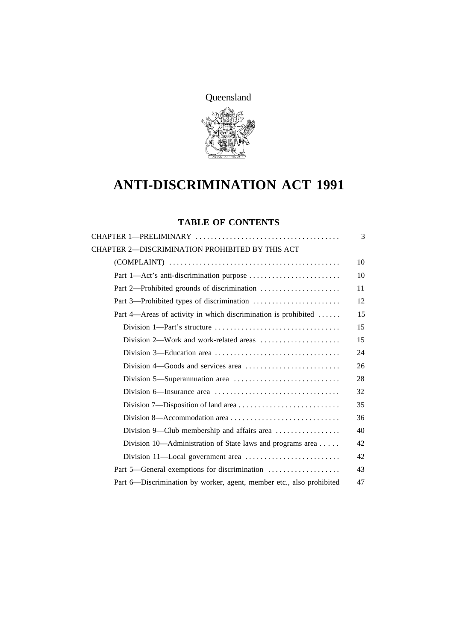Queensland



# **ANTI-DISCRIMINATION ACT 1991**

# **TABLE OF CONTENTS**

|                                                                              | 3  |
|------------------------------------------------------------------------------|----|
| CHAPTER 2-DISCRIMINATION PROHIBITED BY THIS ACT                              |    |
|                                                                              | 10 |
|                                                                              | 10 |
| Part 2—Prohibited grounds of discrimination                                  | 11 |
|                                                                              | 12 |
| Part 4—Areas of activity in which discrimination is prohibited               | 15 |
|                                                                              | 15 |
| Division 2—Work and work-related areas $\dots\dots\dots\dots\dots\dots\dots$ | 15 |
|                                                                              | 24 |
|                                                                              | 26 |
|                                                                              | 28 |
|                                                                              | 32 |
|                                                                              | 35 |
| Division 8—Accommodation area                                                | 36 |
| Division 9—Club membership and affairs area                                  | 40 |
| Division 10-Administration of State laws and programs area                   | 42 |
|                                                                              | 42 |
| Part 5—General exemptions for discrimination                                 | 43 |
| Part 6-Discrimination by worker, agent, member etc., also prohibited         | 47 |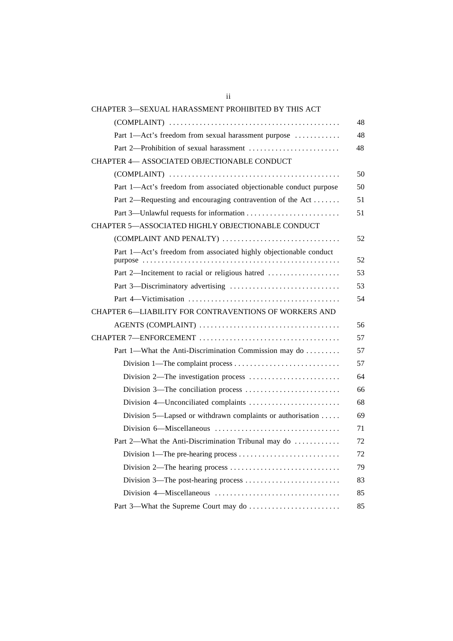| CHAPTER 3-SEXUAL HARASSMENT PROHIBITED BY THIS ACT                                     |    |
|----------------------------------------------------------------------------------------|----|
|                                                                                        | 48 |
| Part 1-Act's freedom from sexual harassment purpose                                    | 48 |
|                                                                                        | 48 |
| CHAPTER 4- ASSOCIATED OBJECTIONABLE CONDUCT                                            |    |
|                                                                                        | 50 |
| Part 1-Act's freedom from associated objectionable conduct purpose                     | 50 |
| Part 2—Requesting and encouraging contravention of the Act                             | 51 |
|                                                                                        | 51 |
| CHAPTER 5-ASSOCIATED HIGHLY OBJECTIONABLE CONDUCT                                      |    |
| (COMPLAINT AND PENALTY)                                                                | 52 |
| Part 1-Act's freedom from associated highly objectionable conduct                      |    |
|                                                                                        | 52 |
| Part 2—Incitement to racial or religious hatred                                        | 53 |
|                                                                                        | 53 |
|                                                                                        | 54 |
| CHAPTER 6-LIABILITY FOR CONTRAVENTIONS OF WORKERS AND                                  |    |
|                                                                                        | 56 |
|                                                                                        | 57 |
| Part 1—What the Anti-Discrimination Commission may do                                  | 57 |
|                                                                                        | 57 |
|                                                                                        | 64 |
|                                                                                        | 66 |
|                                                                                        | 68 |
| Division 5—Lapsed or withdrawn complaints or authorisation $\dots$ .                   | 69 |
|                                                                                        | 71 |
| Part 2—What the Anti-Discrimination Tribunal may do                                    | 72 |
|                                                                                        | 72 |
| Division 2—The hearing process $\dots \dots \dots \dots \dots \dots \dots \dots \dots$ | 79 |
|                                                                                        | 83 |
|                                                                                        | 85 |
|                                                                                        | 85 |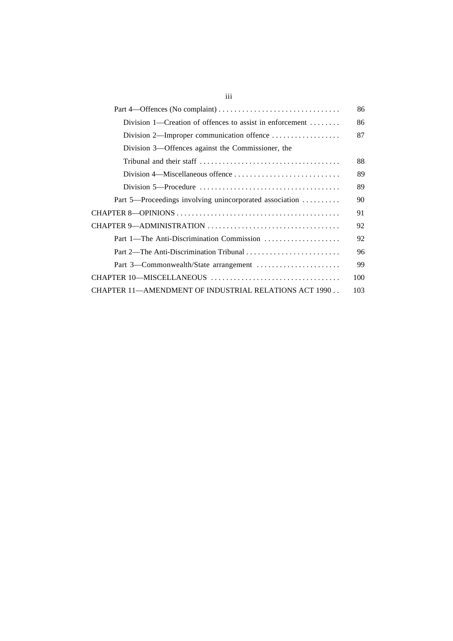|                                                                                                    | 86  |
|----------------------------------------------------------------------------------------------------|-----|
| Division 1—Creation of offences to assist in enforcement $\dots\dots$                              | 86  |
| Division 2—Improper communication offence                                                          | 87  |
| Division 3—Offences against the Commissioner, the                                                  |     |
|                                                                                                    | 88  |
| Division 4—Miscellaneous offence                                                                   | 89  |
| Division 5—Procedure $\dots\dots\dots\dots\dots\dots\dots\dots\dots\dots\dots\dots\dots\dots\dots$ | 89  |
| Part 5—Proceedings involving unincorporated association                                            | 90  |
|                                                                                                    | 91  |
|                                                                                                    | 92  |
| Part 1—The Anti-Discrimination Commission                                                          | 92  |
|                                                                                                    | 96  |
| Part 3—Commonwealth/State arrangement                                                              | 99  |
|                                                                                                    | 100 |
| CHAPTER 11—AMENDMENT OF INDUSTRIAL RELATIONS ACT 1990                                              | 103 |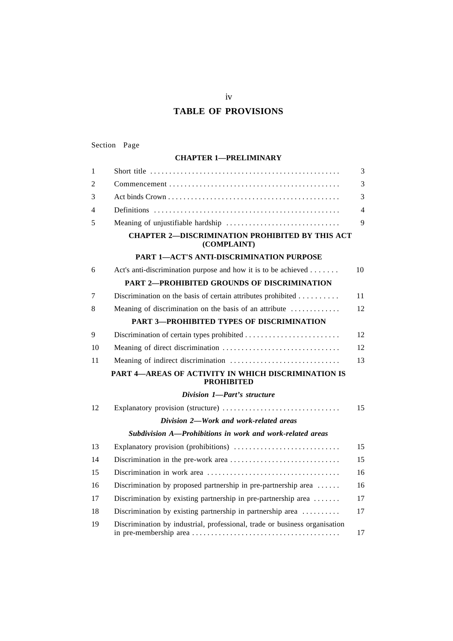# **TABLE OF PROVISIONS**

| Section | Page |
|---------|------|
|---------|------|

#### **CHAPTER 1—PRELIMINARY**

| 1              |                                                                              | 3      |
|----------------|------------------------------------------------------------------------------|--------|
| 2              |                                                                              | 3      |
| 3              |                                                                              | 3      |
| $\overline{4}$ |                                                                              | 4      |
| 5              |                                                                              | 9      |
|                | <b>CHAPTER 2-DISCRIMINATION PROHIBITED BY THIS ACT</b><br>(COMPLAINT)        |        |
|                | PART 1-ACT'S ANTI-DISCRIMINATION PURPOSE                                     |        |
| 6              | Act's anti-discrimination purpose and how it is to be achieved               | 10     |
|                | <b>PART 2-PROHIBITED GROUNDS OF DISCRIMINATION</b>                           |        |
| 7              | Discrimination on the basis of certain attributes prohibited                 | 11     |
| 8              | Meaning of discrimination on the basis of an attribute                       | 12     |
|                | PART 3-PROHIBITED TYPES OF DISCRIMINATION                                    |        |
| 9              |                                                                              | 12     |
| 10             |                                                                              | 12     |
| 11             |                                                                              | 13     |
|                | PART 4-AREAS OF ACTIVITY IN WHICH DISCRIMINATION IS<br><b>PROHIBITED</b>     |        |
|                | Division 1-Part's structure                                                  |        |
| 12             | Explanatory provision (structure)                                            | 15     |
|                | Division 2-Work and work-related areas                                       |        |
|                | Subdivision A—Prohibitions in work and work-related areas                    |        |
| 13             |                                                                              | 15     |
| 14             |                                                                              | 15     |
| 15             |                                                                              | 16     |
| 16             | Discrimination by proposed partnership in pre-partnership area $\dots$ .     | 16     |
| 17             | Discrimination by existing partnership in pre-partnership area               | 17     |
| 18             | Discrimination by existing partnership in partnership area $\dots\dots\dots$ | 17     |
| 19             | Discrimination by industrial, professional, trade or business organisation   | $17\,$ |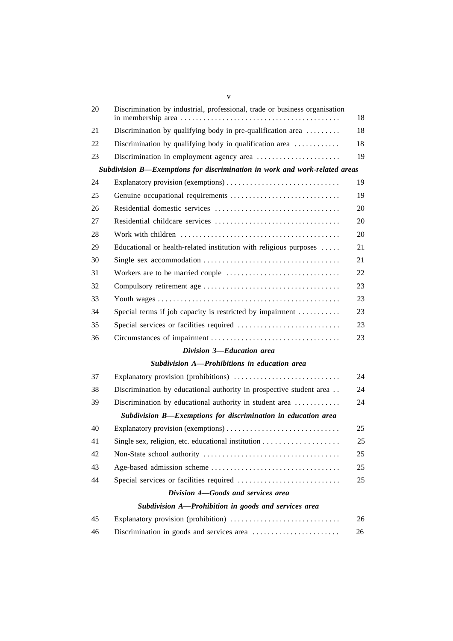| 20 | Discrimination by industrial, professional, trade or business organisation    | 18 |
|----|-------------------------------------------------------------------------------|----|
| 21 | Discrimination by qualifying body in pre-qualification area $\dots\dots\dots$ | 18 |
| 22 | Discrimination by qualifying body in qualification area                       | 18 |
| 23 | Discrimination in employment agency area                                      | 19 |
|    | Subdivision B-Exemptions for discrimination in work and work-related areas    |    |
| 24 |                                                                               | 19 |
| 25 | Genuine occupational requirements                                             | 19 |
| 26 |                                                                               | 20 |
| 27 |                                                                               | 20 |
| 28 |                                                                               | 20 |
| 29 | Educational or health-related institution with religious purposes             | 21 |
| 30 |                                                                               | 21 |
| 31 |                                                                               | 22 |
| 32 |                                                                               | 23 |
| 33 |                                                                               | 23 |
| 34 | Special terms if job capacity is restricted by impairment                     | 23 |
| 35 |                                                                               | 23 |
| 36 |                                                                               | 23 |
|    | Division 3-Education area                                                     |    |
|    | Subdivision A-Prohibitions in education area                                  |    |
| 37 | Explanatory provision (prohibitions)                                          | 24 |
| 38 | Discrimination by educational authority in prospective student area           | 24 |
| 39 | Discrimination by educational authority in student area                       | 24 |
|    | Subdivision B-Exemptions for discrimination in education area                 |    |
| 40 | Explanatory provision (exemptions)                                            | 25 |
| 41 |                                                                               | 25 |
| 42 |                                                                               | 25 |
| 43 |                                                                               | 25 |
| 44 |                                                                               | 25 |
|    | Division 4-Goods and services area                                            |    |
|    | Subdivision A-Prohibition in goods and services area                          |    |
| 45 | Explanatory provision (prohibition)                                           | 26 |
| 46 | Discrimination in goods and services area                                     | 26 |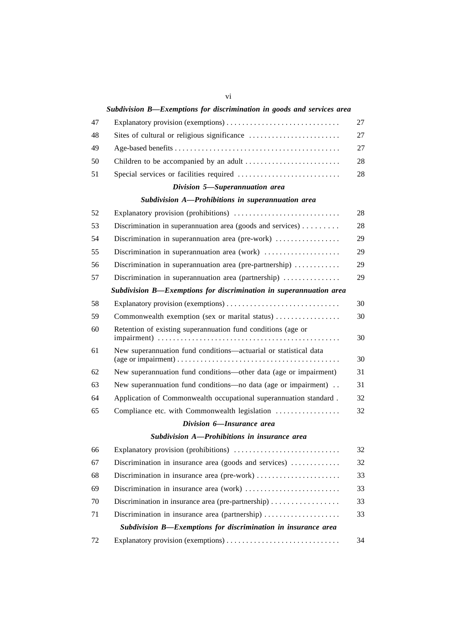|    | Subdivision B—Exemptions for discrimination in goods and services area                                                                                                        |    |
|----|-------------------------------------------------------------------------------------------------------------------------------------------------------------------------------|----|
| 47 |                                                                                                                                                                               | 27 |
| 48 |                                                                                                                                                                               | 27 |
| 49 |                                                                                                                                                                               | 27 |
| 50 |                                                                                                                                                                               | 28 |
| 51 |                                                                                                                                                                               | 28 |
|    | Division 5-Superannuation area                                                                                                                                                |    |
|    | Subdivision A-Prohibitions in superannuation area                                                                                                                             |    |
| 52 | Explanatory provision (prohibitions)                                                                                                                                          | 28 |
| 53 | Discrimination in superannuation area (goods and services) $\dots \dots$                                                                                                      | 28 |
| 54 | Discrimination in superannuation area (pre-work)                                                                                                                              | 29 |
| 55 | Discrimination in superannuation area (work)                                                                                                                                  | 29 |
| 56 | Discrimination in superannuation area (pre-partnership) $\dots\dots\dots\dots$                                                                                                | 29 |
| 57 | Discrimination in superannuation area (partnership)                                                                                                                           | 29 |
|    | Subdivision B-Exemptions for discrimination in superannuation area                                                                                                            |    |
| 58 |                                                                                                                                                                               | 30 |
| 59 | Commonwealth exemption (sex or marital status)                                                                                                                                | 30 |
| 60 | Retention of existing superannuation fund conditions (age or                                                                                                                  | 30 |
| 61 | New superannuation fund conditions-actuarial or statistical data<br>(age or impairment) $\dots \dots \dots \dots \dots \dots \dots \dots \dots \dots \dots \dots \dots \dots$ | 30 |
| 62 | New superannuation fund conditions—other data (age or impairment)                                                                                                             | 31 |
| 63 | New superannuation fund conditions—no data (age or impairment)                                                                                                                | 31 |
| 64 | Application of Commonwealth occupational superannuation standard.                                                                                                             | 32 |
| 65 | Compliance etc. with Commonwealth legislation                                                                                                                                 | 32 |
|    | Division 6-Insurance area                                                                                                                                                     |    |
|    | Subdivision A-Prohibitions in insurance area                                                                                                                                  |    |
| 66 | Explanatory provision (prohibitions)                                                                                                                                          | 32 |
| 67 | Discrimination in insurance area (goods and services) $\dots\dots\dots\dots$                                                                                                  | 32 |
| 68 | Discrimination in insurance area (pre-work)                                                                                                                                   | 33 |
| 69 | Discrimination in insurance area (work)                                                                                                                                       | 33 |
| 70 | Discrimination in insurance area (pre-partnership)                                                                                                                            | 33 |
| 71 | Discrimination in insurance area (partnership)                                                                                                                                | 33 |
|    | Subdivision B-Exemptions for discrimination in insurance area                                                                                                                 |    |
| 72 |                                                                                                                                                                               | 34 |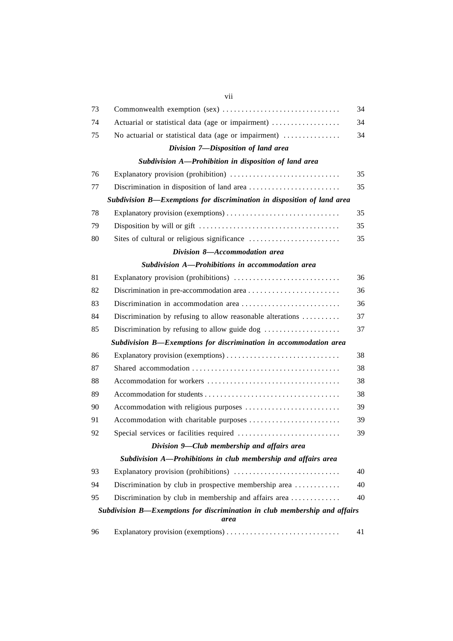| 73 |                                                                            | 34 |
|----|----------------------------------------------------------------------------|----|
| 74 | Actuarial or statistical data (age or impairment)                          | 34 |
| 75 | No actuarial or statistical data (age or impairment)                       | 34 |
|    | Division 7-Disposition of land area                                        |    |
|    | Subdivision A-Prohibition in disposition of land area                      |    |
| 76 | Explanatory provision (prohibition)                                        | 35 |
| 77 |                                                                            | 35 |
|    | Subdivision B—Exemptions for discrimination in disposition of land area    |    |
| 78 |                                                                            | 35 |
| 79 |                                                                            | 35 |
| 80 |                                                                            | 35 |
|    | Division 8-Accommodation area                                              |    |
|    | Subdivision A-Prohibitions in accommodation area                           |    |
| 81 | Explanatory provision (prohibitions)                                       | 36 |
| 82 |                                                                            | 36 |
| 83 |                                                                            | 36 |
| 84 | Discrimination by refusing to allow reasonable alterations                 | 37 |
| 85 | Discrimination by refusing to allow guide dog                              | 37 |
|    | Subdivision B-Exemptions for discrimination in accommodation area          |    |
| 86 |                                                                            | 38 |
| 87 |                                                                            | 38 |
| 88 |                                                                            | 38 |
| 89 |                                                                            | 38 |
| 90 | Accommodation with religious purposes                                      | 39 |
| 91 | Accommodation with charitable purposes                                     | 39 |
| 92 |                                                                            | 39 |
|    | Division 9—Club membership and affairs area                                |    |
|    | Subdivision A-Prohibitions in club membership and affairs area             |    |
| 93 | Explanatory provision (prohibitions)                                       | 40 |
| 94 | Discrimination by club in prospective membership area                      | 40 |
| 95 | Discrimination by club in membership and affairs area                      | 40 |
|    | Subdivision B—Exemptions for discrimination in club membership and affairs |    |
|    | area                                                                       |    |
| 96 | Explanatory provision (exemptions)                                         | 41 |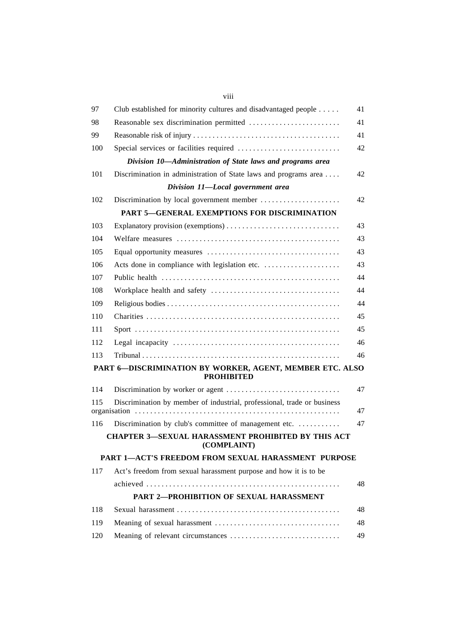| 97  | Club established for minority cultures and disadvantaged people               | 41 |
|-----|-------------------------------------------------------------------------------|----|
| 98  | Reasonable sex discrimination permitted                                       | 41 |
| 99  |                                                                               | 41 |
| 100 |                                                                               | 42 |
|     | Division 10-Administration of State laws and programs area                    |    |
| 101 | Discrimination in administration of State laws and programs area              | 42 |
|     | Division 11-Local government area                                             |    |
| 102 | Discrimination by local government member                                     | 42 |
|     | <b>PART 5-GENERAL EXEMPTIONS FOR DISCRIMINATION</b>                           |    |
| 103 |                                                                               | 43 |
| 104 |                                                                               | 43 |
| 105 |                                                                               | 43 |
| 106 |                                                                               | 43 |
| 107 |                                                                               | 44 |
| 108 |                                                                               | 44 |
| 109 |                                                                               | 44 |
| 110 |                                                                               | 45 |
| 111 |                                                                               | 45 |
| 112 |                                                                               | 46 |
| 113 |                                                                               | 46 |
|     | PART 6-DISCRIMINATION BY WORKER, AGENT, MEMBER ETC. ALSO<br><b>PROHIBITED</b> |    |
| 114 |                                                                               | 47 |
| 115 | Discrimination by member of industrial, professional, trade or business       | 47 |
| 116 | Discrimination by club's committee of management etc.                         | 47 |
|     | <b>CHAPTER 3-SEXUAL HARASSMENT PROHIBITED BY THIS ACT</b><br>(COMPLAINT)      |    |
|     | PART 1-ACT'S FREEDOM FROM SEXUAL HARASSMENT PURPOSE                           |    |
| 117 | Act's freedom from sexual harassment purpose and how it is to be              |    |
|     |                                                                               | 48 |
|     | <b>PART 2-PROHIBITION OF SEXUAL HARASSMENT</b>                                |    |
| 118 |                                                                               | 48 |
| 119 |                                                                               | 48 |
| 120 |                                                                               | 49 |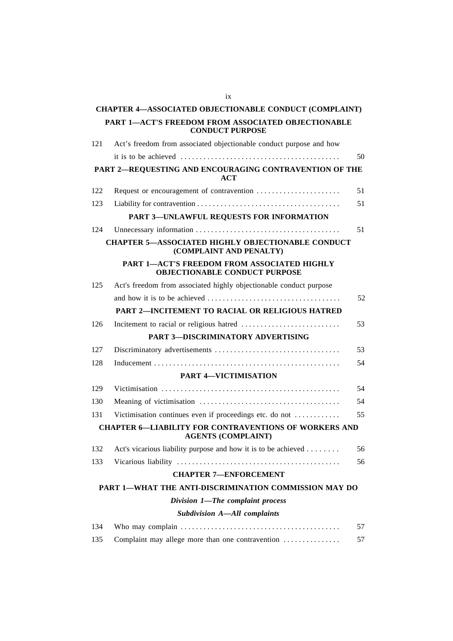|     | <b>CHAPTER 4-ASSOCIATED OBJECTIONABLE CONDUCT (COMPLAINT)</b>                             |    |
|-----|-------------------------------------------------------------------------------------------|----|
|     | PART 1-ACT'S FREEDOM FROM ASSOCIATED OBJECTIONABLE<br><b>CONDUCT PURPOSE</b>              |    |
| 121 | Act's freedom from associated objectionable conduct purpose and how                       |    |
|     |                                                                                           | 50 |
|     | PART 2-REQUESTING AND ENCOURAGING CONTRAVENTION OF THE<br>ACT                             |    |
| 122 | Request or encouragement of contravention                                                 | 51 |
| 123 |                                                                                           | 51 |
|     | PART 3-UNLAWFUL REQUESTS FOR INFORMATION                                                  |    |
| 124 |                                                                                           | 51 |
|     | <b>CHAPTER 5-ASSOCIATED HIGHLY OBJECTIONABLE CONDUCT</b><br>(COMPLAINT AND PENALTY)       |    |
|     | PART 1-ACT'S FREEDOM FROM ASSOCIATED HIGHLY<br><b>OBJECTIONABLE CONDUCT PURPOSE</b>       |    |
| 125 | Act's freedom from associated highly objectionable conduct purpose                        |    |
|     |                                                                                           | 52 |
|     | <b>PART 2-INCITEMENT TO RACIAL OR RELIGIOUS HATRED</b>                                    |    |
| 126 |                                                                                           | 53 |
|     | <b>PART 3-DISCRIMINATORY ADVERTISING</b>                                                  |    |
| 127 |                                                                                           | 53 |
| 128 |                                                                                           | 54 |
|     | <b>PART 4-VICTIMISATION</b>                                                               |    |
| 129 |                                                                                           | 54 |
| 130 |                                                                                           | 54 |
| 131 | Victimisation continues even if proceedings etc. do not                                   | 55 |
|     | <b>CHAPTER 6-LIABILITY FOR CONTRAVENTIONS OF WORKERS AND</b><br><b>AGENTS (COMPLAINT)</b> |    |
| 132 | Act's vicarious liability purpose and how it is to be achieved                            | 56 |
| 133 |                                                                                           | 56 |
|     | <b>CHAPTER 7-ENFORCEMENT</b>                                                              |    |
|     | PART 1-WHAT THE ANTI-DISCRIMINATION COMMISSION MAY DO                                     |    |
|     | Division 1-The complaint process                                                          |    |
|     | Subdivision A-All complaints                                                              |    |
| 134 |                                                                                           | 57 |
| 135 | Complaint may allege more than one contravention                                          | 57 |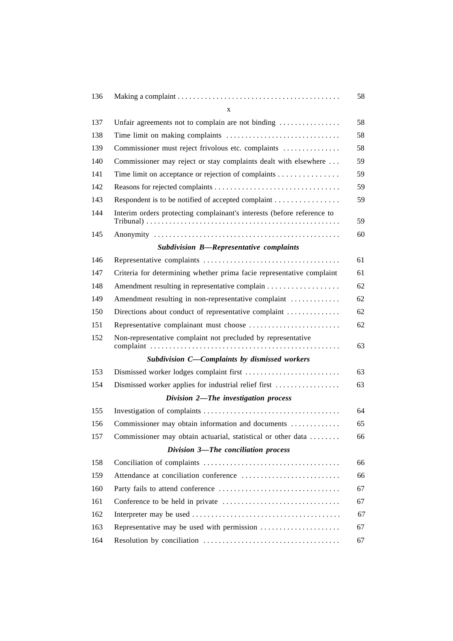| 136 |                                                                        | 58 |
|-----|------------------------------------------------------------------------|----|
|     | X                                                                      |    |
| 137 | Unfair agreements not to complain are not binding                      | 58 |
| 138 |                                                                        | 58 |
| 139 | Commissioner must reject frivolous etc. complaints                     | 58 |
| 140 | Commissioner may reject or stay complaints dealt with elsewhere        | 59 |
| 141 | Time limit on acceptance or rejection of complaints                    | 59 |
| 142 |                                                                        | 59 |
| 143 | Respondent is to be notified of accepted complaint                     | 59 |
| 144 | Interim orders protecting complainant's interests (before reference to | 59 |
| 145 |                                                                        | 60 |
|     | Subdivision B-Representative complaints                                |    |
| 146 |                                                                        | 61 |
| 147 | Criteria for determining whether prima facie representative complaint  | 61 |
| 148 | Amendment resulting in representative complain                         | 62 |
| 149 | Amendment resulting in non-representative complaint                    | 62 |
| 150 | Directions about conduct of representative complaint                   | 62 |
| 151 | Representative complainant must choose                                 | 62 |
| 152 | Non-representative complaint not precluded by representative           | 63 |
|     | Subdivision C-Complaints by dismissed workers                          |    |
| 153 |                                                                        | 63 |
| 154 | Dismissed worker applies for industrial relief first                   | 63 |
|     | Division 2-The investigation process                                   |    |
| 155 |                                                                        | 64 |
| 156 | Commissioner may obtain information and documents                      | 65 |
| 157 | Commissioner may obtain actuarial, statistical or other data           | 66 |
|     | Division 3-The conciliation process                                    |    |
| 158 |                                                                        | 66 |
| 159 | Attendance at conciliation conference                                  | 66 |
| 160 |                                                                        | 67 |
| 161 |                                                                        | 67 |
| 162 |                                                                        | 67 |
| 163 | Representative may be used with permission                             | 67 |
| 164 |                                                                        | 67 |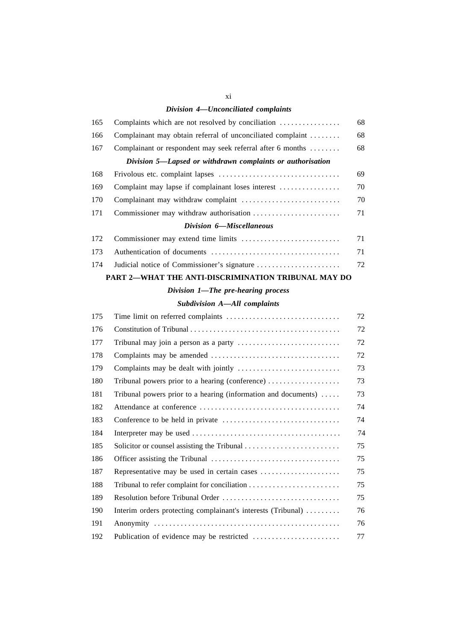#### *Division 4—Unconciliated complaints*

| 165 | Complaints which are not resolved by conciliation          | 68 |
|-----|------------------------------------------------------------|----|
| 166 | Complainant may obtain referral of unconciliated complaint | 68 |
| 167 | Complainant or respondent may seek referral after 6 months | 68 |
|     | Division 5—Lapsed or withdrawn complaints or authorisation |    |
| 168 |                                                            | 69 |
| 169 | Complaint may lapse if complainant loses interest          | 70 |
| 170 |                                                            | 70 |
| 171 |                                                            | 71 |
|     | Division 6–Miscellaneous                                   |    |

#### **PART 2—WHAT THE ANTI-DISCRIMINATION TRIBUNAL MAY DO**

#### *Division 1—The pre-hearing process*

#### *Subdivision A—All complaints*

| 175 |                                                                                  | 72 |
|-----|----------------------------------------------------------------------------------|----|
| 176 |                                                                                  | 72 |
| 177 |                                                                                  | 72 |
| 178 |                                                                                  | 72 |
| 179 |                                                                                  | 73 |
| 180 | Tribunal powers prior to a hearing (conference) $\dots\dots\dots\dots\dots\dots$ | 73 |
| 181 | Tribunal powers prior to a hearing (information and documents) $\dots$           | 73 |
| 182 |                                                                                  | 74 |
| 183 |                                                                                  | 74 |
| 184 |                                                                                  | 74 |
| 185 |                                                                                  | 75 |
| 186 |                                                                                  | 75 |
| 187 | Representative may be used in certain cases                                      | 75 |
| 188 |                                                                                  | 75 |
| 189 |                                                                                  | 75 |
| 190 | Interim orders protecting complainant's interests (Tribunal)                     | 76 |
| 191 |                                                                                  | 76 |
| 192 | Publication of evidence may be restricted                                        | 77 |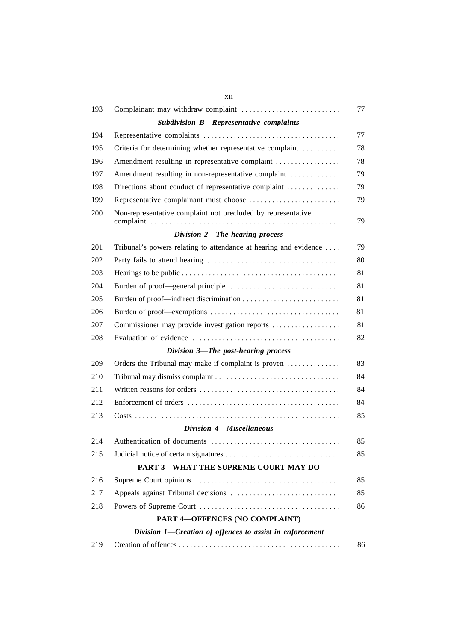| 193 | Complainant may withdraw complaint                               | 77 |
|-----|------------------------------------------------------------------|----|
|     | Subdivision B-Representative complaints                          |    |
| 194 |                                                                  | 77 |
| 195 | Criteria for determining whether representative complaint        | 78 |
| 196 | Amendment resulting in representative complaint                  | 78 |
| 197 | Amendment resulting in non-representative complaint              | 79 |
| 198 | Directions about conduct of representative complaint             | 79 |
| 199 | Representative complainant must choose                           | 79 |
| 200 | Non-representative complaint not precluded by representative     | 79 |
|     | Division 2-The hearing process                                   |    |
| 201 | Tribunal's powers relating to attendance at hearing and evidence | 79 |
| 202 |                                                                  | 80 |
| 203 |                                                                  | 81 |
| 204 |                                                                  | 81 |
| 205 |                                                                  | 81 |
| 206 |                                                                  | 81 |
| 207 | Commissioner may provide investigation reports                   | 81 |
| 208 |                                                                  | 82 |
|     | Division 3-The post-hearing process                              |    |
| 209 | Orders the Tribunal may make if complaint is proven              | 83 |
| 210 |                                                                  | 84 |
| 211 |                                                                  | 84 |
| 212 |                                                                  | 84 |
| 213 |                                                                  | 85 |
|     | Division 4-Miscellaneous                                         |    |
| 214 |                                                                  | 85 |
| 215 |                                                                  | 85 |
|     | PART 3-WHAT THE SUPREME COURT MAY DO                             |    |
| 216 |                                                                  | 85 |
| 217 |                                                                  | 85 |
| 218 |                                                                  | 86 |
|     | PART 4-OFFENCES (NO COMPLAINT)                                   |    |
|     | Division 1-Creation of offences to assist in enforcement         |    |
| 219 |                                                                  | 86 |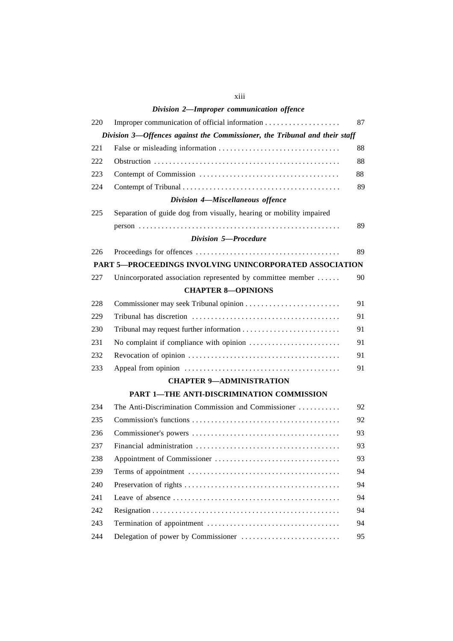|     | Division 2-Improper communication offence                                  |    |
|-----|----------------------------------------------------------------------------|----|
| 220 |                                                                            | 87 |
|     | Division 3-Offences against the Commissioner, the Tribunal and their staff |    |
| 221 |                                                                            | 88 |
| 222 |                                                                            | 88 |
| 223 |                                                                            | 88 |
| 224 |                                                                            | 89 |
|     | Division 4-Miscellaneous offence                                           |    |
| 225 | Separation of guide dog from visually, hearing or mobility impaired        |    |
|     |                                                                            | 89 |
|     | Division 5-Procedure                                                       |    |
| 226 |                                                                            | 89 |
|     | PART 5-PROCEEDINGS INVOLVING UNINCORPORATED ASSOCIATION                    |    |
| 227 | Unincorporated association represented by committee member                 | 90 |
|     | <b>CHAPTER 8-OPINIONS</b>                                                  |    |
| 228 |                                                                            | 91 |
| 229 |                                                                            | 91 |
| 230 |                                                                            | 91 |
| 231 |                                                                            | 91 |
| 232 |                                                                            | 91 |
| 233 |                                                                            | 91 |
|     | <b>CHAPTER 9-ADMINISTRATION</b>                                            |    |
|     | PART 1-THE ANTI-DISCRIMINATION COMMISSION                                  |    |
| 234 | The Anti-Discrimination Commission and Commissioner                        | 92 |
| 235 |                                                                            | 92 |
| 236 |                                                                            | 93 |
| 237 |                                                                            | 93 |
| 238 |                                                                            | 93 |
| 239 |                                                                            | 94 |
| 240 |                                                                            | 94 |
| 241 |                                                                            | 94 |
| 242 |                                                                            | 94 |
| 243 |                                                                            | 94 |
| 244 |                                                                            | 95 |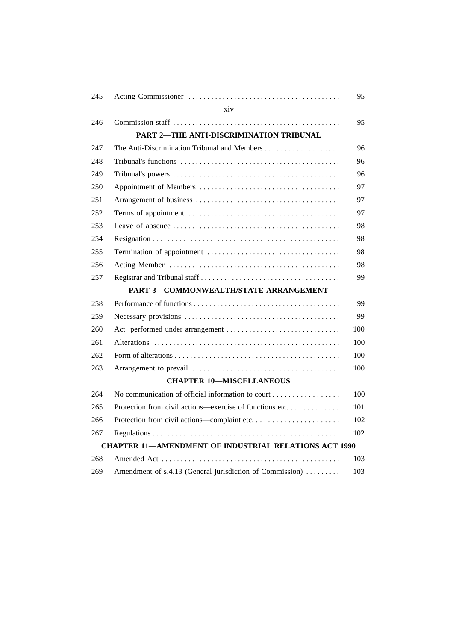| 245 |                                                              | 95  |
|-----|--------------------------------------------------------------|-----|
|     | xiv                                                          |     |
| 246 |                                                              | 95  |
|     | PART 2-THE ANTI-DISCRIMINATION TRIBUNAL                      |     |
| 247 |                                                              | 96  |
| 248 |                                                              | 96  |
| 249 |                                                              | 96  |
| 250 |                                                              | 97  |
| 251 |                                                              | 97  |
| 252 |                                                              | 97  |
| 253 |                                                              | 98  |
| 254 |                                                              | 98  |
| 255 |                                                              | 98  |
| 256 |                                                              | 98  |
| 257 |                                                              | 99  |
|     | <b>PART 3-COMMONWEALTH/STATE ARRANGEMENT</b>                 |     |
| 258 |                                                              | 99  |
| 259 |                                                              | 99  |
| 260 |                                                              | 100 |
| 261 |                                                              | 100 |
| 262 |                                                              | 100 |
| 263 |                                                              | 100 |
|     | <b>CHAPTER 10-MISCELLANEOUS</b>                              |     |
| 264 | No communication of official information to court            | 100 |
| 265 | Protection from civil actions—exercise of functions etc      | 101 |
| 266 |                                                              | 102 |
| 267 |                                                              | 102 |
|     | <b>CHAPTER 11-AMENDMENT OF INDUSTRIAL RELATIONS ACT 1990</b> |     |
| 268 |                                                              | 103 |
| 269 | Amendment of s.4.13 (General jurisdiction of Commission)     | 103 |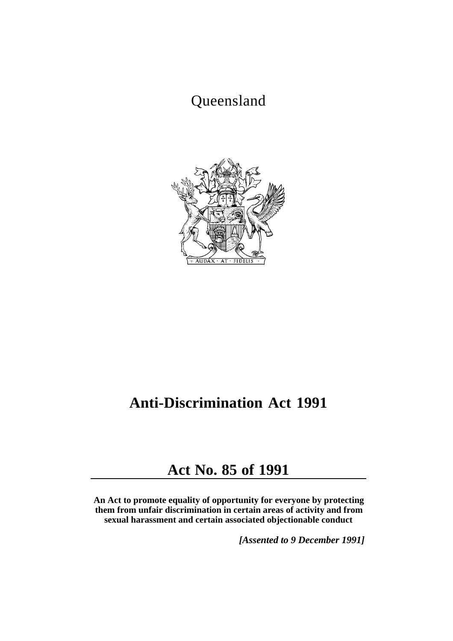# Queensland



# **Anti-Discrimination Act 1991**

# **Act No. 85 of 1991**

**An Act to promote equality of opportunity for everyone by protecting them from unfair discrimination in certain areas of activity and from sexual harassment and certain associated objectionable conduct** 

*[Assented to 9 December 1991]*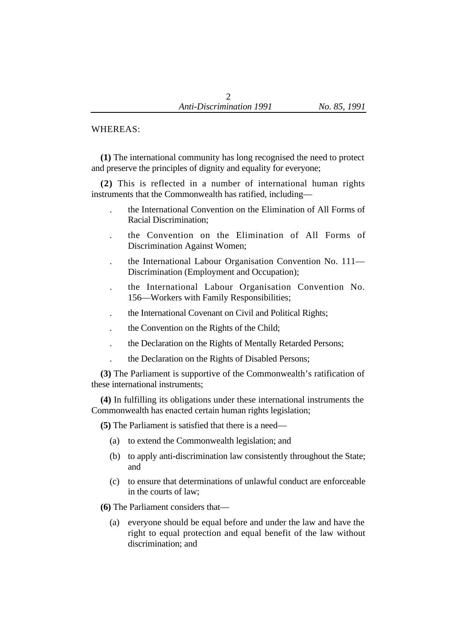#### WHEREAS:

**(1)** The international community has long recognised the need to protect and preserve the principles of dignity and equality for everyone;

**(2)** This is reflected in a number of international human rights instruments that the Commonwealth has ratified, including—

- . the International Convention on the Elimination of All Forms of Racial Discrimination;
- . the Convention on the Elimination of All Forms of Discrimination Against Women;
- . the International Labour Organisation Convention No. 111— Discrimination (Employment and Occupation);
- . the International Labour Organisation Convention No. 156—Workers with Family Responsibilities;
- . the International Covenant on Civil and Political Rights;
- . the Convention on the Rights of the Child;
- . the Declaration on the Rights of Mentally Retarded Persons;
- . the Declaration on the Rights of Disabled Persons;

**(3)** The Parliament is supportive of the Commonwealth's ratification of these international instruments;

**(4)** In fulfilling its obligations under these international instruments the Commonwealth has enacted certain human rights legislation;

**(5)** The Parliament is satisfied that there is a need—

- (a) to extend the Commonwealth legislation; and
- (b) to apply anti-discrimination law consistently throughout the State; and
- (c) to ensure that determinations of unlawful conduct are enforceable in the courts of law;

**(6)** The Parliament considers that—

(a) everyone should be equal before and under the law and have the right to equal protection and equal benefit of the law without discrimination; and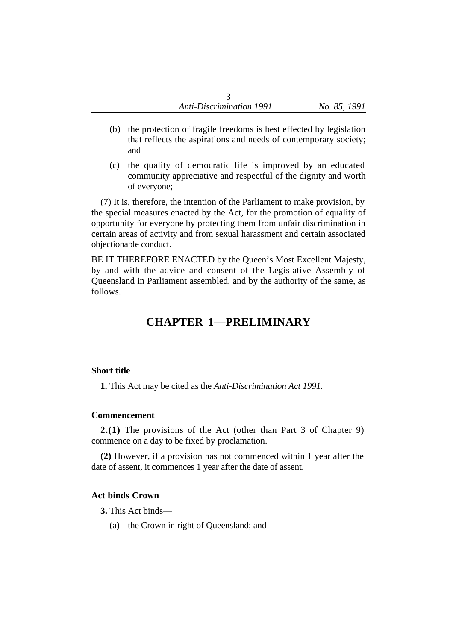- (b) the protection of fragile freedoms is best effected by legislation that reflects the aspirations and needs of contemporary society; and
- (c) the quality of democratic life is improved by an educated community appreciative and respectful of the dignity and worth of everyone;

(7) It is, therefore, the intention of the Parliament to make provision, by the special measures enacted by the Act, for the promotion of equality of opportunity for everyone by protecting them from unfair discrimination in certain areas of activity and from sexual harassment and certain associated objectionable conduct.

BE IT THEREFORE ENACTED by the Queen's Most Excellent Majesty, by and with the advice and consent of the Legislative Assembly of Queensland in Parliament assembled, and by the authority of the same, as follows.

# **CHAPTER 1—PRELIMINARY**

### **Short title**

**1.** This Act may be cited as the *Anti-Discrimination Act 1991*.

#### **Commencement**

**2.(1)** The provisions of the Act (other than Part 3 of Chapter 9) commence on a day to be fixed by proclamation.

**(2)** However, if a provision has not commenced within 1 year after the date of assent, it commences 1 year after the date of assent.

# **Act binds Crown**

- **3.** This Act binds—
	- (a) the Crown in right of Queensland; and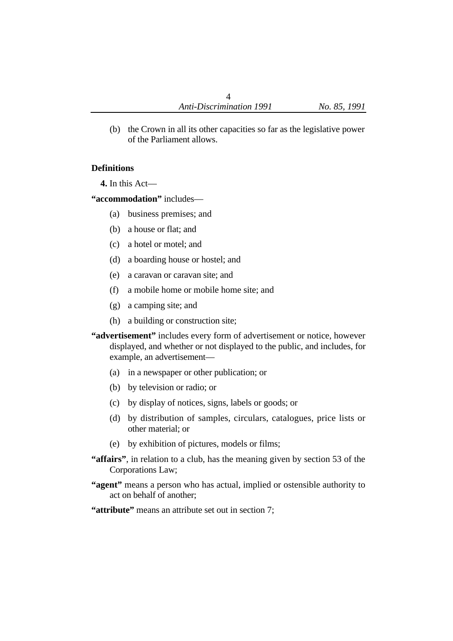(b) the Crown in all its other capacities so far as the legislative power of the Parliament allows.

## **Definitions**

**4.** In this Act—

**"accommodation"** includes—

- (a) business premises; and
- (b) a house or flat; and
- (c) a hotel or motel; and
- (d) a boarding house or hostel; and
- (e) a caravan or caravan site; and
- (f) a mobile home or mobile home site; and
- (g) a camping site; and
- (h) a building or construction site;
- **"advertisement"** includes every form of advertisement or notice, however displayed, and whether or not displayed to the public, and includes, for example, an advertisement—
	- (a) in a newspaper or other publication; or
	- (b) by television or radio; or
	- (c) by display of notices, signs, labels or goods; or
	- (d) by distribution of samples, circulars, catalogues, price lists or other material; or
	- (e) by exhibition of pictures, models or films;
- **"affairs"**, in relation to a club, has the meaning given by section 53 of the Corporations Law;
- **"agent"** means a person who has actual, implied or ostensible authority to act on behalf of another;
- **"attribute"** means an attribute set out in section 7;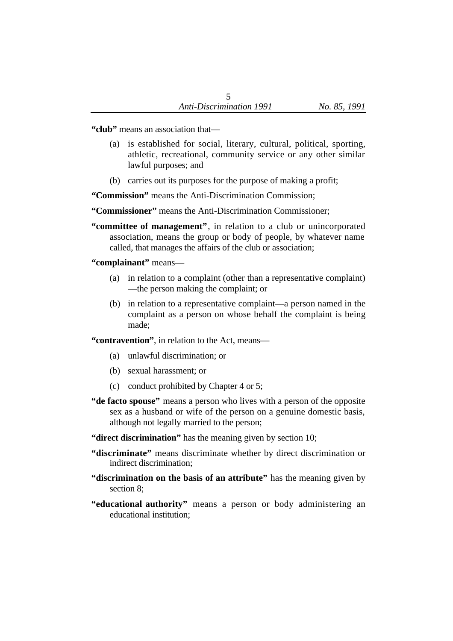**"club"** means an association that—

- (a) is established for social, literary, cultural, political, sporting, athletic, recreational, community service or any other similar lawful purposes; and
- (b) carries out its purposes for the purpose of making a profit;

**"Commission"** means the Anti-Discrimination Commission;

**"Commissioner"** means the Anti-Discrimination Commissioner;

**"committee of management"**, in relation to a club or unincorporated association, means the group or body of people, by whatever name called, that manages the affairs of the club or association;

## **"complainant"** means—

- (a) in relation to a complaint (other than a representative complaint) —the person making the complaint; or
- (b) in relation to a representative complaint—a person named in the complaint as a person on whose behalf the complaint is being made;

**"contravention"**, in relation to the Act, means—

- (a) unlawful discrimination; or
- (b) sexual harassment; or
- (c) conduct prohibited by Chapter 4 or 5;
- **"de facto spouse"** means a person who lives with a person of the opposite sex as a husband or wife of the person on a genuine domestic basis, although not legally married to the person;
- **"direct discrimination"** has the meaning given by section 10;
- **"discriminate"** means discriminate whether by direct discrimination or indirect discrimination;
- **"discrimination on the basis of an attribute"** has the meaning given by section 8;
- **"educational authority"** means a person or body administering an educational institution;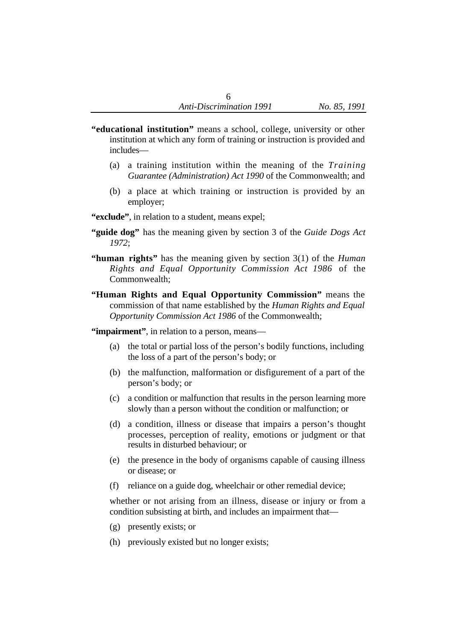- **"educational institution"** means a school, college, university or other institution at which any form of training or instruction is provided and includes—
	- (a) a training institution within the meaning of the *Training Guarantee (Administration) Act 1990* of the Commonwealth; and
	- (b) a place at which training or instruction is provided by an employer;
- **"exclude"**, in relation to a student, means expel;
- **"guide dog"** has the meaning given by section 3 of the *Guide Dogs Act 1972*;
- **"human rights"** has the meaning given by section 3(1) of the *Human Rights and Equal Opportunity Commission Act 1986* of the Commonwealth;
- **"Human Rights and Equal Opportunity Commission"** means the commission of that name established by the *Human Rights and Equal Opportunity Commission Act 1986* of the Commonwealth;

**"impairment"**, in relation to a person, means—

- (a) the total or partial loss of the person's bodily functions, including the loss of a part of the person's body; or
- (b) the malfunction, malformation or disfigurement of a part of the person's body; or
- (c) a condition or malfunction that results in the person learning more slowly than a person without the condition or malfunction; or
- (d) a condition, illness or disease that impairs a person's thought processes, perception of reality, emotions or judgment or that results in disturbed behaviour; or
- (e) the presence in the body of organisms capable of causing illness or disease; or
- (f) reliance on a guide dog, wheelchair or other remedial device;

whether or not arising from an illness, disease or injury or from a condition subsisting at birth, and includes an impairment that—

- (g) presently exists; or
- (h) previously existed but no longer exists;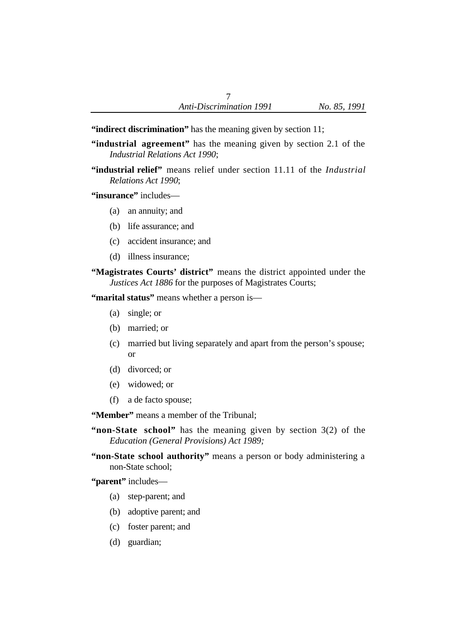**"indirect discrimination"** has the meaning given by section 11;

- **"industrial agreement"** has the meaning given by section 2.1 of the *Industrial Relations Act 1990*;
- **"industrial relief"** means relief under section 11.11 of the *Industrial Relations Act 1990*;

**"insurance"** includes—

- (a) an annuity; and
- (b) life assurance; and
- (c) accident insurance; and
- (d) illness insurance;
- **"Magistrates Courts' district"** means the district appointed under the *Justices Act 1886* for the purposes of Magistrates Courts;

**"marital status"** means whether a person is—

- (a) single; or
- (b) married; or
- (c) married but living separately and apart from the person's spouse; or
- (d) divorced; or
- (e) widowed; or
- (f) a de facto spouse;

**"Member"** means a member of the Tribunal;

- **"non-State school"** has the meaning given by section 3(2) of the *Education (General Provisions) Act 1989;*
- **"non-State school authority"** means a person or body administering a non-State school;

**"parent"** includes—

- (a) step-parent; and
- (b) adoptive parent; and
- (c) foster parent; and
- (d) guardian;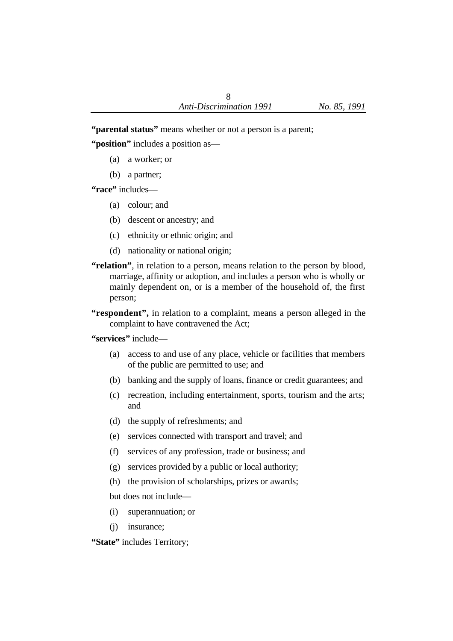**"parental status"** means whether or not a person is a parent;

**"position"** includes a position as—

- (a) a worker; or
- (b) a partner;

**"race"** includes—

- (a) colour; and
- (b) descent or ancestry; and
- (c) ethnicity or ethnic origin; and
- (d) nationality or national origin;
- **"relation"**, in relation to a person, means relation to the person by blood, marriage, affinity or adoption, and includes a person who is wholly or mainly dependent on, or is a member of the household of, the first person;
- **"respondent",** in relation to a complaint, means a person alleged in the complaint to have contravened the Act;

**"services"** include—

- (a) access to and use of any place, vehicle or facilities that members of the public are permitted to use; and
- (b) banking and the supply of loans, finance or credit guarantees; and
- (c) recreation, including entertainment, sports, tourism and the arts; and
- (d) the supply of refreshments; and
- (e) services connected with transport and travel; and
- (f) services of any profession, trade or business; and
- (g) services provided by a public or local authority;
- (h) the provision of scholarships, prizes or awards;

but does not include—

- (i) superannuation; or
- (j) insurance;

**"State"** includes Territory;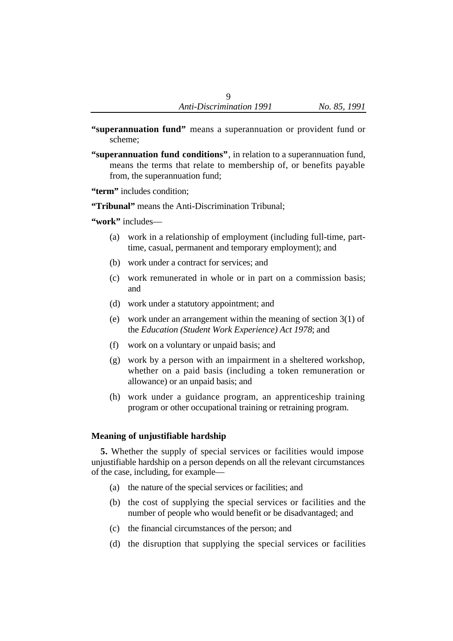- **"superannuation fund"** means a superannuation or provident fund or scheme;
- **"superannuation fund conditions"**, in relation to a superannuation fund, means the terms that relate to membership of, or benefits payable from, the superannuation fund;

**"term"** includes condition;

**"Tribunal"** means the Anti-Discrimination Tribunal;

**"work"** includes—

- (a) work in a relationship of employment (including full-time, parttime, casual, permanent and temporary employment); and
- (b) work under a contract for services; and
- (c) work remunerated in whole or in part on a commission basis; and
- (d) work under a statutory appointment; and
- (e) work under an arrangement within the meaning of section 3(1) of the *Education (Student Work Experience) Act 1978*; and
- (f) work on a voluntary or unpaid basis; and
- (g) work by a person with an impairment in a sheltered workshop, whether on a paid basis (including a token remuneration or allowance) or an unpaid basis; and
- (h) work under a guidance program, an apprenticeship training program or other occupational training or retraining program.

### **Meaning of unjustifiable hardship**

**5.** Whether the supply of special services or facilities would impose unjustifiable hardship on a person depends on all the relevant circumstances of the case, including, for example—

- (a) the nature of the special services or facilities; and
- (b) the cost of supplying the special services or facilities and the number of people who would benefit or be disadvantaged; and
- (c) the financial circumstances of the person; and
- (d) the disruption that supplying the special services or facilities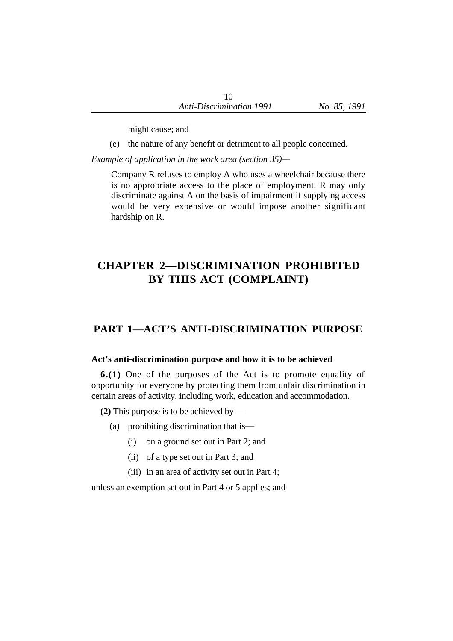might cause; and

(e) the nature of any benefit or detriment to all people concerned.

*Example of application in the work area (section 35)—*

Company R refuses to employ A who uses a wheelchair because there is no appropriate access to the place of employment. R may only discriminate against A on the basis of impairment if supplying access would be very expensive or would impose another significant hardship on R.

# **CHAPTER 2—DISCRIMINATION PROHIBITED BY THIS ACT (COMPLAINT)**

# **PART 1—ACT'S ANTI-DISCRIMINATION PURPOSE**

#### **Act's anti-discrimination purpose and how it is to be achieved**

**6.(1)** One of the purposes of the Act is to promote equality of opportunity for everyone by protecting them from unfair discrimination in certain areas of activity, including work, education and accommodation.

**(2)** This purpose is to be achieved by—

- (a) prohibiting discrimination that is—
	- (i) on a ground set out in Part 2; and
	- (ii) of a type set out in Part 3; and
	- (iii) in an area of activity set out in Part 4;

unless an exemption set out in Part 4 or 5 applies; and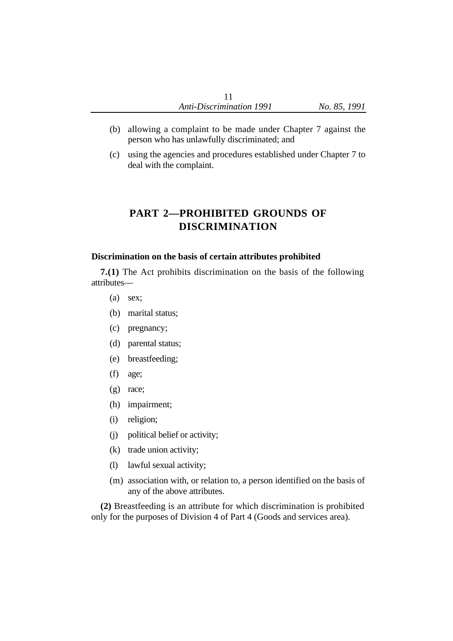- (b) allowing a complaint to be made under Chapter 7 against the person who has unlawfully discriminated; and
- (c) using the agencies and procedures established under Chapter 7 to deal with the complaint.

# **PART 2—PROHIBITED GROUNDS OF DISCRIMINATION**

### **Discrimination on the basis of certain attributes prohibited**

**7.(1)** The Act prohibits discrimination on the basis of the following attributes—

- (a) sex;
- (b) marital status;
- (c) pregnancy;
- (d) parental status;
- (e) breastfeeding;
- (f) age;
- (g) race;
- (h) impairment;
- (i) religion;
- (j) political belief or activity;
- (k) trade union activity;
- (l) lawful sexual activity;
- (m) association with, or relation to, a person identified on the basis of any of the above attributes.

**(2)** Breastfeeding is an attribute for which discrimination is prohibited only for the purposes of Division 4 of Part 4 (Goods and services area).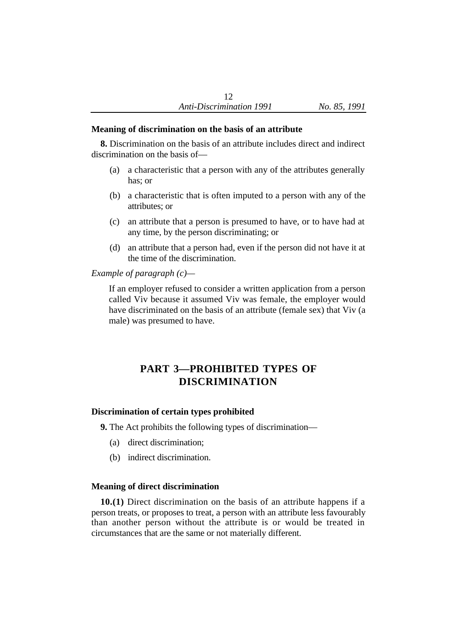#### **Meaning of discrimination on the basis of an attribute**

**8.** Discrimination on the basis of an attribute includes direct and indirect discrimination on the basis of—

- (a) a characteristic that a person with any of the attributes generally has; or
- (b) a characteristic that is often imputed to a person with any of the attributes; or
- (c) an attribute that a person is presumed to have, or to have had at any time, by the person discriminating; or
- (d) an attribute that a person had, even if the person did not have it at the time of the discrimination.

*Example of paragraph (c)—*

If an employer refused to consider a written application from a person called Viv because it assumed Viv was female, the employer would have discriminated on the basis of an attribute (female sex) that Viv (a male) was presumed to have.

# **PART 3—PROHIBITED TYPES OF DISCRIMINATION**

#### **Discrimination of certain types prohibited**

**9.** The Act prohibits the following types of discrimination—

- (a) direct discrimination;
- (b) indirect discrimination.

#### **Meaning of direct discrimination**

**10.(1)** Direct discrimination on the basis of an attribute happens if a person treats, or proposes to treat, a person with an attribute less favourably than another person without the attribute is or would be treated in circumstances that are the same or not materially different.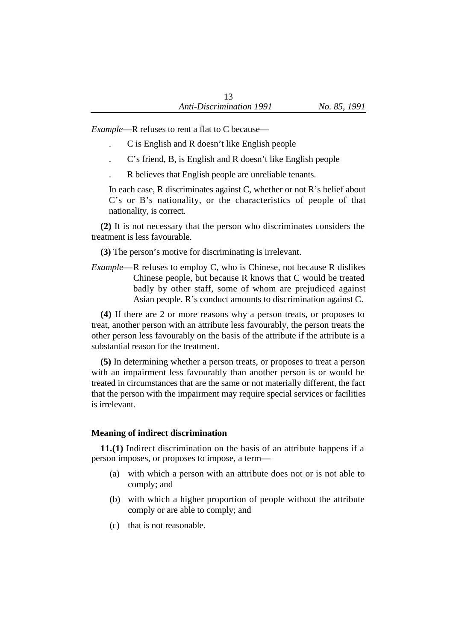*Example*—R refuses to rent a flat to C because—

- . C is English and R doesn't like English people
- . C's friend, B, is English and R doesn't like English people
- . R believes that English people are unreliable tenants.

In each case, R discriminates against C, whether or not R's belief about C's or B's nationality, or the characteristics of people of that nationality, is correct.

**(2)** It is not necessary that the person who discriminates considers the treatment is less favourable.

**(3)** The person's motive for discriminating is irrelevant.

*Example*—R refuses to employ C, who is Chinese, not because R dislikes Chinese people, but because R knows that C would be treated badly by other staff, some of whom are prejudiced against Asian people. R's conduct amounts to discrimination against C.

**(4)** If there are 2 or more reasons why a person treats, or proposes to treat, another person with an attribute less favourably, the person treats the other person less favourably on the basis of the attribute if the attribute is a substantial reason for the treatment.

**(5)** In determining whether a person treats, or proposes to treat a person with an impairment less favourably than another person is or would be treated in circumstances that are the same or not materially different, the fact that the person with the impairment may require special services or facilities is irrelevant.

### **Meaning of indirect discrimination**

**11.(1)** Indirect discrimination on the basis of an attribute happens if a person imposes, or proposes to impose, a term—

- (a) with which a person with an attribute does not or is not able to comply; and
- (b) with which a higher proportion of people without the attribute comply or are able to comply; and
- (c) that is not reasonable.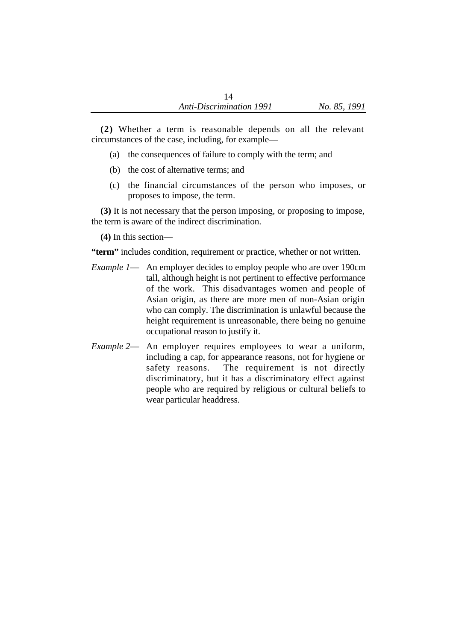**(2)** Whether a term is reasonable depends on all the relevant circumstances of the case, including, for example—

- (a) the consequences of failure to comply with the term; and
- (b) the cost of alternative terms; and
- (c) the financial circumstances of the person who imposes, or proposes to impose, the term.

**(3)** It is not necessary that the person imposing, or proposing to impose, the term is aware of the indirect discrimination.

**(4)** In this section—

**"term"** includes condition, requirement or practice, whether or not written.

- *Example 1* An employer decides to employ people who are over 190cm tall, although height is not pertinent to effective performance of the work. This disadvantages women and people of Asian origin, as there are more men of non-Asian origin who can comply. The discrimination is unlawful because the height requirement is unreasonable, there being no genuine occupational reason to justify it.
- *Example 2* An employer requires employees to wear a uniform, including a cap, for appearance reasons, not for hygiene or safety reasons. The requirement is not directly discriminatory, but it has a discriminatory effect against people who are required by religious or cultural beliefs to wear particular headdress.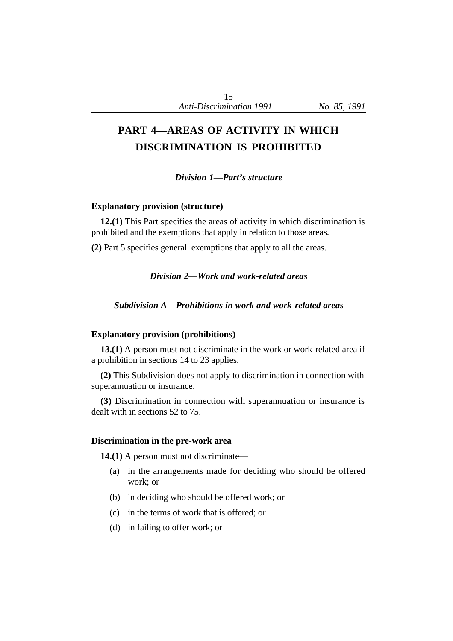# **PART 4—AREAS OF ACTIVITY IN WHICH DISCRIMINATION IS PROHIBITED**

*Division 1—Part's structure*

#### **Explanatory provision (structure)**

**12.(1)** This Part specifies the areas of activity in which discrimination is prohibited and the exemptions that apply in relation to those areas.

**(2)** Part 5 specifies general exemptions that apply to all the areas.

#### *Division 2—Work and work-related areas*

*Subdivision A—Prohibitions in work and work-related areas*

#### **Explanatory provision (prohibitions)**

**13.(1)** A person must not discriminate in the work or work-related area if a prohibition in sections 14 to 23 applies.

**(2)** This Subdivision does not apply to discrimination in connection with superannuation or insurance.

**(3)** Discrimination in connection with superannuation or insurance is dealt with in sections 52 to 75.

#### **Discrimination in the pre-work area**

**14.(1)** A person must not discriminate—

- (a) in the arrangements made for deciding who should be offered work; or
- (b) in deciding who should be offered work; or
- (c) in the terms of work that is offered; or
- (d) in failing to offer work; or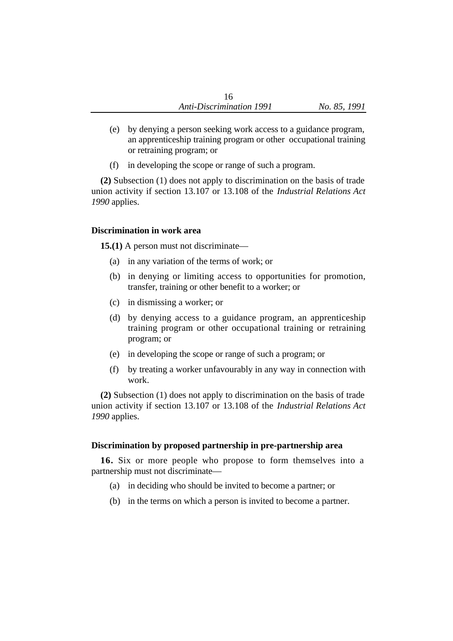- (e) by denying a person seeking work access to a guidance program, an apprenticeship training program or other occupational training or retraining program; or
- (f) in developing the scope or range of such a program.

**(2)** Subsection (1) does not apply to discrimination on the basis of trade union activity if section 13.107 or 13.108 of the *Industrial Relations Act 1990* applies.

#### **Discrimination in work area**

**15.(1)** A person must not discriminate—

- (a) in any variation of the terms of work; or
- (b) in denying or limiting access to opportunities for promotion, transfer, training or other benefit to a worker; or
- (c) in dismissing a worker; or
- (d) by denying access to a guidance program, an apprenticeship training program or other occupational training or retraining program; or
- (e) in developing the scope or range of such a program; or
- (f) by treating a worker unfavourably in any way in connection with work.

**(2)** Subsection (1) does not apply to discrimination on the basis of trade union activity if section 13.107 or 13.108 of the *Industrial Relations Act 1990* applies.

### **Discrimination by proposed partnership in pre-partnership area**

**16.** Six or more people who propose to form themselves into a partnership must not discriminate—

- (a) in deciding who should be invited to become a partner; or
- (b) in the terms on which a person is invited to become a partner.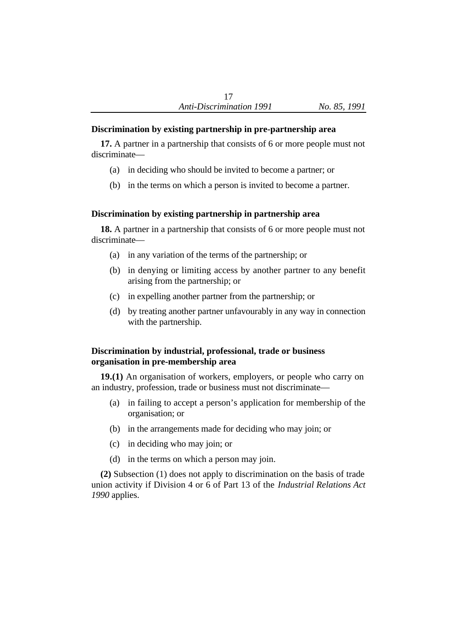## **Discrimination by existing partnership in pre-partnership area**

**17.** A partner in a partnership that consists of 6 or more people must not discriminate—

- (a) in deciding who should be invited to become a partner; or
- (b) in the terms on which a person is invited to become a partner.

# **Discrimination by existing partnership in partnership area**

**18.** A partner in a partnership that consists of 6 or more people must not discriminate—

- (a) in any variation of the terms of the partnership; or
- (b) in denying or limiting access by another partner to any benefit arising from the partnership; or
- (c) in expelling another partner from the partnership; or
- (d) by treating another partner unfavourably in any way in connection with the partnership.

# **Discrimination by industrial, professional, trade or business organisation in pre-membership area**

**19.(1)** An organisation of workers, employers, or people who carry on an industry, profession, trade or business must not discriminate—

- (a) in failing to accept a person's application for membership of the organisation; or
- (b) in the arrangements made for deciding who may join; or
- (c) in deciding who may join; or
- (d) in the terms on which a person may join.

**(2)** Subsection (1) does not apply to discrimination on the basis of trade union activity if Division 4 or 6 of Part 13 of the *Industrial Relations Act 1990* applies.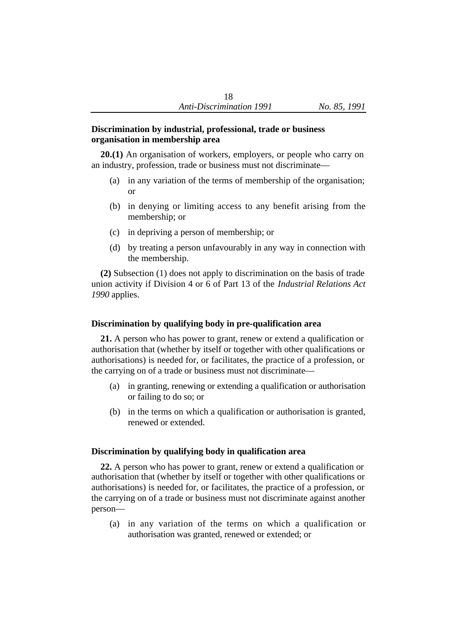#### **Discrimination by industrial, professional, trade or business organisation in membership area**

**20.(1)** An organisation of workers, employers, or people who carry on an industry, profession, trade or business must not discriminate—

- (a) in any variation of the terms of membership of the organisation; or
- (b) in denying or limiting access to any benefit arising from the membership; or
- (c) in depriving a person of membership; or
- (d) by treating a person unfavourably in any way in connection with the membership.

**(2)** Subsection (1) does not apply to discrimination on the basis of trade union activity if Division 4 or 6 of Part 13 of the *Industrial Relations Act 1990* applies.

## **Discrimination by qualifying body in pre-qualification area**

**21.** A person who has power to grant, renew or extend a qualification or authorisation that (whether by itself or together with other qualifications or authorisations) is needed for, or facilitates, the practice of a profession, or the carrying on of a trade or business must not discriminate—

- (a) in granting, renewing or extending a qualification or authorisation or failing to do so; or
- (b) in the terms on which a qualification or authorisation is granted, renewed or extended.

### **Discrimination by qualifying body in qualification area**

**22.** A person who has power to grant, renew or extend a qualification or authorisation that (whether by itself or together with other qualifications or authorisations) is needed for, or facilitates, the practice of a profession, or the carrying on of a trade or business must not discriminate against another person—

(a) in any variation of the terms on which a qualification or authorisation was granted, renewed or extended; or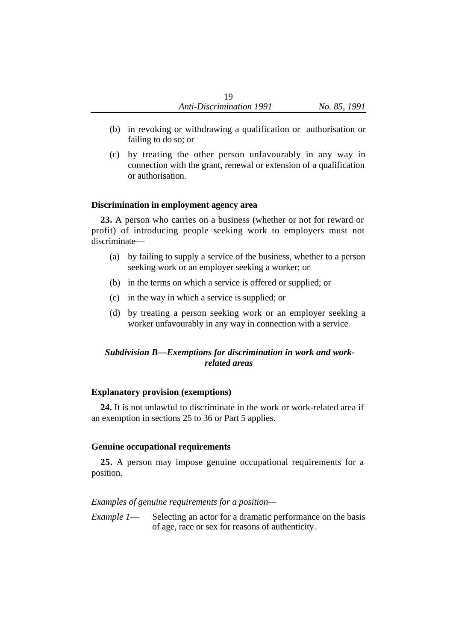- (b) in revoking or withdrawing a qualification or authorisation or failing to do so; or
- (c) by treating the other person unfavourably in any way in connection with the grant, renewal or extension of a qualification or authorisation.

#### **Discrimination in employment agency area**

**23.** A person who carries on a business (whether or not for reward or profit) of introducing people seeking work to employers must not discriminate—

- (a) by failing to supply a service of the business, whether to a person seeking work or an employer seeking a worker; or
- (b) in the terms on which a service is offered or supplied; or
- (c) in the way in which a service is supplied; or
- (d) by treating a person seeking work or an employer seeking a worker unfavourably in any way in connection with a service.

# *Subdivision B—Exemptions for discrimination in work and workrelated areas*

### **Explanatory provision (exemptions)**

**24.** It is not unlawful to discriminate in the work or work-related area if an exemption in sections 25 to 36 or Part 5 applies.

### **Genuine occupational requirements**

**25.** A person may impose genuine occupational requirements for a position.

*Examples of genuine requirements for a position—*

*Example 1*— Selecting an actor for a dramatic performance on the basis of age, race or sex for reasons of authenticity.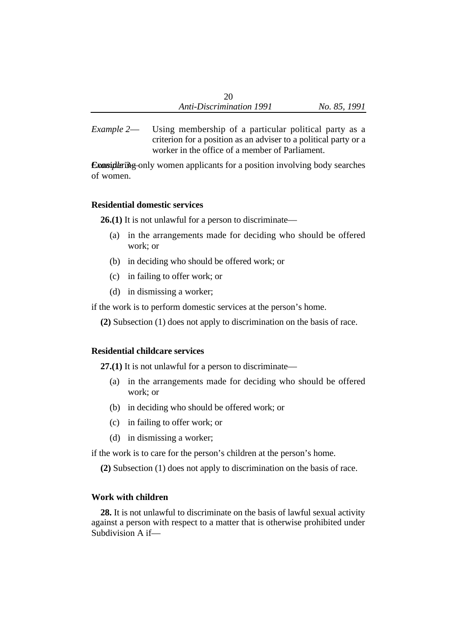*Example 2*— Using membership of a particular political party as a criterion for a position as an adviser to a political party or a worker in the office of a member of Parliament.

*Example 3* Considering only women applicants for a position involving body searches of women.

#### **Residential domestic services**

**26.(1)** It is not unlawful for a person to discriminate—

- (a) in the arrangements made for deciding who should be offered work; or
- (b) in deciding who should be offered work; or
- (c) in failing to offer work; or
- (d) in dismissing a worker;

if the work is to perform domestic services at the person's home.

**(2)** Subsection (1) does not apply to discrimination on the basis of race.

### **Residential childcare services**

**27.(1)** It is not unlawful for a person to discriminate—

- (a) in the arrangements made for deciding who should be offered work; or
- (b) in deciding who should be offered work; or
- (c) in failing to offer work; or
- (d) in dismissing a worker;

if the work is to care for the person's children at the person's home.

**(2)** Subsection (1) does not apply to discrimination on the basis of race.

# **Work with children**

**28.** It is not unlawful to discriminate on the basis of lawful sexual activity against a person with respect to a matter that is otherwise prohibited under Subdivision A if—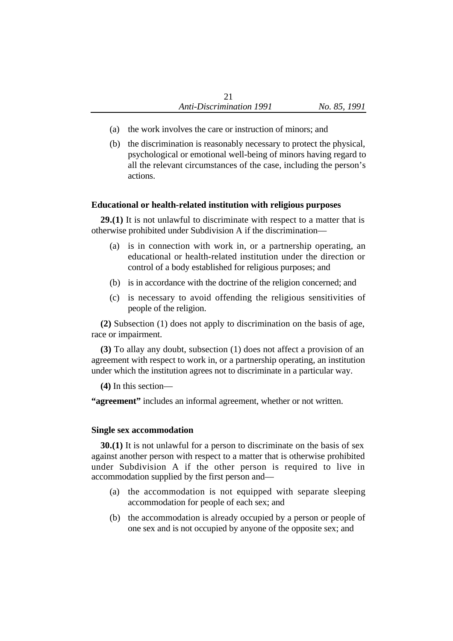- (a) the work involves the care or instruction of minors; and
- (b) the discrimination is reasonably necessary to protect the physical, psychological or emotional well-being of minors having regard to all the relevant circumstances of the case, including the person's actions.

### **Educational or health-related institution with religious purposes**

**29.(1)** It is not unlawful to discriminate with respect to a matter that is otherwise prohibited under Subdivision A if the discrimination—

- (a) is in connection with work in, or a partnership operating, an educational or health-related institution under the direction or control of a body established for religious purposes; and
- (b) is in accordance with the doctrine of the religion concerned; and
- (c) is necessary to avoid offending the religious sensitivities of people of the religion.

**(2)** Subsection (1) does not apply to discrimination on the basis of age, race or impairment.

**(3)** To allay any doubt, subsection (1) does not affect a provision of an agreement with respect to work in, or a partnership operating, an institution under which the institution agrees not to discriminate in a particular way.

**(4)** In this section—

**"agreement"** includes an informal agreement, whether or not written.

#### **Single sex accommodation**

**30.(1)** It is not unlawful for a person to discriminate on the basis of sex against another person with respect to a matter that is otherwise prohibited under Subdivision A if the other person is required to live in accommodation supplied by the first person and—

- (a) the accommodation is not equipped with separate sleeping accommodation for people of each sex; and
- (b) the accommodation is already occupied by a person or people of one sex and is not occupied by anyone of the opposite sex; and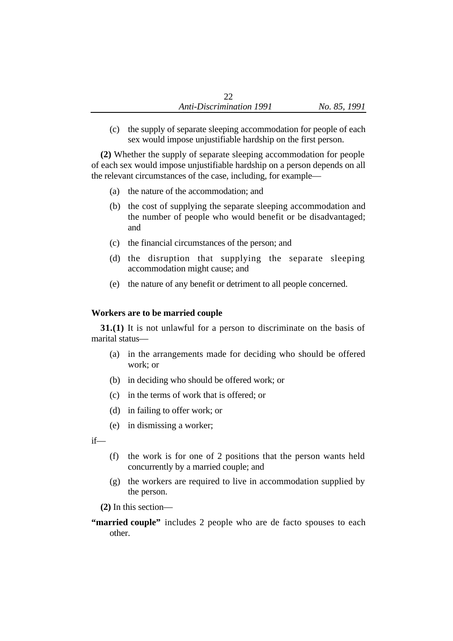(c) the supply of separate sleeping accommodation for people of each sex would impose unjustifiable hardship on the first person.

**(2)** Whether the supply of separate sleeping accommodation for people of each sex would impose unjustifiable hardship on a person depends on all the relevant circumstances of the case, including, for example—

- (a) the nature of the accommodation; and
- (b) the cost of supplying the separate sleeping accommodation and the number of people who would benefit or be disadvantaged; and
- (c) the financial circumstances of the person; and
- (d) the disruption that supplying the separate sleeping accommodation might cause; and
- (e) the nature of any benefit or detriment to all people concerned.

#### **Workers are to be married couple**

**31.(1)** It is not unlawful for a person to discriminate on the basis of marital status—

- (a) in the arrangements made for deciding who should be offered work; or
- (b) in deciding who should be offered work; or
- (c) in the terms of work that is offered; or
- (d) in failing to offer work; or
- (e) in dismissing a worker;

if—

- (f) the work is for one of 2 positions that the person wants held concurrently by a married couple; and
- (g) the workers are required to live in accommodation supplied by the person.

**(2)** In this section—

**"married couple"** includes 2 people who are de facto spouses to each other.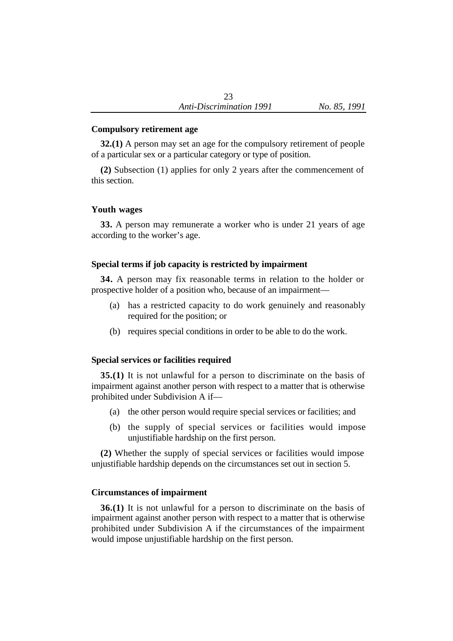## **Compulsory retirement age**

**32.(1)** A person may set an age for the compulsory retirement of people of a particular sex or a particular category or type of position.

**(2)** Subsection (1) applies for only 2 years after the commencement of this section.

# **Youth wages**

**33.** A person may remunerate a worker who is under 21 years of age according to the worker's age.

# **Special terms if job capacity is restricted by impairment**

**34.** A person may fix reasonable terms in relation to the holder or prospective holder of a position who, because of an impairment—

- (a) has a restricted capacity to do work genuinely and reasonably required for the position; or
- (b) requires special conditions in order to be able to do the work.

# **Special services or facilities required**

**35.(1)** It is not unlawful for a person to discriminate on the basis of impairment against another person with respect to a matter that is otherwise prohibited under Subdivision A if—

- (a) the other person would require special services or facilities; and
- (b) the supply of special services or facilities would impose unjustifiable hardship on the first person.

**(2)** Whether the supply of special services or facilities would impose unjustifiable hardship depends on the circumstances set out in section 5.

# **Circumstances of impairment**

**36.(1)** It is not unlawful for a person to discriminate on the basis of impairment against another person with respect to a matter that is otherwise prohibited under Subdivision A if the circumstances of the impairment would impose unjustifiable hardship on the first person.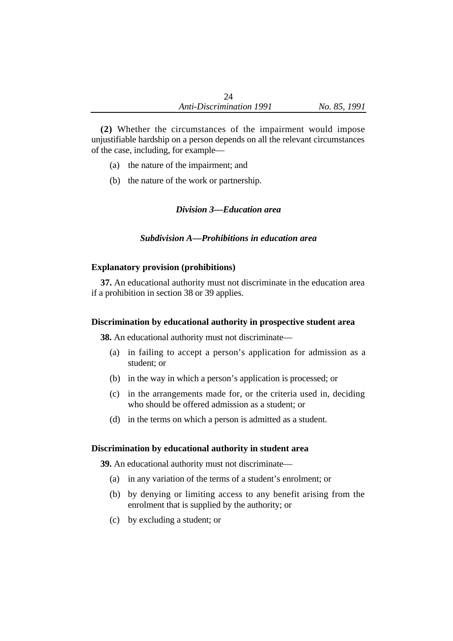**(2)** Whether the circumstances of the impairment would impose unjustifiable hardship on a person depends on all the relevant circumstances of the case, including, for example—

- (a) the nature of the impairment; and
- (b) the nature of the work or partnership.

# *Division 3—Education area*

# *Subdivision A—Prohibitions in education area*

## **Explanatory provision (prohibitions)**

**37.** An educational authority must not discriminate in the education area if a prohibition in section 38 or 39 applies.

## **Discrimination by educational authority in prospective student area**

**38.** An educational authority must not discriminate—

- (a) in failing to accept a person's application for admission as a student; or
- (b) in the way in which a person's application is processed; or
- (c) in the arrangements made for, or the criteria used in, deciding who should be offered admission as a student; or
- (d) in the terms on which a person is admitted as a student.

## **Discrimination by educational authority in student area**

**39.** An educational authority must not discriminate—

- (a) in any variation of the terms of a student's enrolment; or
- (b) by denying or limiting access to any benefit arising from the enrolment that is supplied by the authority; or
- (c) by excluding a student; or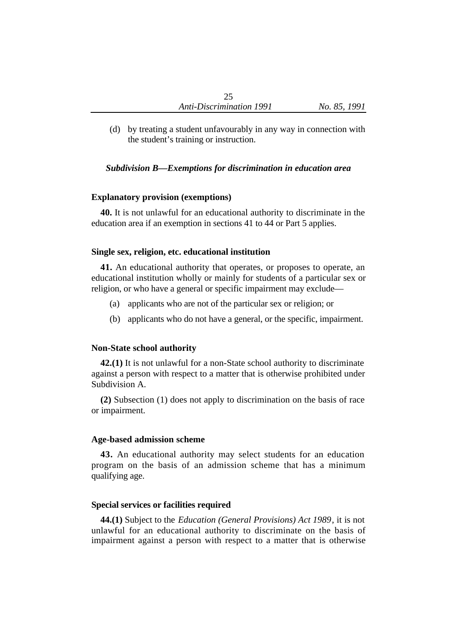(d) by treating a student unfavourably in any way in connection with the student's training or instruction.

## *Subdivision B—Exemptions for discrimination in education area*

#### **Explanatory provision (exemptions)**

**40.** It is not unlawful for an educational authority to discriminate in the education area if an exemption in sections 41 to 44 or Part 5 applies.

#### **Single sex, religion, etc. educational institution**

**41.** An educational authority that operates, or proposes to operate, an educational institution wholly or mainly for students of a particular sex or religion, or who have a general or specific impairment may exclude—

- (a) applicants who are not of the particular sex or religion; or
- (b) applicants who do not have a general, or the specific, impairment.

#### **Non-State school authority**

**42.(1)** It is not unlawful for a non-State school authority to discriminate against a person with respect to a matter that is otherwise prohibited under Subdivision A.

**(2)** Subsection (1) does not apply to discrimination on the basis of race or impairment.

#### **Age-based admission scheme**

**43.** An educational authority may select students for an education program on the basis of an admission scheme that has a minimum qualifying age.

#### **Special services or facilities required**

**44.(1)** Subject to the *Education (General Provisions) Act 1989*, it is not unlawful for an educational authority to discriminate on the basis of impairment against a person with respect to a matter that is otherwise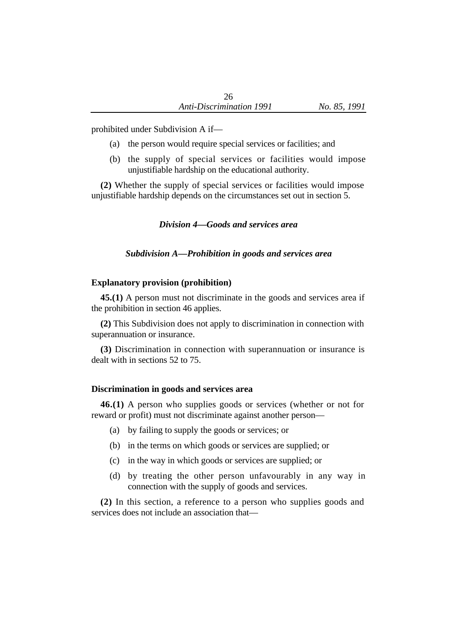prohibited under Subdivision A if—

- (a) the person would require special services or facilities; and
- (b) the supply of special services or facilities would impose unjustifiable hardship on the educational authority.

**(2)** Whether the supply of special services or facilities would impose unjustifiable hardship depends on the circumstances set out in section 5.

*Division 4—Goods and services area*

*Subdivision A—Prohibition in goods and services area*

## **Explanatory provision (prohibition)**

**45.(1)** A person must not discriminate in the goods and services area if the prohibition in section 46 applies.

**(2)** This Subdivision does not apply to discrimination in connection with superannuation or insurance.

**(3)** Discrimination in connection with superannuation or insurance is dealt with in sections 52 to 75.

## **Discrimination in goods and services area**

**46.(1)** A person who supplies goods or services (whether or not for reward or profit) must not discriminate against another person—

- (a) by failing to supply the goods or services; or
- (b) in the terms on which goods or services are supplied; or
- (c) in the way in which goods or services are supplied; or
- (d) by treating the other person unfavourably in any way in connection with the supply of goods and services.

**(2)** In this section, a reference to a person who supplies goods and services does not include an association that—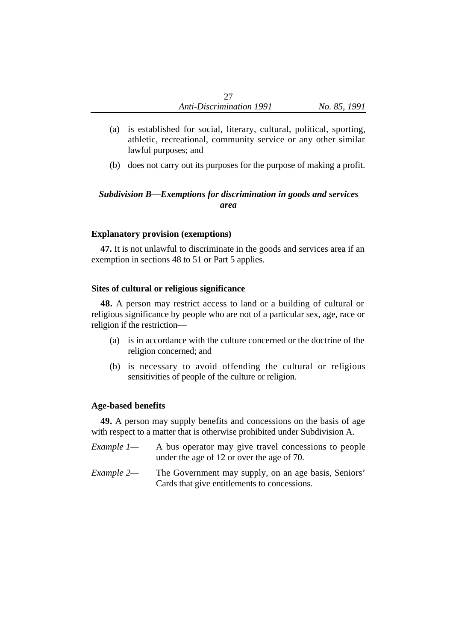- (a) is established for social, literary, cultural, political, sporting, athletic, recreational, community service or any other similar lawful purposes; and
- (b) does not carry out its purposes for the purpose of making a profit.

# *Subdivision B—Exemptions for discrimination in goods and services area*

## **Explanatory provision (exemptions)**

**47.** It is not unlawful to discriminate in the goods and services area if an exemption in sections 48 to 51 or Part 5 applies.

## **Sites of cultural or religious significance**

**48.** A person may restrict access to land or a building of cultural or religious significance by people who are not of a particular sex, age, race or religion if the restriction—

- (a) is in accordance with the culture concerned or the doctrine of the religion concerned; and
- (b) is necessary to avoid offending the cultural or religious sensitivities of people of the culture or religion.

## **Age-based benefits**

**49.** A person may supply benefits and concessions on the basis of age with respect to a matter that is otherwise prohibited under Subdivision A.

- *Example 1* A bus operator may give travel concessions to people under the age of 12 or over the age of 70.
- *Example 2—* The Government may supply, on an age basis, Seniors' Cards that give entitlements to concessions.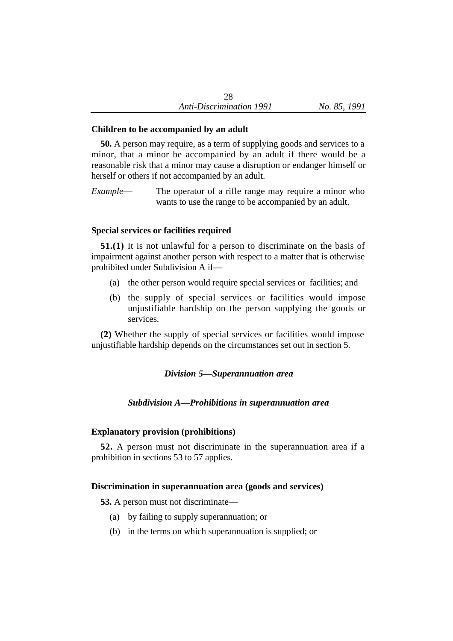# **Children to be accompanied by an adult**

**50.** A person may require, as a term of supplying goods and services to a minor, that a minor be accompanied by an adult if there would be a reasonable risk that a minor may cause a disruption or endanger himself or herself or others if not accompanied by an adult.

*Example*— The operator of a rifle range may require a minor who wants to use the range to be accompanied by an adult.

# **Special services or facilities required**

**51.(1)** It is not unlawful for a person to discriminate on the basis of impairment against another person with respect to a matter that is otherwise prohibited under Subdivision A if—

- (a) the other person would require special services or facilities; and
- (b) the supply of special services or facilities would impose unjustifiable hardship on the person supplying the goods or services.

**(2)** Whether the supply of special services or facilities would impose unjustifiable hardship depends on the circumstances set out in section 5.

# *Division 5—Superannuation area*

# *Subdivision A—Prohibitions in superannuation area*

# **Explanatory provision (prohibitions)**

**52.** A person must not discriminate in the superannuation area if a prohibition in sections 53 to 57 applies.

# **Discrimination in superannuation area (goods and services)**

**53.** A person must not discriminate—

- (a) by failing to supply superannuation; or
- (b) in the terms on which superannuation is supplied; or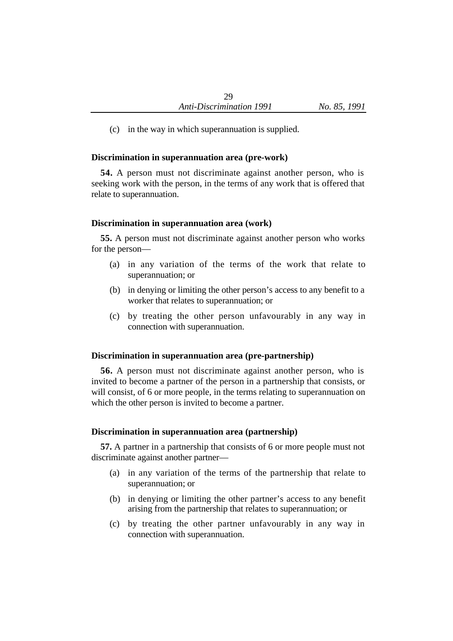(c) in the way in which superannuation is supplied.

## **Discrimination in superannuation area (pre-work)**

**54.** A person must not discriminate against another person, who is seeking work with the person, in the terms of any work that is offered that relate to superannuation.

## **Discrimination in superannuation area (work)**

**55.** A person must not discriminate against another person who works for the person—

- (a) in any variation of the terms of the work that relate to superannuation; or
- (b) in denying or limiting the other person's access to any benefit to a worker that relates to superannuation; or
- (c) by treating the other person unfavourably in any way in connection with superannuation.

# **Discrimination in superannuation area (pre-partnership)**

**56.** A person must not discriminate against another person, who is invited to become a partner of the person in a partnership that consists, or will consist, of 6 or more people, in the terms relating to superannuation on which the other person is invited to become a partner.

## **Discrimination in superannuation area (partnership)**

**57.** A partner in a partnership that consists of 6 or more people must not discriminate against another partner—

- (a) in any variation of the terms of the partnership that relate to superannuation; or
- (b) in denying or limiting the other partner's access to any benefit arising from the partnership that relates to superannuation; or
- (c) by treating the other partner unfavourably in any way in connection with superannuation.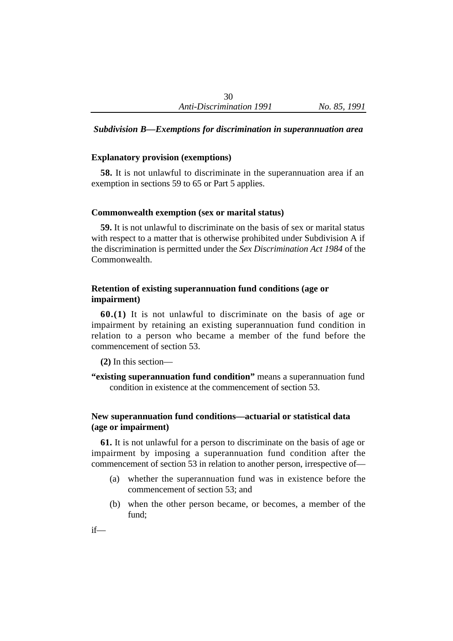# *Subdivision B—Exemptions for discrimination in superannuation area*

#### **Explanatory provision (exemptions)**

**58.** It is not unlawful to discriminate in the superannuation area if an exemption in sections 59 to 65 or Part 5 applies.

#### **Commonwealth exemption (sex or marital status)**

**59.** It is not unlawful to discriminate on the basis of sex or marital status with respect to a matter that is otherwise prohibited under Subdivision A if the discrimination is permitted under the *Sex Discrimination Act 1984* of the Commonwealth.

# **Retention of existing superannuation fund conditions (age or impairment)**

**60.(1)** It is not unlawful to discriminate on the basis of age or impairment by retaining an existing superannuation fund condition in relation to a person who became a member of the fund before the commencement of section 53.

**(2)** In this section—

**"existing superannuation fund condition"** means a superannuation fund condition in existence at the commencement of section 53.

# **New superannuation fund conditions—actuarial or statistical data (age or impairment)**

**61.** It is not unlawful for a person to discriminate on the basis of age or impairment by imposing a superannuation fund condition after the commencement of section 53 in relation to another person, irrespective of—

- (a) whether the superannuation fund was in existence before the commencement of section 53; and
- (b) when the other person became, or becomes, a member of the fund;

if—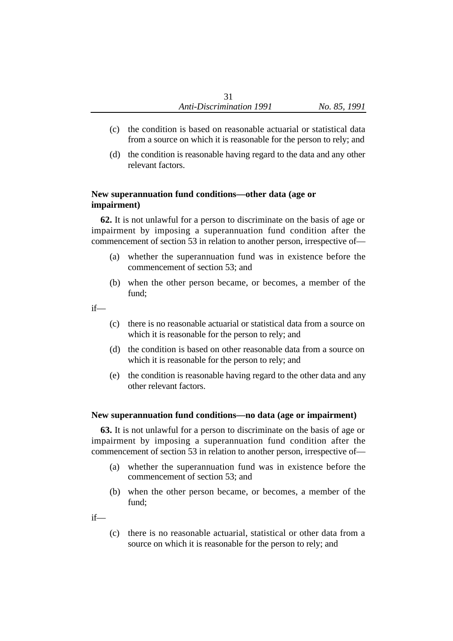- (c) the condition is based on reasonable actuarial or statistical data from a source on which it is reasonable for the person to rely; and
- (d) the condition is reasonable having regard to the data and any other relevant factors.

# **New superannuation fund conditions—other data (age or impairment)**

**62.** It is not unlawful for a person to discriminate on the basis of age or impairment by imposing a superannuation fund condition after the commencement of section 53 in relation to another person, irrespective of—

- (a) whether the superannuation fund was in existence before the commencement of section 53; and
- (b) when the other person became, or becomes, a member of the fund;

if—

- (c) there is no reasonable actuarial or statistical data from a source on which it is reasonable for the person to rely; and
- (d) the condition is based on other reasonable data from a source on which it is reasonable for the person to rely; and
- (e) the condition is reasonable having regard to the other data and any other relevant factors.

# **New superannuation fund conditions—no data (age or impairment)**

**63.** It is not unlawful for a person to discriminate on the basis of age or impairment by imposing a superannuation fund condition after the commencement of section 53 in relation to another person, irrespective of—

- (a) whether the superannuation fund was in existence before the commencement of section 53; and
- (b) when the other person became, or becomes, a member of the fund;

if—

(c) there is no reasonable actuarial, statistical or other data from a source on which it is reasonable for the person to rely; and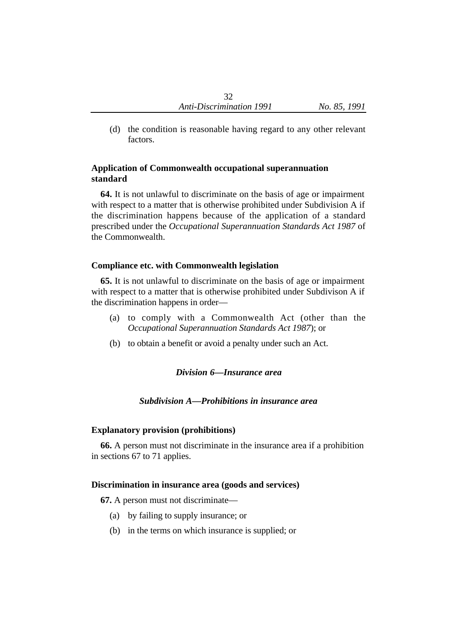(d) the condition is reasonable having regard to any other relevant factors.

# **Application of Commonwealth occupational superannuation standard**

**64.** It is not unlawful to discriminate on the basis of age or impairment with respect to a matter that is otherwise prohibited under Subdivision A if the discrimination happens because of the application of a standard prescribed under the *Occupational Superannuation Standards Act 1987* of the Commonwealth.

# **Compliance etc. with Commonwealth legislation**

**65.** It is not unlawful to discriminate on the basis of age or impairment with respect to a matter that is otherwise prohibited under Subdivison A if the discrimination happens in order—

- (a) to comply with a Commonwealth Act (other than the *Occupational Superannuation Standards Act 1987*); or
- (b) to obtain a benefit or avoid a penalty under such an Act.

# *Division 6—Insurance area*

# *Subdivision A—Prohibitions in insurance area*

## **Explanatory provision (prohibitions)**

**66.** A person must not discriminate in the insurance area if a prohibition in sections 67 to 71 applies.

## **Discrimination in insurance area (goods and services)**

**67.** A person must not discriminate—

- (a) by failing to supply insurance; or
- (b) in the terms on which insurance is supplied; or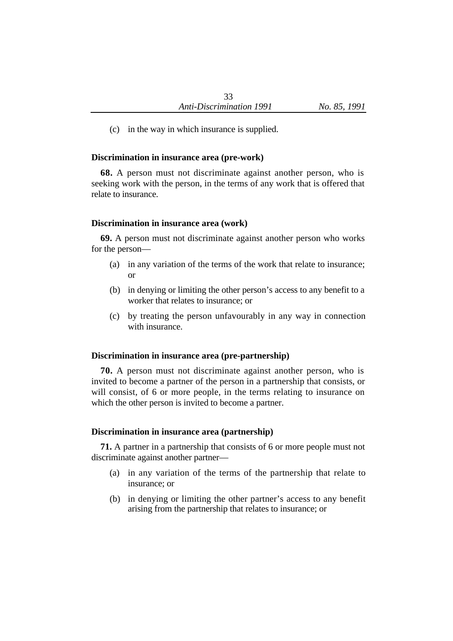(c) in the way in which insurance is supplied.

## **Discrimination in insurance area (pre-work)**

**68.** A person must not discriminate against another person, who is seeking work with the person, in the terms of any work that is offered that relate to insurance.

## **Discrimination in insurance area (work)**

**69.** A person must not discriminate against another person who works for the person—

- (a) in any variation of the terms of the work that relate to insurance; or
- (b) in denying or limiting the other person's access to any benefit to a worker that relates to insurance; or
- (c) by treating the person unfavourably in any way in connection with insurance.

## **Discrimination in insurance area (pre-partnership)**

**70.** A person must not discriminate against another person, who is invited to become a partner of the person in a partnership that consists, or will consist, of 6 or more people, in the terms relating to insurance on which the other person is invited to become a partner.

## **Discrimination in insurance area (partnership)**

**71.** A partner in a partnership that consists of 6 or more people must not discriminate against another partner—

- (a) in any variation of the terms of the partnership that relate to insurance; or
- (b) in denying or limiting the other partner's access to any benefit arising from the partnership that relates to insurance; or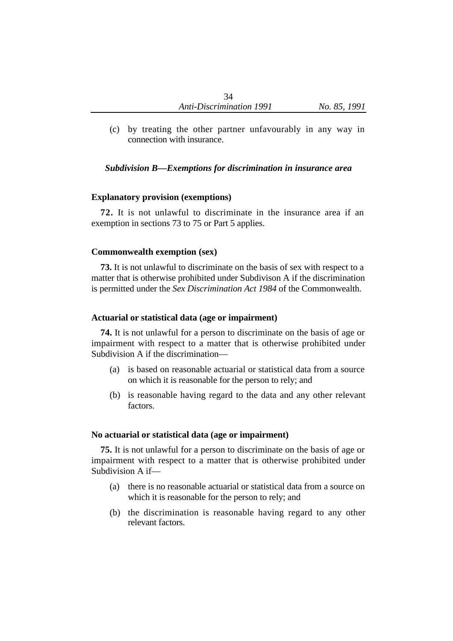(c) by treating the other partner unfavourably in any way in connection with insurance.

# *Subdivision B—Exemptions for discrimination in insurance area*

#### **Explanatory provision (exemptions)**

**72.** It is not unlawful to discriminate in the insurance area if an exemption in sections 73 to 75 or Part 5 applies.

#### **Commonwealth exemption (sex)**

**73.** It is not unlawful to discriminate on the basis of sex with respect to a matter that is otherwise prohibited under Subdivison A if the discrimination is permitted under the *Sex Discrimination Act 1984* of the Commonwealth.

#### **Actuarial or statistical data (age or impairment)**

**74.** It is not unlawful for a person to discriminate on the basis of age or impairment with respect to a matter that is otherwise prohibited under Subdivision A if the discrimination—

- (a) is based on reasonable actuarial or statistical data from a source on which it is reasonable for the person to rely; and
- (b) is reasonable having regard to the data and any other relevant factors.

#### **No actuarial or statistical data (age or impairment)**

**75.** It is not unlawful for a person to discriminate on the basis of age or impairment with respect to a matter that is otherwise prohibited under Subdivision A if—

- (a) there is no reasonable actuarial or statistical data from a source on which it is reasonable for the person to rely; and
- (b) the discrimination is reasonable having regard to any other relevant factors.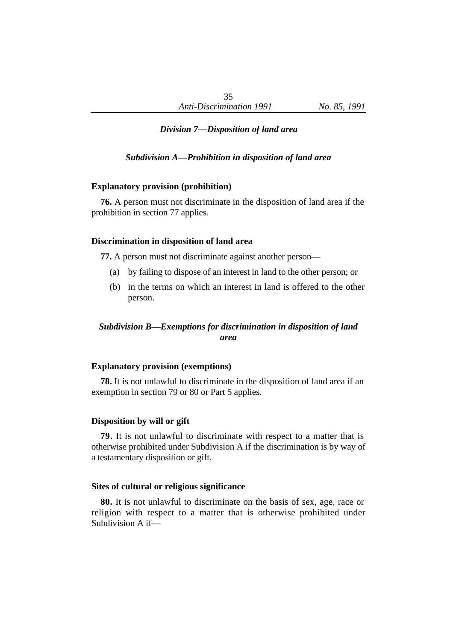## *Division 7—Disposition of land area*

*Subdivision A—Prohibition in disposition of land area*

#### **Explanatory provision (prohibition)**

**76.** A person must not discriminate in the disposition of land area if the prohibition in section 77 applies.

#### **Discrimination in disposition of land area**

**77.** A person must not discriminate against another person—

- (a) by failing to dispose of an interest in land to the other person; or
- (b) in the terms on which an interest in land is offered to the other person.

## *Subdivision B—Exemptions for discrimination in disposition of land area*

#### **Explanatory provision (exemptions)**

**78.** It is not unlawful to discriminate in the disposition of land area if an exemption in section 79 or 80 or Part 5 applies.

#### **Disposition by will or gift**

**79.** It is not unlawful to discriminate with respect to a matter that is otherwise prohibited under Subdivision A if the discrimination is by way of a testamentary disposition or gift.

#### **Sites of cultural or religious significance**

**80.** It is not unlawful to discriminate on the basis of sex, age, race or religion with respect to a matter that is otherwise prohibited under Subdivision A if—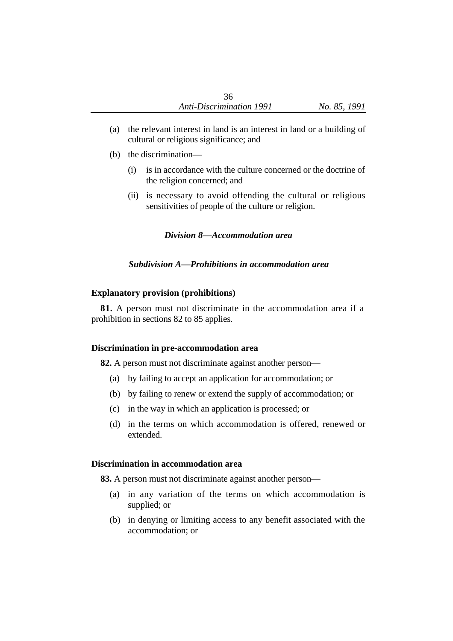- (a) the relevant interest in land is an interest in land or a building of cultural or religious significance; and
- (b) the discrimination—
	- (i) is in accordance with the culture concerned or the doctrine of the religion concerned; and
	- (ii) is necessary to avoid offending the cultural or religious sensitivities of people of the culture or religion.

#### *Division 8—Accommodation area*

#### *Subdivision A—Prohibitions in accommodation area*

#### **Explanatory provision (prohibitions)**

**81.** A person must not discriminate in the accommodation area if a prohibition in sections 82 to 85 applies.

#### **Discrimination in pre-accommodation area**

**82.** A person must not discriminate against another person—

- (a) by failing to accept an application for accommodation; or
- (b) by failing to renew or extend the supply of accommodation; or
- (c) in the way in which an application is processed; or
- (d) in the terms on which accommodation is offered, renewed or extended.

#### **Discrimination in accommodation area**

**83.** A person must not discriminate against another person—

- (a) in any variation of the terms on which accommodation is supplied; or
- (b) in denying or limiting access to any benefit associated with the accommodation; or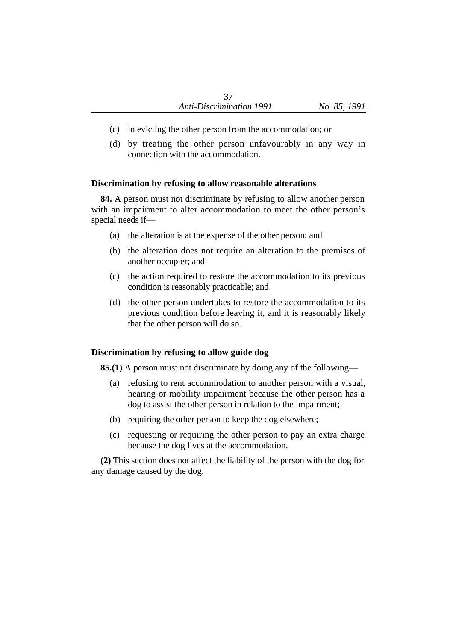- (c) in evicting the other person from the accommodation; or
- (d) by treating the other person unfavourably in any way in connection with the accommodation.

# **Discrimination by refusing to allow reasonable alterations**

**84.** A person must not discriminate by refusing to allow another person with an impairment to alter accommodation to meet the other person's special needs if—

- (a) the alteration is at the expense of the other person; and
- (b) the alteration does not require an alteration to the premises of another occupier; and
- (c) the action required to restore the accommodation to its previous condition is reasonably practicable; and
- (d) the other person undertakes to restore the accommodation to its previous condition before leaving it, and it is reasonably likely that the other person will do so.

# **Discrimination by refusing to allow guide dog**

**85.(1)** A person must not discriminate by doing any of the following—

- (a) refusing to rent accommodation to another person with a visual, hearing or mobility impairment because the other person has a dog to assist the other person in relation to the impairment;
- (b) requiring the other person to keep the dog elsewhere;
- (c) requesting or requiring the other person to pay an extra charge because the dog lives at the accommodation.

**(2)** This section does not affect the liability of the person with the dog for any damage caused by the dog.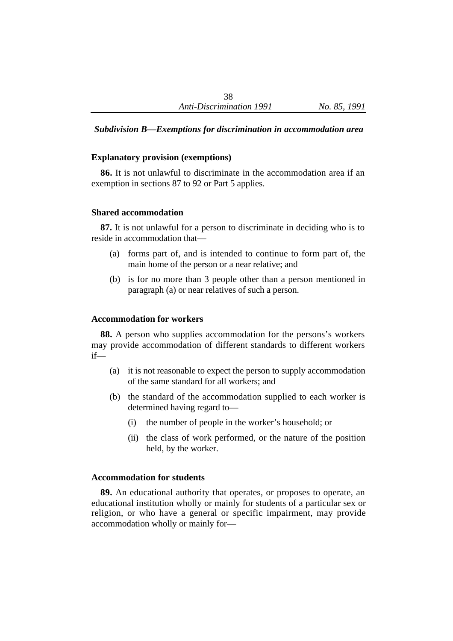## *Subdivision B—Exemptions for discrimination in accommodation area*

#### **Explanatory provision (exemptions)**

**86.** It is not unlawful to discriminate in the accommodation area if an exemption in sections 87 to 92 or Part 5 applies.

#### **Shared accommodation**

**87.** It is not unlawful for a person to discriminate in deciding who is to reside in accommodation that—

- (a) forms part of, and is intended to continue to form part of, the main home of the person or a near relative; and
- (b) is for no more than 3 people other than a person mentioned in paragraph (a) or near relatives of such a person.

#### **Accommodation for workers**

**88.** A person who supplies accommodation for the persons's workers may provide accommodation of different standards to different workers if—

- (a) it is not reasonable to expect the person to supply accommodation of the same standard for all workers; and
- (b) the standard of the accommodation supplied to each worker is determined having regard to—
	- (i) the number of people in the worker's household; or
	- (ii) the class of work performed, or the nature of the position held, by the worker.

#### **Accommodation for students**

**89.** An educational authority that operates, or proposes to operate, an educational institution wholly or mainly for students of a particular sex or religion, or who have a general or specific impairment, may provide accommodation wholly or mainly for—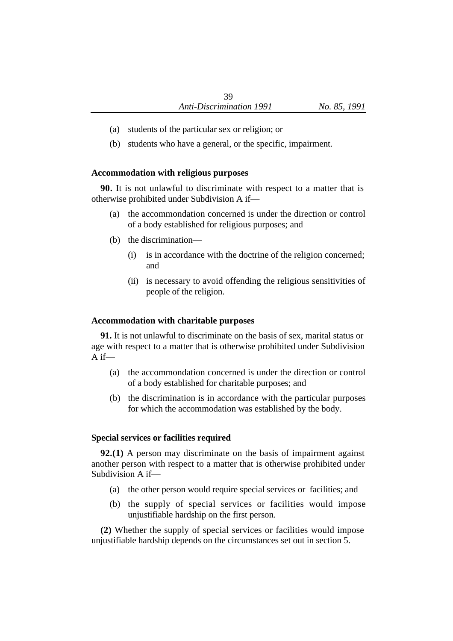- (a) students of the particular sex or religion; or
- (b) students who have a general, or the specific, impairment.

## **Accommodation with religious purposes**

**90.** It is not unlawful to discriminate with respect to a matter that is otherwise prohibited under Subdivision A if—

- (a) the accommondation concerned is under the direction or control of a body established for religious purposes; and
- (b) the discrimination—
	- (i) is in accordance with the doctrine of the religion concerned; and
	- (ii) is necessary to avoid offending the religious sensitivities of people of the religion.

# **Accommodation with charitable purposes**

**91.** It is not unlawful to discriminate on the basis of sex, marital status or age with respect to a matter that is otherwise prohibited under Subdivision  $A$  if—

- (a) the accommondation concerned is under the direction or control of a body established for charitable purposes; and
- (b) the discrimination is in accordance with the particular purposes for which the accommodation was established by the body.

# **Special services or facilities required**

**92.(1)** A person may discriminate on the basis of impairment against another person with respect to a matter that is otherwise prohibited under Subdivision A if—

- (a) the other person would require special services or facilities; and
- (b) the supply of special services or facilities would impose unjustifiable hardship on the first person.

**(2)** Whether the supply of special services or facilities would impose unjustifiable hardship depends on the circumstances set out in section 5.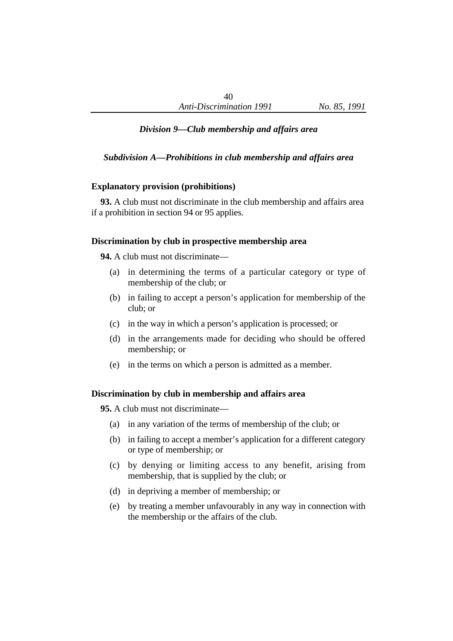# *Division 9—Club membership and affairs area*

# *Subdivision A—Prohibitions in club membership and affairs area*

## **Explanatory provision (prohibitions)**

**93.** A club must not discriminate in the club membership and affairs area if a prohibition in section 94 or 95 applies.

## **Discrimination by club in prospective membership area**

**94.** A club must not discriminate—

- (a) in determining the terms of a particular category or type of membership of the club; or
- (b) in failing to accept a person's application for membership of the club; or
- (c) in the way in which a person's application is processed; or
- (d) in the arrangements made for deciding who should be offered membership; or
- (e) in the terms on which a person is admitted as a member.

## **Discrimination by club in membership and affairs area**

**95.** A club must not discriminate—

- (a) in any variation of the terms of membership of the club; or
- (b) in failing to accept a member's application for a different category or type of membership; or
- (c) by denying or limiting access to any benefit, arising from membership, that is supplied by the club; or
- (d) in depriving a member of membership; or
- (e) by treating a member unfavourably in any way in connection with the membership or the affairs of the club.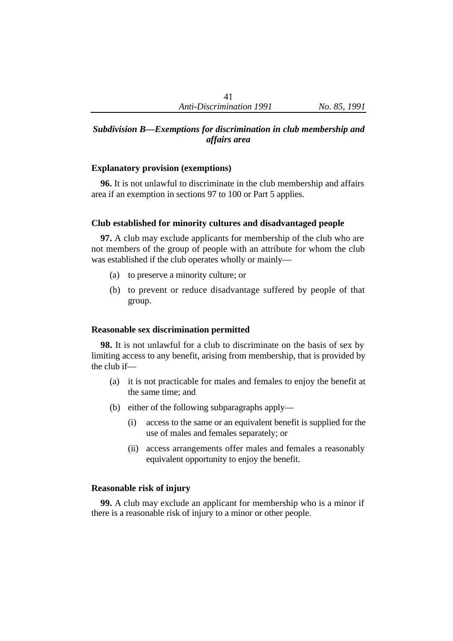## *Subdivision B—Exemptions for discrimination in club membership and affairs area*

#### **Explanatory provision (exemptions)**

**96.** It is not unlawful to discriminate in the club membership and affairs area if an exemption in sections 97 to 100 or Part 5 applies.

## **Club established for minority cultures and disadvantaged people**

**97.** A club may exclude applicants for membership of the club who are not members of the group of people with an attribute for whom the club was established if the club operates wholly or mainly—

- (a) to preserve a minority culture; or
- (b) to prevent or reduce disadvantage suffered by people of that group.

#### **Reasonable sex discrimination permitted**

**98.** It is not unlawful for a club to discriminate on the basis of sex by limiting access to any benefit, arising from membership, that is provided by the club if—

- (a) it is not practicable for males and females to enjoy the benefit at the same time; and
- (b) either of the following subparagraphs apply—
	- (i) access to the same or an equivalent benefit is supplied for the use of males and females separately; or
	- (ii) access arrangements offer males and females a reasonably equivalent opportunity to enjoy the benefit.

## **Reasonable risk of injury**

**99.** A club may exclude an applicant for membership who is a minor if there is a reasonable risk of injury to a minor or other people.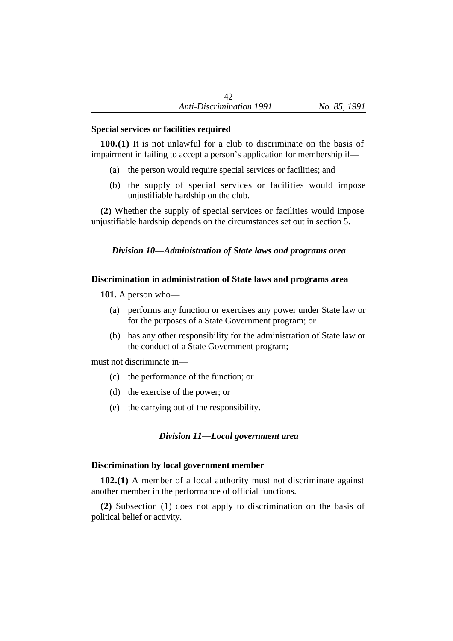## **Special services or facilities required**

**100.(1)** It is not unlawful for a club to discriminate on the basis of impairment in failing to accept a person's application for membership if—

- (a) the person would require special services or facilities; and
- (b) the supply of special services or facilities would impose unjustifiable hardship on the club.

**(2)** Whether the supply of special services or facilities would impose unjustifiable hardship depends on the circumstances set out in section 5.

# *Division 10—Administration of State laws and programs area*

# **Discrimination in administration of State laws and programs area**

**101.** A person who—

- (a) performs any function or exercises any power under State law or for the purposes of a State Government program; or
- (b) has any other responsibility for the administration of State law or the conduct of a State Government program;

must not discriminate in—

- (c) the performance of the function; or
- (d) the exercise of the power; or
- (e) the carrying out of the responsibility.

# *Division 11—Local government area*

# **Discrimination by local government member**

**102.(1)** A member of a local authority must not discriminate against another member in the performance of official functions.

**(2)** Subsection (1) does not apply to discrimination on the basis of political belief or activity.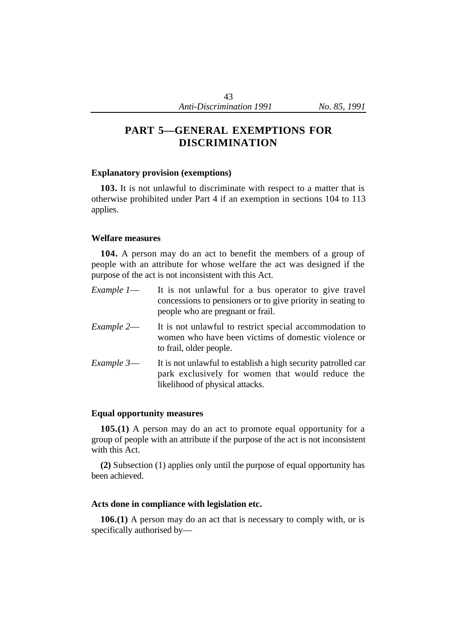# **PART 5—GENERAL EXEMPTIONS FOR DISCRIMINATION**

#### **Explanatory provision (exemptions)**

**103.** It is not unlawful to discriminate with respect to a matter that is otherwise prohibited under Part 4 if an exemption in sections 104 to 113 applies.

#### **Welfare measures**

**104.** A person may do an act to benefit the members of a group of people with an attribute for whose welfare the act was designed if the purpose of the act is not inconsistent with this Act.

| Example 1— | It is not unlawful for a bus operator to give travel<br>concessions to pensioners or to give priority in seating to<br>people who are pregnant or frail. |
|------------|----------------------------------------------------------------------------------------------------------------------------------------------------------|
| Example 2- | It is not unlawful to restrict special accommodation to<br>women who have been victims of domestic violence or<br>to frail, older people.                |
| Example 3— | It is not unlawful to establish a high security patrolled car<br>park exclusively for women that would reduce the<br>likelihood of physical attacks.     |

## **Equal opportunity measures**

**105.(1)** A person may do an act to promote equal opportunity for a group of people with an attribute if the purpose of the act is not inconsistent with this Act.

**(2)** Subsection (1) applies only until the purpose of equal opportunity has been achieved.

#### **Acts done in compliance with legislation etc.**

**106.(1)** A person may do an act that is necessary to comply with, or is specifically authorised by—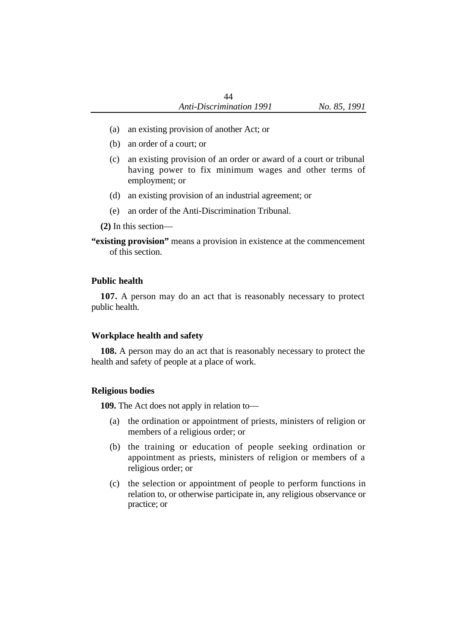- (a) an existing provision of another Act; or
- (b) an order of a court; or
- (c) an existing provision of an order or award of a court or tribunal having power to fix minimum wages and other terms of employment; or
- (d) an existing provision of an industrial agreement; or
- (e) an order of the Anti-Discrimination Tribunal.

**(2)** In this section—

**"existing provision"** means a provision in existence at the commencement of this section.

## **Public health**

**107.** A person may do an act that is reasonably necessary to protect public health.

## **Workplace health and safety**

**108.** A person may do an act that is reasonably necessary to protect the health and safety of people at a place of work.

## **Religious bodies**

**109.** The Act does not apply in relation to—

- (a) the ordination or appointment of priests, ministers of religion or members of a religious order; or
- (b) the training or education of people seeking ordination or appointment as priests, ministers of religion or members of a religious order; or
- (c) the selection or appointment of people to perform functions in relation to, or otherwise participate in, any religious observance or practice; or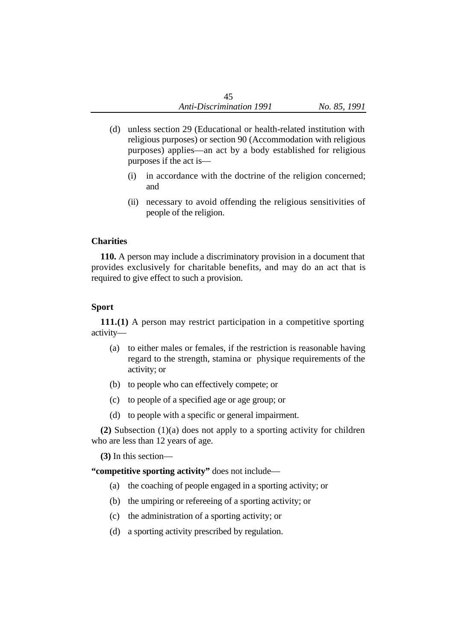- (d) unless section 29 (Educational or health-related institution with religious purposes) or section 90 (Accommodation with religious purposes) applies—an act by a body established for religious purposes if the act is—
	- (i) in accordance with the doctrine of the religion concerned; and
	- (ii) necessary to avoid offending the religious sensitivities of people of the religion.

## **Charities**

**110.** A person may include a discriminatory provision in a document that provides exclusively for charitable benefits, and may do an act that is required to give effect to such a provision.

# **Sport**

**111.(1)** A person may restrict participation in a competitive sporting activity—

- (a) to either males or females, if the restriction is reasonable having regard to the strength, stamina or physique requirements of the activity; or
- (b) to people who can effectively compete; or
- (c) to people of a specified age or age group; or
- (d) to people with a specific or general impairment.

**(2)** Subsection (1)(a) does not apply to a sporting activity for children who are less than 12 years of age.

**(3)** In this section—

**"competitive sporting activity"** does not include—

- (a) the coaching of people engaged in a sporting activity; or
- (b) the umpiring or refereeing of a sporting activity; or
- (c) the administration of a sporting activity; or
- (d) a sporting activity prescribed by regulation.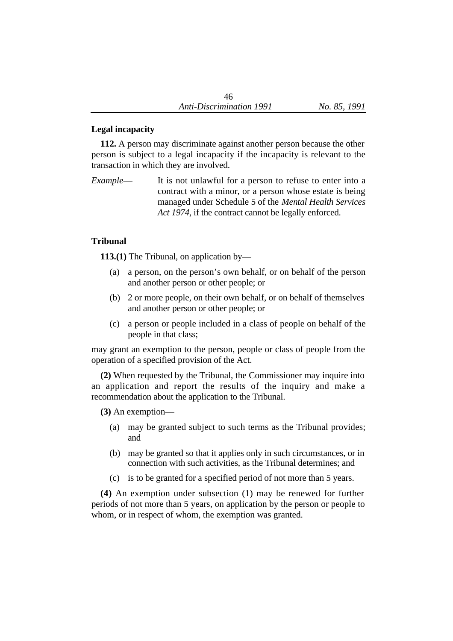# **Legal incapacity**

**112.** A person may discriminate against another person because the other person is subject to a legal incapacity if the incapacity is relevant to the transaction in which they are involved.

*Example*— It is not unlawful for a person to refuse to enter into a contract with a minor, or a person whose estate is being managed under Schedule 5 of the *Mental Health Services Act 1974*, if the contract cannot be legally enforced.

# **Tribunal**

**113.(1)** The Tribunal, on application by—

- (a) a person, on the person's own behalf, or on behalf of the person and another person or other people; or
- (b) 2 or more people, on their own behalf, or on behalf of themselves and another person or other people; or
- (c) a person or people included in a class of people on behalf of the people in that class;

may grant an exemption to the person, people or class of people from the operation of a specified provision of the Act.

**(2)** When requested by the Tribunal, the Commissioner may inquire into an application and report the results of the inquiry and make a recommendation about the application to the Tribunal.

**(3)** An exemption—

- (a) may be granted subject to such terms as the Tribunal provides; and
- (b) may be granted so that it applies only in such circumstances, or in connection with such activities, as the Tribunal determines; and
- (c) is to be granted for a specified period of not more than 5 years.

**(4)** An exemption under subsection (1) may be renewed for further periods of not more than 5 years, on application by the person or people to whom, or in respect of whom, the exemption was granted.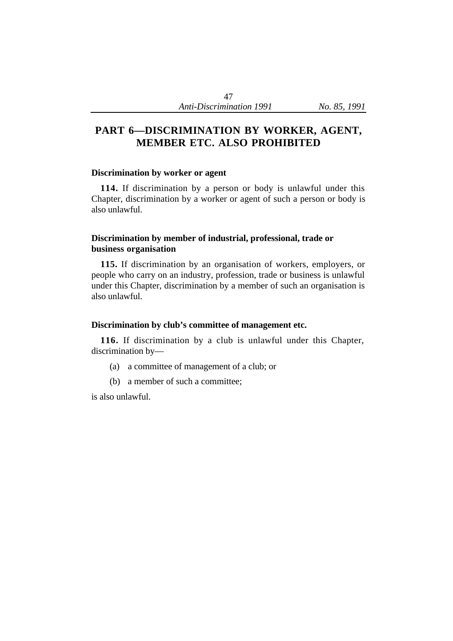# **PART 6—DISCRIMINATION BY WORKER, AGENT, MEMBER ETC. ALSO PROHIBITED**

#### **Discrimination by worker or agent**

**114.** If discrimination by a person or body is unlawful under this Chapter, discrimination by a worker or agent of such a person or body is also unlawful.

## **Discrimination by member of industrial, professional, trade or business organisation**

**115.** If discrimination by an organisation of workers, employers, or people who carry on an industry, profession, trade or business is unlawful under this Chapter, discrimination by a member of such an organisation is also unlawful.

#### **Discrimination by club's committee of management etc.**

**116.** If discrimination by a club is unlawful under this Chapter, discrimination by—

- (a) a committee of management of a club; or
- (b) a member of such a committee;

is also unlawful.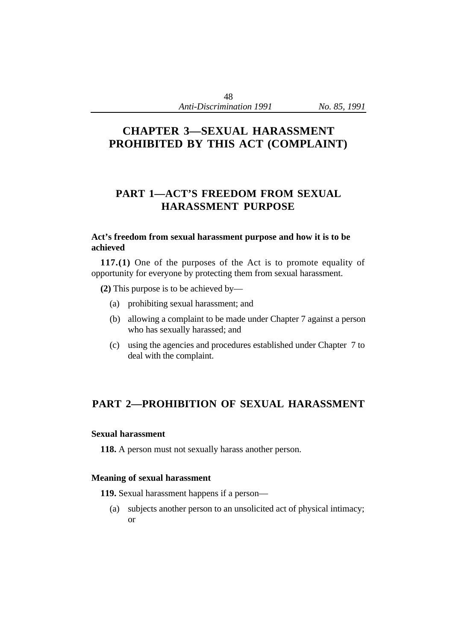# **CHAPTER 3—SEXUAL HARASSMENT PROHIBITED BY THIS ACT (COMPLAINT)**

# **PART 1—ACT'S FREEDOM FROM SEXUAL HARASSMENT PURPOSE**

# **Act's freedom from sexual harassment purpose and how it is to be achieved**

**117.(1)** One of the purposes of the Act is to promote equality of opportunity for everyone by protecting them from sexual harassment.

**(2)** This purpose is to be achieved by—

- (a) prohibiting sexual harassment; and
- (b) allowing a complaint to be made under Chapter 7 against a person who has sexually harassed; and
- (c) using the agencies and procedures established under Chapter 7 to deal with the complaint.

# **PART 2—PROHIBITION OF SEXUAL HARASSMENT**

## **Sexual harassment**

**118.** A person must not sexually harass another person.

## **Meaning of sexual harassment**

**119.** Sexual harassment happens if a person—

(a) subjects another person to an unsolicited act of physical intimacy; or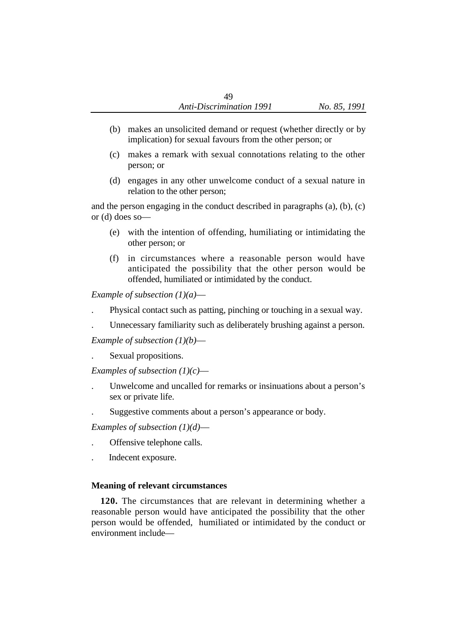- (b) makes an unsolicited demand or request (whether directly or by implication) for sexual favours from the other person; or
- (c) makes a remark with sexual connotations relating to the other person; or
- (d) engages in any other unwelcome conduct of a sexual nature in relation to the other person;

and the person engaging in the conduct described in paragraphs (a), (b), (c) or (d) does so—

- (e) with the intention of offending, humiliating or intimidating the other person; or
- (f) in circumstances where a reasonable person would have anticipated the possibility that the other person would be offended, humiliated or intimidated by the conduct.

*Example of subsection (1)(a)*—

- . Physical contact such as patting, pinching or touching in a sexual way.
- . Unnecessary familiarity such as deliberately brushing against a person.

*Example of subsection (1)(b)*—

. Sexual propositions.

*Examples of subsection (1)(c)*—

- . Unwelcome and uncalled for remarks or insinuations about a person's sex or private life.
- . Suggestive comments about a person's appearance or body.

*Examples of subsection (1)(d)*—

- . Offensive telephone calls.
- . Indecent exposure.

## **Meaning of relevant circumstances**

**120.** The circumstances that are relevant in determining whether a reasonable person would have anticipated the possibility that the other person would be offended, humiliated or intimidated by the conduct or environment include—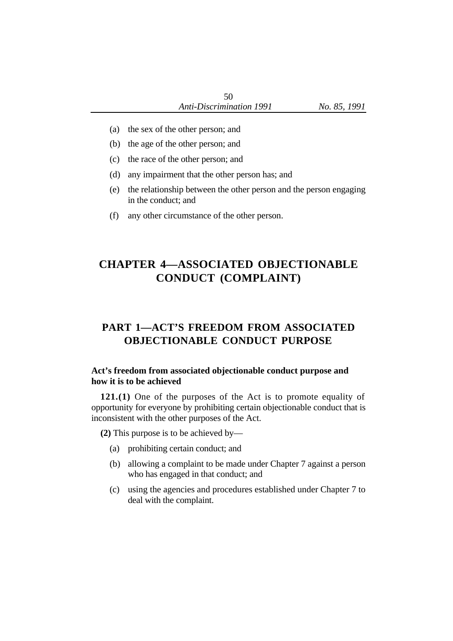- (a) the sex of the other person; and
- (b) the age of the other person; and
- (c) the race of the other person; and
- (d) any impairment that the other person has; and
- (e) the relationship between the other person and the person engaging in the conduct; and
- (f) any other circumstance of the other person.

# **CHAPTER 4—ASSOCIATED OBJECTIONABLE CONDUCT (COMPLAINT)**

# **PART 1—ACT'S FREEDOM FROM ASSOCIATED OBJECTIONABLE CONDUCT PURPOSE**

## **Act's freedom from associated objectionable conduct purpose and how it is to be achieved**

**121.(1)** One of the purposes of the Act is to promote equality of opportunity for everyone by prohibiting certain objectionable conduct that is inconsistent with the other purposes of the Act.

**(2)** This purpose is to be achieved by—

- (a) prohibiting certain conduct; and
- (b) allowing a complaint to be made under Chapter 7 against a person who has engaged in that conduct; and
- (c) using the agencies and procedures established under Chapter 7 to deal with the complaint.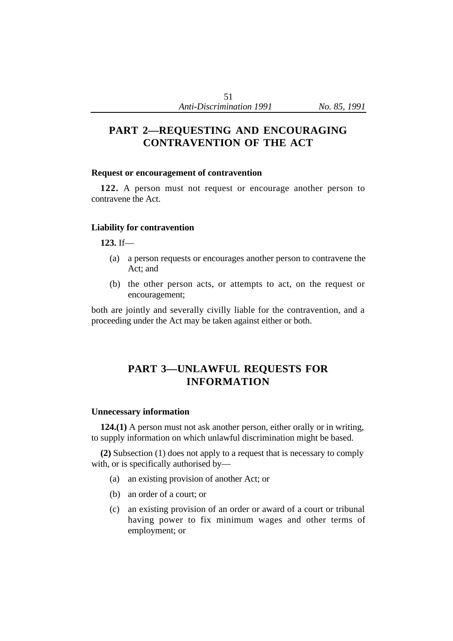# **PART 2—REQUESTING AND ENCOURAGING CONTRAVENTION OF THE ACT**

#### **Request or encouragement of contravention**

**122.** A person must not request or encourage another person to contravene the Act.

## **Liability for contravention**

**123.** If—

- (a) a person requests or encourages another person to contravene the Act; and
- (b) the other person acts, or attempts to act, on the request or encouragement;

both are jointly and severally civilly liable for the contravention, and a proceeding under the Act may be taken against either or both.

# **PART 3—UNLAWFUL REQUESTS FOR INFORMATION**

#### **Unnecessary information**

**124.(1)** A person must not ask another person, either orally or in writing, to supply information on which unlawful discrimination might be based.

**(2)** Subsection (1) does not apply to a request that is necessary to comply with, or is specifically authorised by—

- (a) an existing provision of another Act; or
- (b) an order of a court; or
- (c) an existing provision of an order or award of a court or tribunal having power to fix minimum wages and other terms of employment; or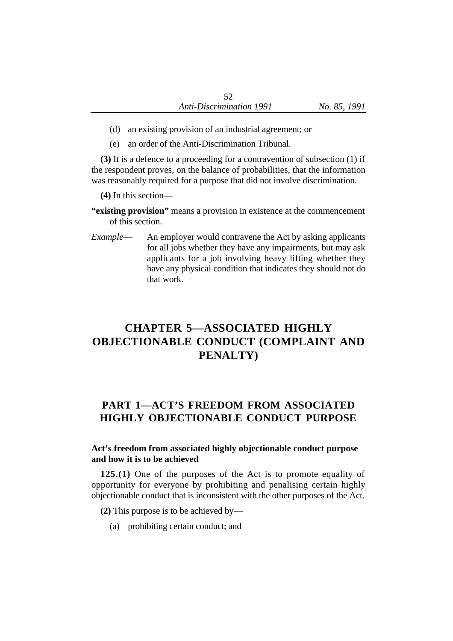- (d) an existing provision of an industrial agreement; or
- (e) an order of the Anti-Discrimination Tribunal.

**(3)** It is a defence to a proceeding for a contravention of subsection (1) if the respondent proves, on the balance of probabilities, that the information was reasonably required for a purpose that did not involve discrimination.

**(4)** In this section—

- **"existing provision"** means a provision in existence at the commencement of this section.
- *Example* An employer would contravene the Act by asking applicants for all jobs whether they have any impairments, but may ask applicants for a job involving heavy lifting whether they have any physical condition that indicates they should not do that work.

# **CHAPTER 5—ASSOCIATED HIGHLY OBJECTIONABLE CONDUCT (COMPLAINT AND PENALTY)**

# **PART 1—ACT'S FREEDOM FROM ASSOCIATED HIGHLY OBJECTIONABLE CONDUCT PURPOSE**

# **Act's freedom from associated highly objectionable conduct purpose and how it is to be achieved**

**125.(1)** One of the purposes of the Act is to promote equality of opportunity for everyone by prohibiting and penalising certain highly objectionable conduct that is inconsistent with the other purposes of the Act.

**(2)** This purpose is to be achieved by—

(a) prohibiting certain conduct; and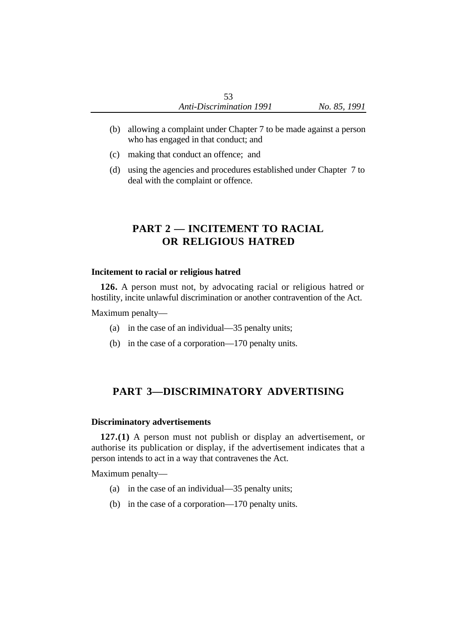- (b) allowing a complaint under Chapter 7 to be made against a person who has engaged in that conduct; and
- (c) making that conduct an offence; and
- (d) using the agencies and procedures established under Chapter 7 to deal with the complaint or offence.

# **PART 2 — INCITEMENT TO RACIAL OR RELIGIOUS HATRED**

#### **Incitement to racial or religious hatred**

**126.** A person must not, by advocating racial or religious hatred or hostility, incite unlawful discrimination or another contravention of the Act.

Maximum penalty—

- (a) in the case of an individual—35 penalty units;
- (b) in the case of a corporation—170 penalty units.

# **PART 3—DISCRIMINATORY ADVERTISING**

#### **Discriminatory advertisements**

**127.(1)** A person must not publish or display an advertisement, or authorise its publication or display, if the advertisement indicates that a person intends to act in a way that contravenes the Act.

Maximum penalty—

- (a) in the case of an individual—35 penalty units;
- (b) in the case of a corporation—170 penalty units.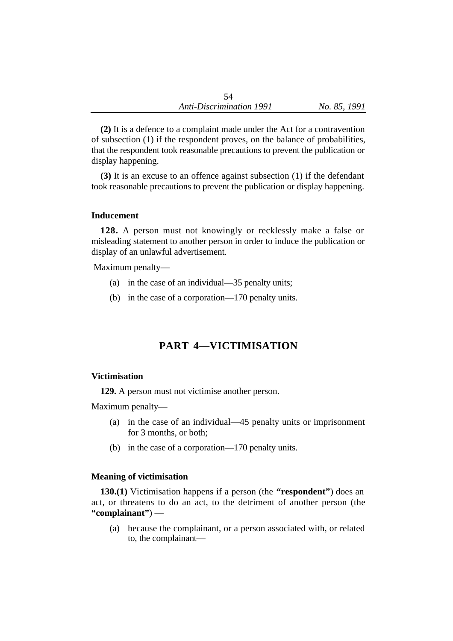**(2)** It is a defence to a complaint made under the Act for a contravention of subsection (1) if the respondent proves, on the balance of probabilities, that the respondent took reasonable precautions to prevent the publication or display happening.

**(3)** It is an excuse to an offence against subsection (1) if the defendant took reasonable precautions to prevent the publication or display happening.

## **Inducement**

**128.** A person must not knowingly or recklessly make a false or misleading statement to another person in order to induce the publication or display of an unlawful advertisement.

Maximum penalty—

- (a) in the case of an individual—35 penalty units;
- (b) in the case of a corporation—170 penalty units.

# **PART 4—VICTIMISATION**

#### **Victimisation**

**129.** A person must not victimise another person.

Maximum penalty—

- (a) in the case of an individual—45 penalty units or imprisonment for 3 months, or both;
- (b) in the case of a corporation—170 penalty units.

## **Meaning of victimisation**

**130.(1)** Victimisation happens if a person (the **"respondent"**) does an act, or threatens to do an act, to the detriment of another person (the **"complainant"**) —

(a) because the complainant, or a person associated with, or related to, the complainant—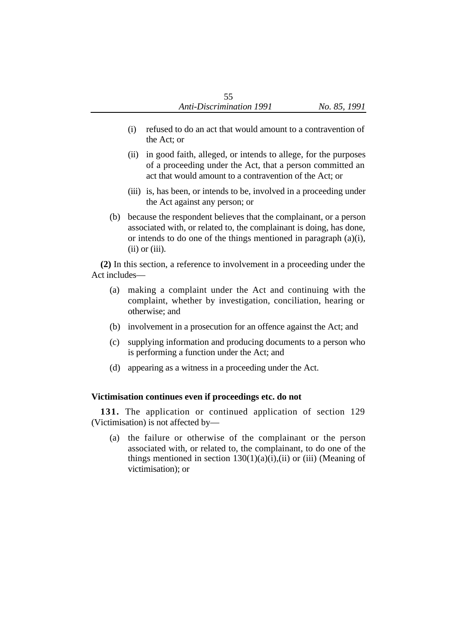- (i) refused to do an act that would amount to a contravention of the Act; or
- (ii) in good faith, alleged, or intends to allege, for the purposes of a proceeding under the Act, that a person committed an act that would amount to a contravention of the Act; or
- (iii) is, has been, or intends to be, involved in a proceeding under the Act against any person; or
- (b) because the respondent believes that the complainant, or a person associated with, or related to, the complainant is doing, has done, or intends to do one of the things mentioned in paragraph (a)(i),  $(ii)$  or  $(iii)$ .

**(2)** In this section, a reference to involvement in a proceeding under the Act includes—

- (a) making a complaint under the Act and continuing with the complaint, whether by investigation, conciliation, hearing or otherwise; and
- (b) involvement in a prosecution for an offence against the Act; and
- (c) supplying information and producing documents to a person who is performing a function under the Act; and
- (d) appearing as a witness in a proceeding under the Act.

## **Victimisation continues even if proceedings etc. do not**

**131.** The application or continued application of section 129 (Victimisation) is not affected by—

(a) the failure or otherwise of the complainant or the person associated with, or related to, the complainant, to do one of the things mentioned in section  $130(1)(a)(i)$ ,(ii) or (iii) (Meaning of victimisation); or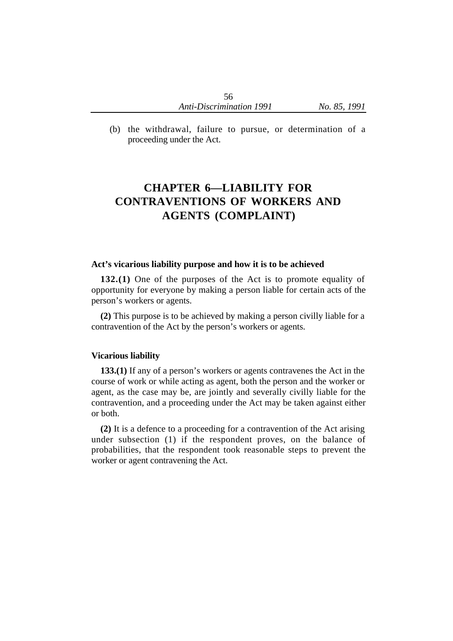(b) the withdrawal, failure to pursue, or determination of a proceeding under the Act.

# **CHAPTER 6—LIABILITY FOR CONTRAVENTIONS OF WORKERS AND AGENTS (COMPLAINT)**

#### **Act's vicarious liability purpose and how it is to be achieved**

**132.(1)** One of the purposes of the Act is to promote equality of opportunity for everyone by making a person liable for certain acts of the person's workers or agents.

**(2)** This purpose is to be achieved by making a person civilly liable for a contravention of the Act by the person's workers or agents.

#### **Vicarious liability**

**133.(1)** If any of a person's workers or agents contravenes the Act in the course of work or while acting as agent, both the person and the worker or agent, as the case may be, are jointly and severally civilly liable for the contravention, and a proceeding under the Act may be taken against either or both.

**(2)** It is a defence to a proceeding for a contravention of the Act arising under subsection (1) if the respondent proves, on the balance of probabilities, that the respondent took reasonable steps to prevent the worker or agent contravening the Act.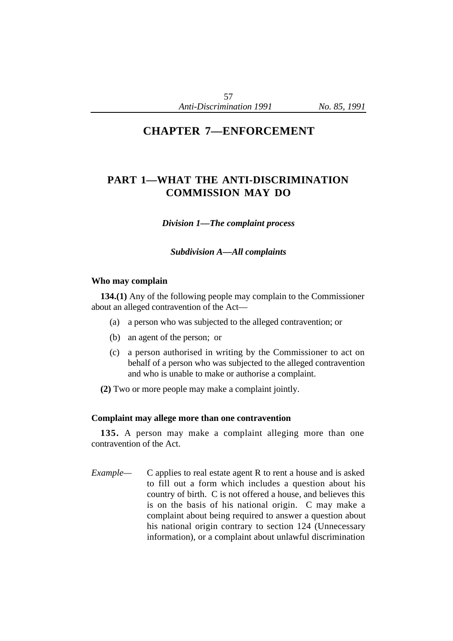# **CHAPTER 7—ENFORCEMENT**

# **PART 1—WHAT THE ANTI-DISCRIMINATION COMMISSION MAY DO**

*Division 1—The complaint process*

*Subdivision A—All complaints*

#### **Who may complain**

**134.(1)** Any of the following people may complain to the Commissioner about an alleged contravention of the Act—

- (a) a person who was subjected to the alleged contravention; or
- (b) an agent of the person; or
- (c) a person authorised in writing by the Commissioner to act on behalf of a person who was subjected to the alleged contravention and who is unable to make or authorise a complaint.
- **(2)** Two or more people may make a complaint jointly.

#### **Complaint may allege more than one contravention**

**135.** A person may make a complaint alleging more than one contravention of the Act.

*Example—* C applies to real estate agent R to rent a house and is asked to fill out a form which includes a question about his country of birth. C is not offered a house, and believes this is on the basis of his national origin. C may make a complaint about being required to answer a question about his national origin contrary to section 124 (Unnecessary information), or a complaint about unlawful discrimination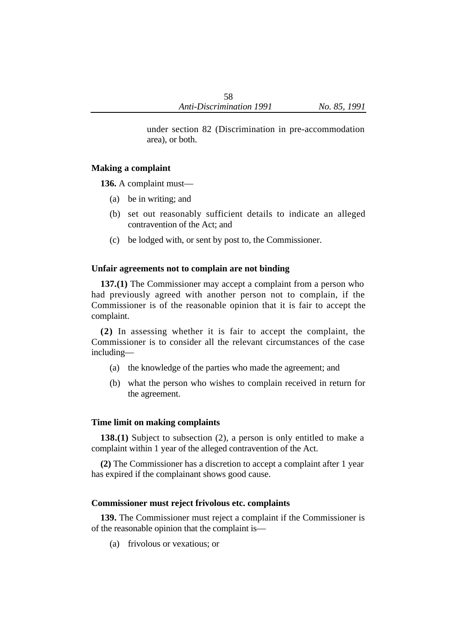under section 82 (Discrimination in pre-accommodation area), or both.

## **Making a complaint**

**136.** A complaint must—

- (a) be in writing; and
- (b) set out reasonably sufficient details to indicate an alleged contravention of the Act; and
- (c) be lodged with, or sent by post to, the Commissioner.

## **Unfair agreements not to complain are not binding**

**137.(1)** The Commissioner may accept a complaint from a person who had previously agreed with another person not to complain, if the Commissioner is of the reasonable opinion that it is fair to accept the complaint.

**(2)** In assessing whether it is fair to accept the complaint, the Commissioner is to consider all the relevant circumstances of the case including—

- (a) the knowledge of the parties who made the agreement; and
- (b) what the person who wishes to complain received in return for the agreement.

## **Time limit on making complaints**

**138.(1)** Subject to subsection (2), a person is only entitled to make a complaint within 1 year of the alleged contravention of the Act.

**(2)** The Commissioner has a discretion to accept a complaint after 1 year has expired if the complainant shows good cause.

## **Commissioner must reject frivolous etc. complaints**

**139.** The Commissioner must reject a complaint if the Commissioner is of the reasonable opinion that the complaint is—

(a) frivolous or vexatious; or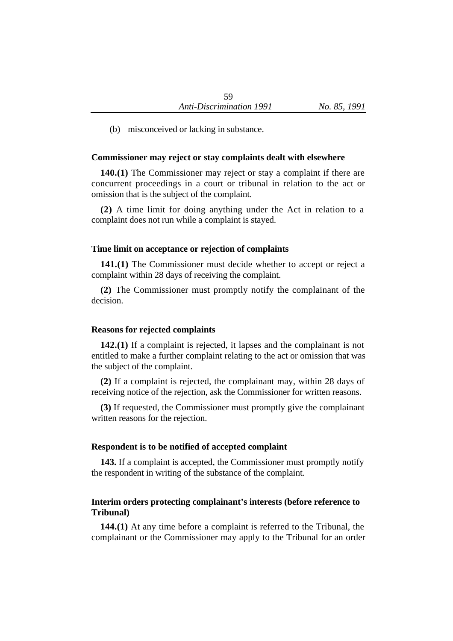(b) misconceived or lacking in substance.

#### **Commissioner may reject or stay complaints dealt with elsewhere**

**140.(1)** The Commissioner may reject or stay a complaint if there are concurrent proceedings in a court or tribunal in relation to the act or omission that is the subject of the complaint.

**(2)** A time limit for doing anything under the Act in relation to a complaint does not run while a complaint is stayed.

#### **Time limit on acceptance or rejection of complaints**

**141.(1)** The Commissioner must decide whether to accept or reject a complaint within 28 days of receiving the complaint.

**(2)** The Commissioner must promptly notify the complainant of the decision.

#### **Reasons for rejected complaints**

**142.(1)** If a complaint is rejected, it lapses and the complainant is not entitled to make a further complaint relating to the act or omission that was the subject of the complaint.

**(2)** If a complaint is rejected, the complainant may, within 28 days of receiving notice of the rejection, ask the Commissioner for written reasons.

**(3)** If requested, the Commissioner must promptly give the complainant written reasons for the rejection.

#### **Respondent is to be notified of accepted complaint**

**143.** If a complaint is accepted, the Commissioner must promptly notify the respondent in writing of the substance of the complaint.

### **Interim orders protecting complainant's interests (before reference to Tribunal)**

**144.(1)** At any time before a complaint is referred to the Tribunal, the complainant or the Commissioner may apply to the Tribunal for an order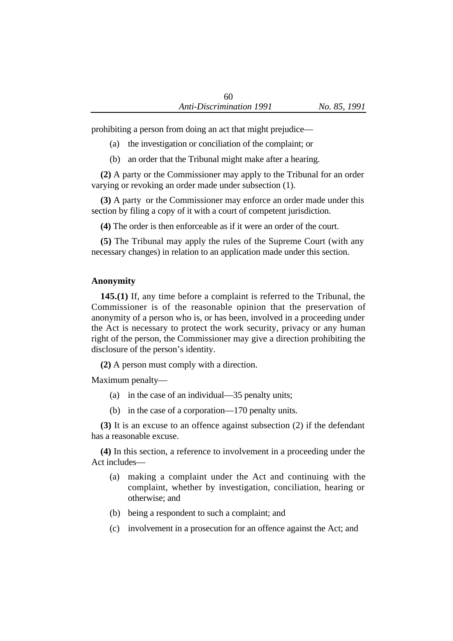prohibiting a person from doing an act that might prejudice—

- (a) the investigation or conciliation of the complaint; or
- (b) an order that the Tribunal might make after a hearing.

**(2)** A party or the Commissioner may apply to the Tribunal for an order varying or revoking an order made under subsection (1).

**(3)** A party or the Commissioner may enforce an order made under this section by filing a copy of it with a court of competent jurisdiction.

**(4)** The order is then enforceable as if it were an order of the court.

**(5)** The Tribunal may apply the rules of the Supreme Court (with any necessary changes) in relation to an application made under this section.

# **Anonymity**

**145.(1)** If, any time before a complaint is referred to the Tribunal, the Commissioner is of the reasonable opinion that the preservation of anonymity of a person who is, or has been, involved in a proceeding under the Act is necessary to protect the work security, privacy or any human right of the person, the Commissioner may give a direction prohibiting the disclosure of the person's identity.

**(2)** A person must comply with a direction.

Maximum penalty—

- (a) in the case of an individual—35 penalty units;
- (b) in the case of a corporation—170 penalty units.

**(3)** It is an excuse to an offence against subsection (2) if the defendant has a reasonable excuse.

**(4)** In this section, a reference to involvement in a proceeding under the Act includes—

- (a) making a complaint under the Act and continuing with the complaint, whether by investigation, conciliation, hearing or otherwise; and
- (b) being a respondent to such a complaint; and
- (c) involvement in a prosecution for an offence against the Act; and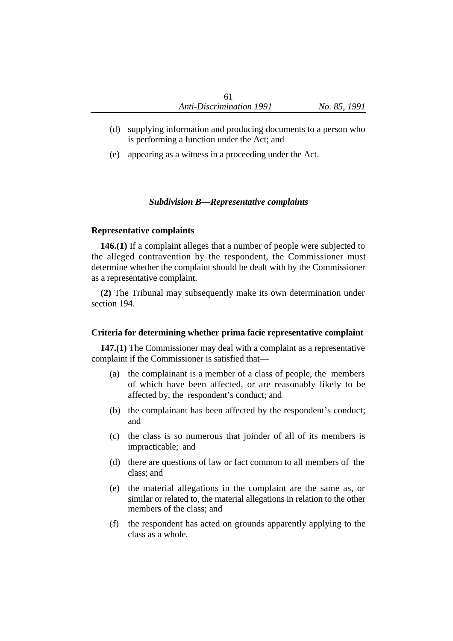- (d) supplying information and producing documents to a person who is performing a function under the Act; and
- (e) appearing as a witness in a proceeding under the Act.

### *Subdivision B—Representative complaints*

#### **Representative complaints**

**146.(1)** If a complaint alleges that a number of people were subjected to the alleged contravention by the respondent, the Commissioner must determine whether the complaint should be dealt with by the Commissioner as a representative complaint.

**(2)** The Tribunal may subsequently make its own determination under section 194.

#### **Criteria for determining whether prima facie representative complaint**

**147.(1)** The Commissioner may deal with a complaint as a representative complaint if the Commissioner is satisfied that—

- (a) the complainant is a member of a class of people, the members of which have been affected, or are reasonably likely to be affected by, the respondent's conduct; and
- (b) the complainant has been affected by the respondent's conduct; and
- (c) the class is so numerous that joinder of all of its members is impracticable; and
- (d) there are questions of law or fact common to all members of the class; and
- (e) the material allegations in the complaint are the same as, or similar or related to, the material allegations in relation to the other members of the class; and
- (f) the respondent has acted on grounds apparently applying to the class as a whole.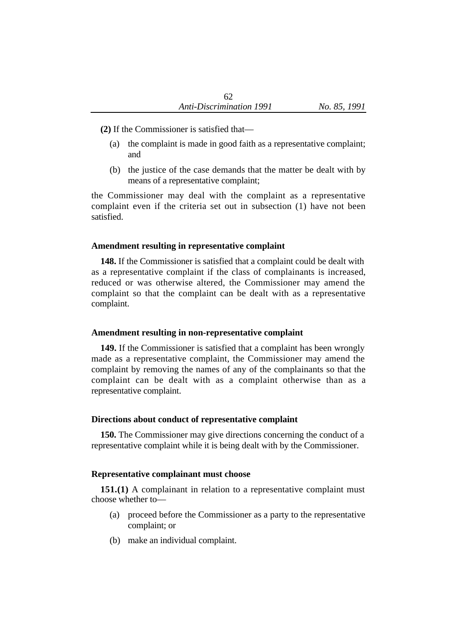- **(2)** If the Commissioner is satisfied that—
	- (a) the complaint is made in good faith as a representative complaint; and
	- (b) the justice of the case demands that the matter be dealt with by means of a representative complaint;

the Commissioner may deal with the complaint as a representative complaint even if the criteria set out in subsection (1) have not been satisfied.

#### **Amendment resulting in representative complaint**

**148.** If the Commissioner is satisfied that a complaint could be dealt with as a representative complaint if the class of complainants is increased, reduced or was otherwise altered, the Commissioner may amend the complaint so that the complaint can be dealt with as a representative complaint.

### **Amendment resulting in non-representative complaint**

**149.** If the Commissioner is satisfied that a complaint has been wrongly made as a representative complaint, the Commissioner may amend the complaint by removing the names of any of the complainants so that the complaint can be dealt with as a complaint otherwise than as a representative complaint.

### **Directions about conduct of representative complaint**

**150.** The Commissioner may give directions concerning the conduct of a representative complaint while it is being dealt with by the Commissioner.

#### **Representative complainant must choose**

**151.(1)** A complainant in relation to a representative complaint must choose whether to—

- (a) proceed before the Commissioner as a party to the representative complaint; or
- (b) make an individual complaint.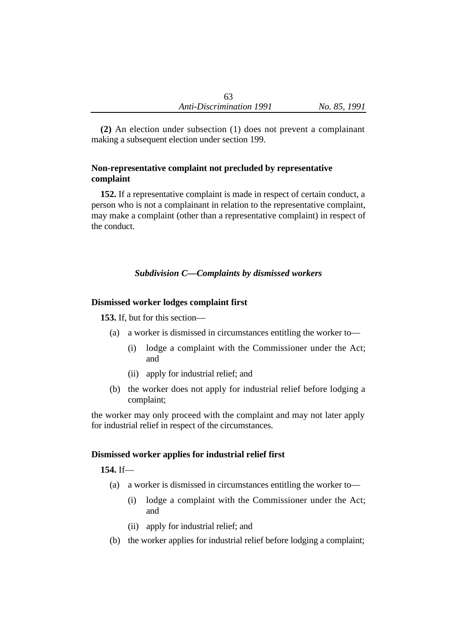**(2)** An election under subsection (1) does not prevent a complainant making a subsequent election under section 199.

# **Non-representative complaint not precluded by representative complaint**

**152.** If a representative complaint is made in respect of certain conduct, a person who is not a complainant in relation to the representative complaint, may make a complaint (other than a representative complaint) in respect of the conduct.

# *Subdivision C—Complaints by dismissed workers*

### **Dismissed worker lodges complaint first**

**153.** If, but for this section—

- (a) a worker is dismissed in circumstances entitling the worker to—
	- (i) lodge a complaint with the Commissioner under the Act; and
	- (ii) apply for industrial relief; and
- (b) the worker does not apply for industrial relief before lodging a complaint;

the worker may only proceed with the complaint and may not later apply for industrial relief in respect of the circumstances.

# **Dismissed worker applies for industrial relief first**

**154.** If—

- (a) a worker is dismissed in circumstances entitling the worker to—
	- (i) lodge a complaint with the Commissioner under the Act; and
	- (ii) apply for industrial relief; and
- (b) the worker applies for industrial relief before lodging a complaint;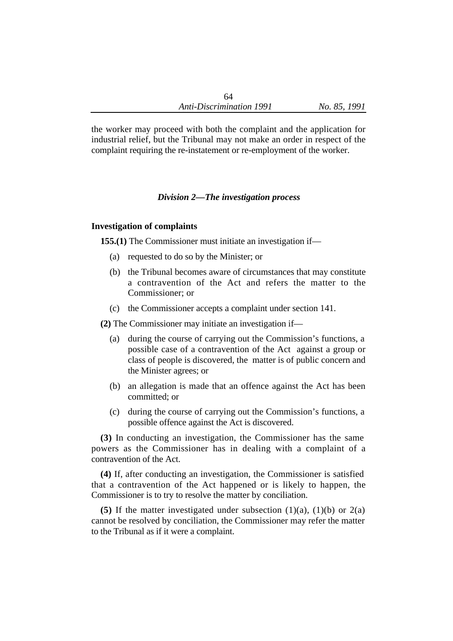the worker may proceed with both the complaint and the application for industrial relief, but the Tribunal may not make an order in respect of the complaint requiring the re-instatement or re-employment of the worker.

### *Division 2—The investigation process*

### **Investigation of complaints**

**155.(1)** The Commissioner must initiate an investigation if—

- (a) requested to do so by the Minister; or
- (b) the Tribunal becomes aware of circumstances that may constitute a contravention of the Act and refers the matter to the Commissioner; or
- (c) the Commissioner accepts a complaint under section 141.

**(2)** The Commissioner may initiate an investigation if—

- (a) during the course of carrying out the Commission's functions, a possible case of a contravention of the Act against a group or class of people is discovered, the matter is of public concern and the Minister agrees; or
- (b) an allegation is made that an offence against the Act has been committed; or
- (c) during the course of carrying out the Commission's functions, a possible offence against the Act is discovered.

**(3)** In conducting an investigation, the Commissioner has the same powers as the Commissioner has in dealing with a complaint of a contravention of the Act.

**(4)** If, after conducting an investigation, the Commissioner is satisfied that a contravention of the Act happened or is likely to happen, the Commissioner is to try to resolve the matter by conciliation.

**(5)** If the matter investigated under subsection  $(1)(a)$ ,  $(1)(b)$  or  $2(a)$ cannot be resolved by conciliation, the Commissioner may refer the matter to the Tribunal as if it were a complaint.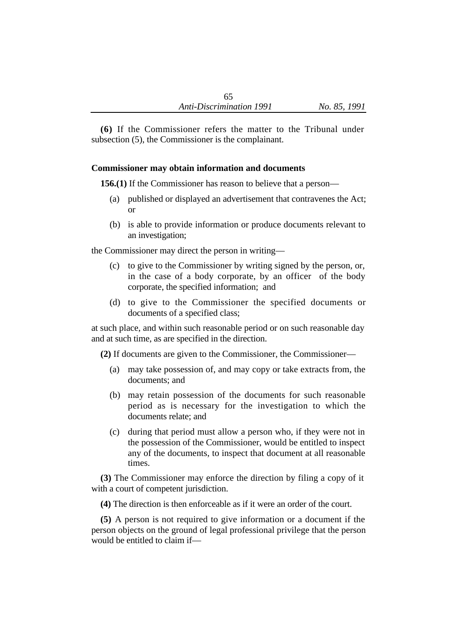**(6)** If the Commissioner refers the matter to the Tribunal under subsection (5), the Commissioner is the complainant.

# **Commissioner may obtain information and documents**

**156.(1)** If the Commissioner has reason to believe that a person—

- (a) published or displayed an advertisement that contravenes the Act; or
- (b) is able to provide information or produce documents relevant to an investigation;

the Commissioner may direct the person in writing—

- (c) to give to the Commissioner by writing signed by the person, or, in the case of a body corporate, by an officer of the body corporate, the specified information; and
- (d) to give to the Commissioner the specified documents or documents of a specified class;

at such place, and within such reasonable period or on such reasonable day and at such time, as are specified in the direction.

**(2)** If documents are given to the Commissioner, the Commissioner—

- (a) may take possession of, and may copy or take extracts from, the documents; and
- (b) may retain possession of the documents for such reasonable period as is necessary for the investigation to which the documents relate; and
- (c) during that period must allow a person who, if they were not in the possession of the Commissioner, would be entitled to inspect any of the documents, to inspect that document at all reasonable times.

**(3)** The Commissioner may enforce the direction by filing a copy of it with a court of competent jurisdiction.

**(4)** The direction is then enforceable as if it were an order of the court.

**(5)** A person is not required to give information or a document if the person objects on the ground of legal professional privilege that the person would be entitled to claim if—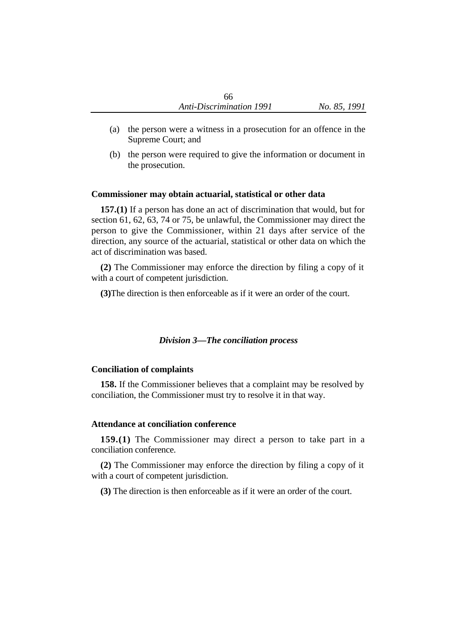- (a) the person were a witness in a prosecution for an offence in the Supreme Court; and
- (b) the person were required to give the information or document in the prosecution.

### **Commissioner may obtain actuarial, statistical or other data**

**157.(1)** If a person has done an act of discrimination that would, but for section 61, 62, 63, 74 or 75, be unlawful, the Commissioner may direct the person to give the Commissioner, within 21 days after service of the direction, any source of the actuarial, statistical or other data on which the act of discrimination was based.

**(2)** The Commissioner may enforce the direction by filing a copy of it with a court of competent jurisdiction.

**(3)**The direction is then enforceable as if it were an order of the court.

# *Division 3—The conciliation process*

# **Conciliation of complaints**

**158.** If the Commissioner believes that a complaint may be resolved by conciliation, the Commissioner must try to resolve it in that way.

### **Attendance at conciliation conference**

**159.(1)** The Commissioner may direct a person to take part in a conciliation conference.

**(2)** The Commissioner may enforce the direction by filing a copy of it with a court of competent jurisdiction.

**(3)** The direction is then enforceable as if it were an order of the court.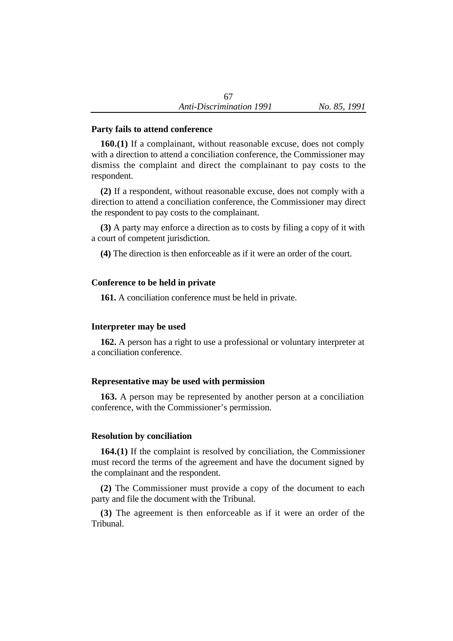### **Party fails to attend conference**

**160.(1)** If a complainant, without reasonable excuse, does not comply with a direction to attend a conciliation conference, the Commissioner may dismiss the complaint and direct the complainant to pay costs to the respondent.

**(2)** If a respondent, without reasonable excuse, does not comply with a direction to attend a conciliation conference, the Commissioner may direct the respondent to pay costs to the complainant.

**(3)** A party may enforce a direction as to costs by filing a copy of it with a court of competent jurisdiction.

**(4)** The direction is then enforceable as if it were an order of the court.

### **Conference to be held in private**

**161.** A conciliation conference must be held in private.

# **Interpreter may be used**

**162.** A person has a right to use a professional or voluntary interpreter at a conciliation conference.

# **Representative may be used with permission**

**163.** A person may be represented by another person at a conciliation conference, with the Commissioner's permission.

# **Resolution by conciliation**

**164.(1)** If the complaint is resolved by conciliation, the Commissioner must record the terms of the agreement and have the document signed by the complainant and the respondent.

**(2)** The Commissioner must provide a copy of the document to each party and file the document with the Tribunal.

**(3)** The agreement is then enforceable as if it were an order of the Tribunal.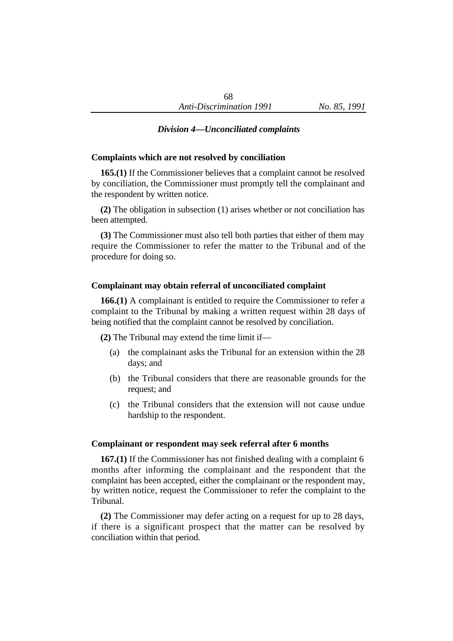# *Division 4—Unconciliated complaints*

### **Complaints which are not resolved by conciliation**

**165.(1)** If the Commissioner believes that a complaint cannot be resolved by conciliation, the Commissioner must promptly tell the complainant and the respondent by written notice.

**(2)** The obligation in subsection (1) arises whether or not conciliation has been attempted.

**(3)** The Commissioner must also tell both parties that either of them may require the Commissioner to refer the matter to the Tribunal and of the procedure for doing so.

### **Complainant may obtain referral of unconciliated complaint**

**166.(1)** A complainant is entitled to require the Commissioner to refer a complaint to the Tribunal by making a written request within 28 days of being notified that the complaint cannot be resolved by conciliation.

**(2)** The Tribunal may extend the time limit if—

- (a) the complainant asks the Tribunal for an extension within the 28 days; and
- (b) the Tribunal considers that there are reasonable grounds for the request; and
- (c) the Tribunal considers that the extension will not cause undue hardship to the respondent.

### **Complainant or respondent may seek referral after 6 months**

**167.(1)** If the Commissioner has not finished dealing with a complaint 6 months after informing the complainant and the respondent that the complaint has been accepted, either the complainant or the respondent may, by written notice, request the Commissioner to refer the complaint to the Tribunal.

**(2)** The Commissioner may defer acting on a request for up to 28 days, if there is a significant prospect that the matter can be resolved by conciliation within that period.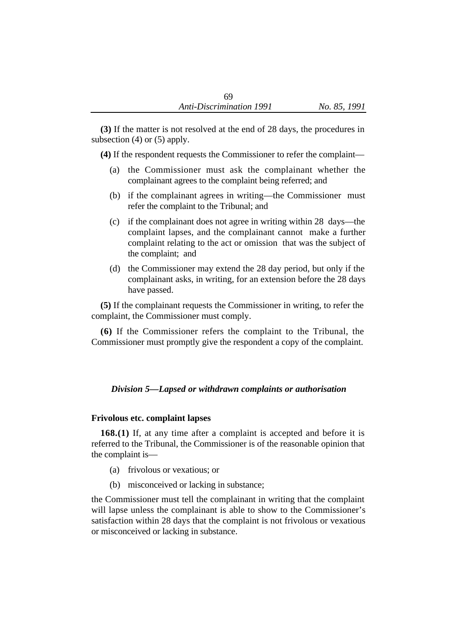**(3)** If the matter is not resolved at the end of 28 days, the procedures in subsection (4) or (5) apply.

**(4)** If the respondent requests the Commissioner to refer the complaint—

- (a) the Commissioner must ask the complainant whether the complainant agrees to the complaint being referred; and
- (b) if the complainant agrees in writing—the Commissioner must refer the complaint to the Tribunal; and
- (c) if the complainant does not agree in writing within 28 days—the complaint lapses, and the complainant cannot make a further complaint relating to the act or omission that was the subject of the complaint; and
- (d) the Commissioner may extend the 28 day period, but only if the complainant asks, in writing, for an extension before the 28 days have passed.

**(5)** If the complainant requests the Commissioner in writing, to refer the complaint, the Commissioner must comply.

**(6)** If the Commissioner refers the complaint to the Tribunal, the Commissioner must promptly give the respondent a copy of the complaint.

# *Division 5—Lapsed or withdrawn complaints or authorisation*

# **Frivolous etc. complaint lapses**

**168.(1)** If, at any time after a complaint is accepted and before it is referred to the Tribunal, the Commissioner is of the reasonable opinion that the complaint is—

- (a) frivolous or vexatious; or
- (b) misconceived or lacking in substance;

the Commissioner must tell the complainant in writing that the complaint will lapse unless the complainant is able to show to the Commissioner's satisfaction within 28 days that the complaint is not frivolous or vexatious or misconceived or lacking in substance.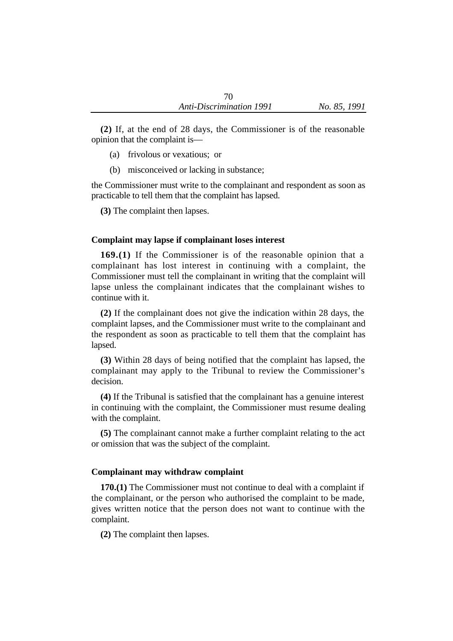**(2)** If, at the end of 28 days, the Commissioner is of the reasonable opinion that the complaint is—

- (a) frivolous or vexatious; or
- (b) misconceived or lacking in substance;

the Commissioner must write to the complainant and respondent as soon as practicable to tell them that the complaint has lapsed.

**(3)** The complaint then lapses.

### **Complaint may lapse if complainant loses interest**

**169.(1)** If the Commissioner is of the reasonable opinion that a complainant has lost interest in continuing with a complaint, the Commissioner must tell the complainant in writing that the complaint will lapse unless the complainant indicates that the complainant wishes to continue with it.

**(2)** If the complainant does not give the indication within 28 days, the complaint lapses, and the Commissioner must write to the complainant and the respondent as soon as practicable to tell them that the complaint has lapsed.

**(3)** Within 28 days of being notified that the complaint has lapsed, the complainant may apply to the Tribunal to review the Commissioner's decision.

**(4)** If the Tribunal is satisfied that the complainant has a genuine interest in continuing with the complaint, the Commissioner must resume dealing with the complaint.

**(5)** The complainant cannot make a further complaint relating to the act or omission that was the subject of the complaint.

### **Complainant may withdraw complaint**

**170.(1)** The Commissioner must not continue to deal with a complaint if the complainant, or the person who authorised the complaint to be made, gives written notice that the person does not want to continue with the complaint.

**(2)** The complaint then lapses.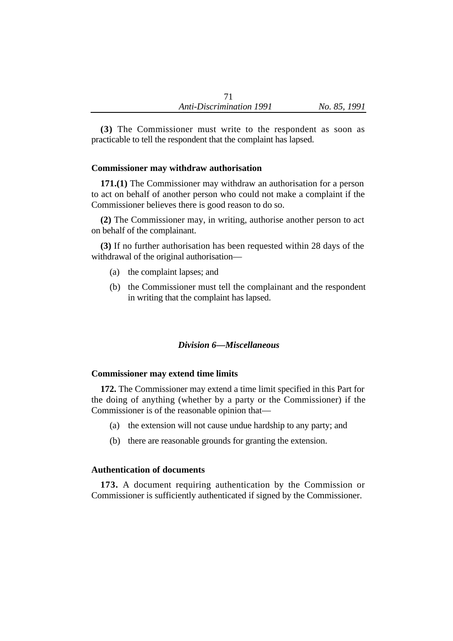**(3)** The Commissioner must write to the respondent as soon as practicable to tell the respondent that the complaint has lapsed.

### **Commissioner may withdraw authorisation**

**171.(1)** The Commissioner may withdraw an authorisation for a person to act on behalf of another person who could not make a complaint if the Commissioner believes there is good reason to do so.

**(2)** The Commissioner may, in writing, authorise another person to act on behalf of the complainant.

**(3)** If no further authorisation has been requested within 28 days of the withdrawal of the original authorisation—

- (a) the complaint lapses; and
- (b) the Commissioner must tell the complainant and the respondent in writing that the complaint has lapsed.

### *Division 6—Miscellaneous*

#### **Commissioner may extend time limits**

**172.** The Commissioner may extend a time limit specified in this Part for the doing of anything (whether by a party or the Commissioner) if the Commissioner is of the reasonable opinion that—

- (a) the extension will not cause undue hardship to any party; and
- (b) there are reasonable grounds for granting the extension.

### **Authentication of documents**

**173.** A document requiring authentication by the Commission or Commissioner is sufficiently authenticated if signed by the Commissioner.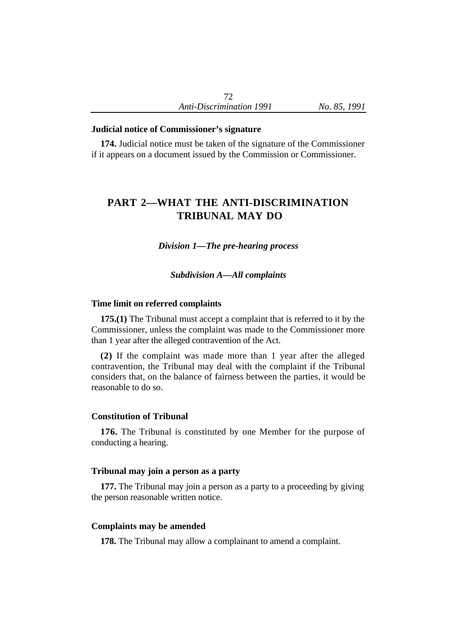### **Judicial notice of Commissioner's signature**

**174.** Judicial notice must be taken of the signature of the Commissioner if it appears on a document issued by the Commission or Commissioner.

# **PART 2—WHAT THE ANTI-DISCRIMINATION TRIBUNAL MAY DO**

*Division 1—The pre-hearing process*

*Subdivision A—All complaints*

### **Time limit on referred complaints**

**175.(1)** The Tribunal must accept a complaint that is referred to it by the Commissioner, unless the complaint was made to the Commissioner more than 1 year after the alleged contravention of the Act.

**(2)** If the complaint was made more than 1 year after the alleged contravention, the Tribunal may deal with the complaint if the Tribunal considers that, on the balance of fairness between the parties, it would be reasonable to do so.

#### **Constitution of Tribunal**

**176.** The Tribunal is constituted by one Member for the purpose of conducting a hearing.

#### **Tribunal may join a person as a party**

**177.** The Tribunal may join a person as a party to a proceeding by giving the person reasonable written notice.

#### **Complaints may be amended**

**178.** The Tribunal may allow a complainant to amend a complaint.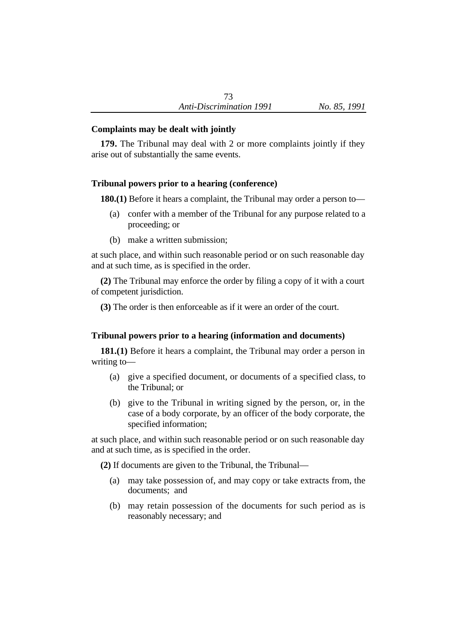# **Complaints may be dealt with jointly**

**179.** The Tribunal may deal with 2 or more complaints jointly if they arise out of substantially the same events.

# **Tribunal powers prior to a hearing (conference)**

**180.(1)** Before it hears a complaint, the Tribunal may order a person to—

- (a) confer with a member of the Tribunal for any purpose related to a proceeding; or
- (b) make a written submission;

at such place, and within such reasonable period or on such reasonable day and at such time, as is specified in the order.

**(2)** The Tribunal may enforce the order by filing a copy of it with a court of competent jurisdiction.

**(3)** The order is then enforceable as if it were an order of the court.

# **Tribunal powers prior to a hearing (information and documents)**

**181.(1)** Before it hears a complaint, the Tribunal may order a person in writing to—

- (a) give a specified document, or documents of a specified class, to the Tribunal; or
- (b) give to the Tribunal in writing signed by the person, or, in the case of a body corporate, by an officer of the body corporate, the specified information;

at such place, and within such reasonable period or on such reasonable day and at such time, as is specified in the order.

**(2)** If documents are given to the Tribunal, the Tribunal—

- (a) may take possession of, and may copy or take extracts from, the documents; and
- (b) may retain possession of the documents for such period as is reasonably necessary; and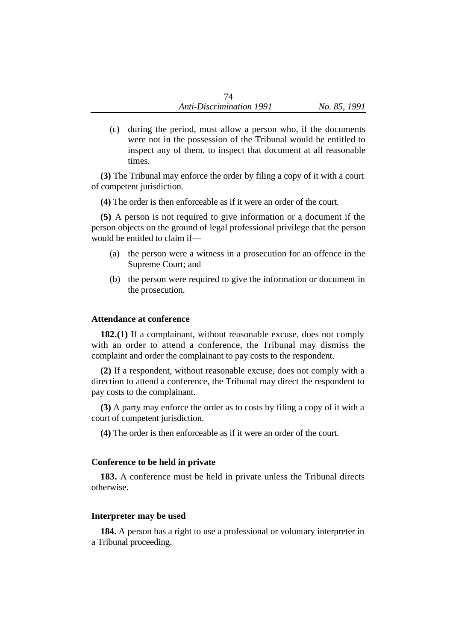(c) during the period, must allow a person who, if the documents were not in the possession of the Tribunal would be entitled to inspect any of them, to inspect that document at all reasonable times.

**(3)** The Tribunal may enforce the order by filing a copy of it with a court of competent jurisdiction.

**(4)** The order is then enforceable as if it were an order of the court.

**(5)** A person is not required to give information or a document if the person objects on the ground of legal professional privilege that the person would be entitled to claim if—

- (a) the person were a witness in a prosecution for an offence in the Supreme Court; and
- (b) the person were required to give the information or document in the prosecution.

#### **Attendance at conference**

**182.(1)** If a complainant, without reasonable excuse, does not comply with an order to attend a conference, the Tribunal may dismiss the complaint and order the complainant to pay costs to the respondent.

**(2)** If a respondent, without reasonable excuse, does not comply with a direction to attend a conference, the Tribunal may direct the respondent to pay costs to the complainant.

**(3)** A party may enforce the order as to costs by filing a copy of it with a court of competent jurisdiction.

**(4)** The order is then enforceable as if it were an order of the court.

#### **Conference to be held in private**

**183.** A conference must be held in private unless the Tribunal directs otherwise.

#### **Interpreter may be used**

**184.** A person has a right to use a professional or voluntary interpreter in a Tribunal proceeding.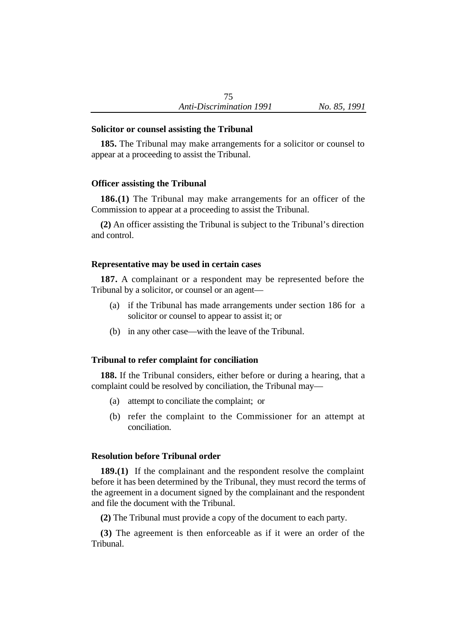### **Solicitor or counsel assisting the Tribunal**

**185.** The Tribunal may make arrangements for a solicitor or counsel to appear at a proceeding to assist the Tribunal.

# **Officer assisting the Tribunal**

**186.(1)** The Tribunal may make arrangements for an officer of the Commission to appear at a proceeding to assist the Tribunal.

**(2)** An officer assisting the Tribunal is subject to the Tribunal's direction and control.

### **Representative may be used in certain cases**

**187.** A complainant or a respondent may be represented before the Tribunal by a solicitor, or counsel or an agent—

- (a) if the Tribunal has made arrangements under section 186 for a solicitor or counsel to appear to assist it; or
- (b) in any other case—with the leave of the Tribunal.

### **Tribunal to refer complaint for conciliation**

**188.** If the Tribunal considers, either before or during a hearing, that a complaint could be resolved by conciliation, the Tribunal may—

- (a) attempt to conciliate the complaint; or
- (b) refer the complaint to the Commissioner for an attempt at conciliation.

### **Resolution before Tribunal order**

**189.(1)** If the complainant and the respondent resolve the complaint before it has been determined by the Tribunal, they must record the terms of the agreement in a document signed by the complainant and the respondent and file the document with the Tribunal.

**(2)** The Tribunal must provide a copy of the document to each party.

**(3)** The agreement is then enforceable as if it were an order of the Tribunal.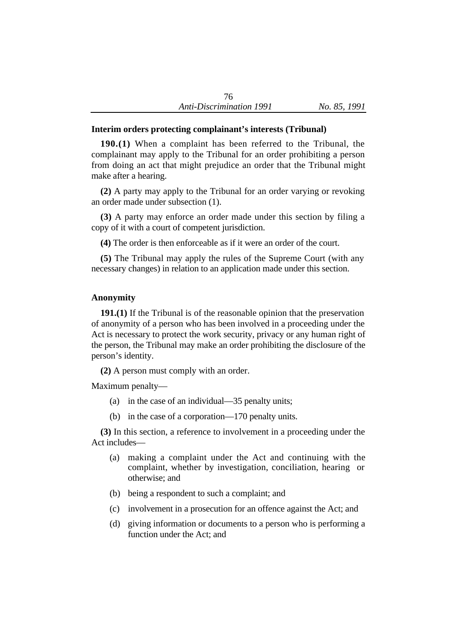# **Interim orders protecting complainant's interests (Tribunal)**

**190.(1)** When a complaint has been referred to the Tribunal, the complainant may apply to the Tribunal for an order prohibiting a person from doing an act that might prejudice an order that the Tribunal might make after a hearing.

**(2)** A party may apply to the Tribunal for an order varying or revoking an order made under subsection (1).

**(3)** A party may enforce an order made under this section by filing a copy of it with a court of competent jurisdiction.

**(4)** The order is then enforceable as if it were an order of the court.

**(5)** The Tribunal may apply the rules of the Supreme Court (with any necessary changes) in relation to an application made under this section.

# **Anonymity**

**191.(1)** If the Tribunal is of the reasonable opinion that the preservation of anonymity of a person who has been involved in a proceeding under the Act is necessary to protect the work security, privacy or any human right of the person, the Tribunal may make an order prohibiting the disclosure of the person's identity.

**(2)** A person must comply with an order.

Maximum penalty—

- (a) in the case of an individual—35 penalty units;
- (b) in the case of a corporation—170 penalty units.

**(3)** In this section, a reference to involvement in a proceeding under the Act includes—

- (a) making a complaint under the Act and continuing with the complaint, whether by investigation, conciliation, hearing or otherwise; and
- (b) being a respondent to such a complaint; and
- (c) involvement in a prosecution for an offence against the Act; and
- (d) giving information or documents to a person who is performing a function under the Act; and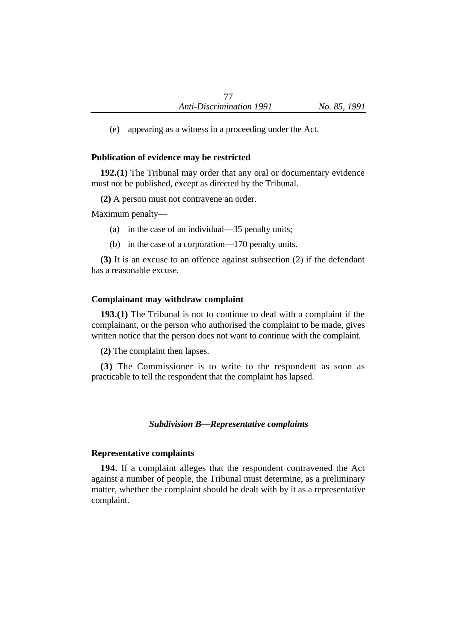(e) appearing as a witness in a proceeding under the Act.

### **Publication of evidence may be restricted**

**192.(1)** The Tribunal may order that any oral or documentary evidence must not be published, except as directed by the Tribunal.

**(2)** A person must not contravene an order.

Maximum penalty—

- (a) in the case of an individual—35 penalty units;
- (b) in the case of a corporation—170 penalty units.

**(3)** It is an excuse to an offence against subsection (2) if the defendant has a reasonable excuse.

### **Complainant may withdraw complaint**

**193.(1)** The Tribunal is not to continue to deal with a complaint if the complainant, or the person who authorised the complaint to be made, gives written notice that the person does not want to continue with the complaint.

**(2)** The complaint then lapses.

**(3)** The Commissioner is to write to the respondent as soon as practicable to tell the respondent that the complaint has lapsed.

#### *Subdivision B—Representative complaints*

#### **Representative complaints**

**194.** If a complaint alleges that the respondent contravened the Act against a number of people, the Tribunal must determine, as a preliminary matter, whether the complaint should be dealt with by it as a representative complaint.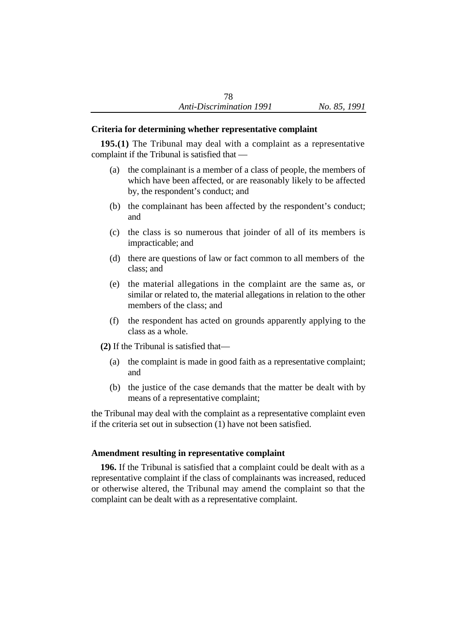### **Criteria for determining whether representative complaint**

**195.(1)** The Tribunal may deal with a complaint as a representative complaint if the Tribunal is satisfied that —

- (a) the complainant is a member of a class of people, the members of which have been affected, or are reasonably likely to be affected by, the respondent's conduct; and
- (b) the complainant has been affected by the respondent's conduct; and
- (c) the class is so numerous that joinder of all of its members is impracticable; and
- (d) there are questions of law or fact common to all members of the class; and
- (e) the material allegations in the complaint are the same as, or similar or related to, the material allegations in relation to the other members of the class; and
- (f) the respondent has acted on grounds apparently applying to the class as a whole.
- **(2)** If the Tribunal is satisfied that—
	- (a) the complaint is made in good faith as a representative complaint; and
	- (b) the justice of the case demands that the matter be dealt with by means of a representative complaint;

the Tribunal may deal with the complaint as a representative complaint even if the criteria set out in subsection (1) have not been satisfied.

### **Amendment resulting in representative complaint**

**196.** If the Tribunal is satisfied that a complaint could be dealt with as a representative complaint if the class of complainants was increased, reduced or otherwise altered, the Tribunal may amend the complaint so that the complaint can be dealt with as a representative complaint.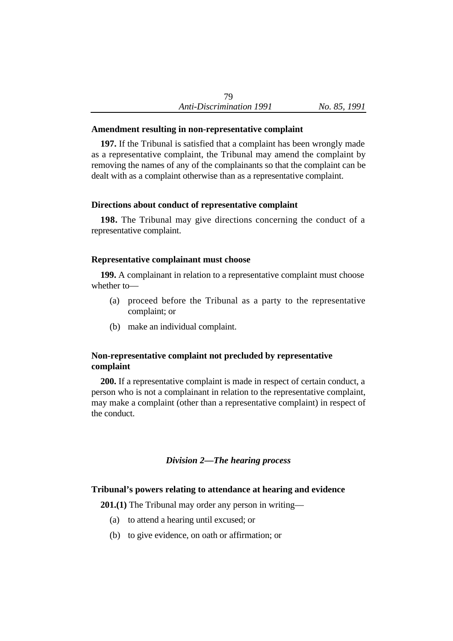### **Amendment resulting in non-representative complaint**

**197.** If the Tribunal is satisfied that a complaint has been wrongly made as a representative complaint, the Tribunal may amend the complaint by removing the names of any of the complainants so that the complaint can be dealt with as a complaint otherwise than as a representative complaint.

# **Directions about conduct of representative complaint**

**198.** The Tribunal may give directions concerning the conduct of a representative complaint.

### **Representative complainant must choose**

**199.** A complainant in relation to a representative complaint must choose whether to—

- (a) proceed before the Tribunal as a party to the representative complaint; or
- (b) make an individual complaint.

# **Non-representative complaint not precluded by representative complaint**

**200.** If a representative complaint is made in respect of certain conduct, a person who is not a complainant in relation to the representative complaint, may make a complaint (other than a representative complaint) in respect of the conduct.

# *Division 2—The hearing process*

# **Tribunal's powers relating to attendance at hearing and evidence**

**201.(1)** The Tribunal may order any person in writing—

- (a) to attend a hearing until excused; or
- (b) to give evidence, on oath or affirmation; or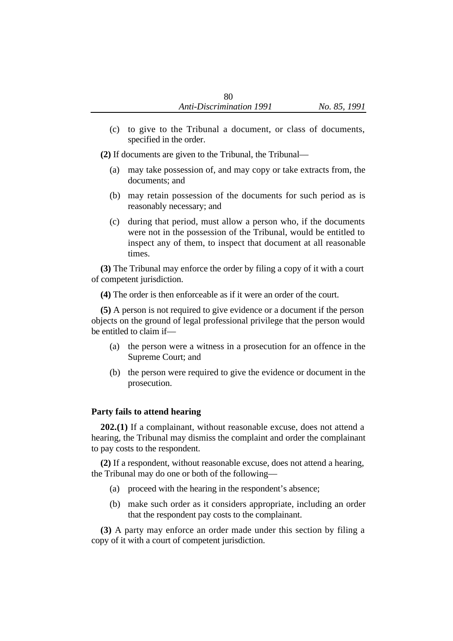(c) to give to the Tribunal a document, or class of documents, specified in the order.

**(2)** If documents are given to the Tribunal, the Tribunal—

- (a) may take possession of, and may copy or take extracts from, the documents; and
- (b) may retain possession of the documents for such period as is reasonably necessary; and
- (c) during that period, must allow a person who, if the documents were not in the possession of the Tribunal, would be entitled to inspect any of them, to inspect that document at all reasonable times.

**(3)** The Tribunal may enforce the order by filing a copy of it with a court of competent jurisdiction.

**(4)** The order is then enforceable as if it were an order of the court.

**(5)** A person is not required to give evidence or a document if the person objects on the ground of legal professional privilege that the person would be entitled to claim if—

- (a) the person were a witness in a prosecution for an offence in the Supreme Court; and
- (b) the person were required to give the evidence or document in the prosecution.

### **Party fails to attend hearing**

**202.(1)** If a complainant, without reasonable excuse, does not attend a hearing, the Tribunal may dismiss the complaint and order the complainant to pay costs to the respondent.

**(2)** If a respondent, without reasonable excuse, does not attend a hearing, the Tribunal may do one or both of the following—

- (a) proceed with the hearing in the respondent's absence;
- (b) make such order as it considers appropriate, including an order that the respondent pay costs to the complainant.

**(3)** A party may enforce an order made under this section by filing a copy of it with a court of competent jurisdiction.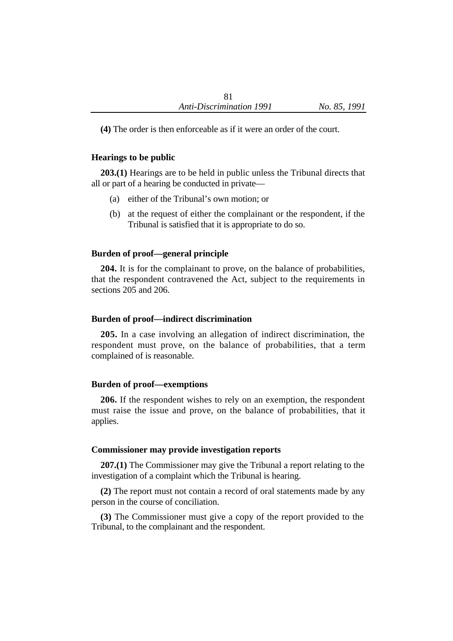**(4)** The order is then enforceable as if it were an order of the court.

### **Hearings to be public**

**203.(1)** Hearings are to be held in public unless the Tribunal directs that all or part of a hearing be conducted in private—

- (a) either of the Tribunal's own motion; or
- (b) at the request of either the complainant or the respondent, if the Tribunal is satisfied that it is appropriate to do so.

### **Burden of proof—general principle**

**204.** It is for the complainant to prove, on the balance of probabilities, that the respondent contravened the Act, subject to the requirements in sections 205 and 206.

### **Burden of proof—indirect discrimination**

**205.** In a case involving an allegation of indirect discrimination, the respondent must prove, on the balance of probabilities, that a term complained of is reasonable.

### **Burden of proof—exemptions**

**206.** If the respondent wishes to rely on an exemption, the respondent must raise the issue and prove, on the balance of probabilities, that it applies.

#### **Commissioner may provide investigation reports**

**207.(1)** The Commissioner may give the Tribunal a report relating to the investigation of a complaint which the Tribunal is hearing.

**(2)** The report must not contain a record of oral statements made by any person in the course of conciliation.

**(3)** The Commissioner must give a copy of the report provided to the Tribunal, to the complainant and the respondent.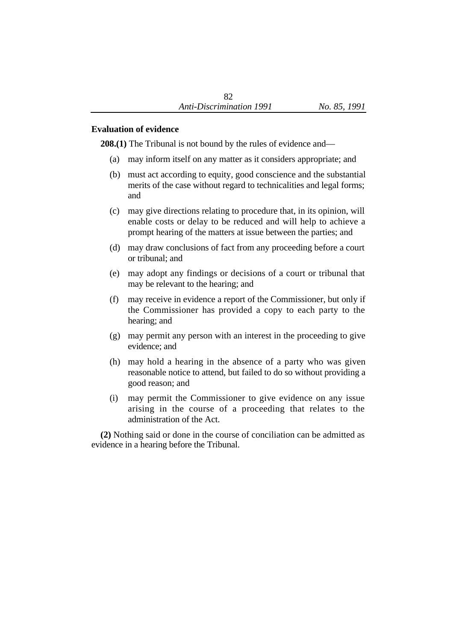### **Evaluation of evidence**

**208.(1)** The Tribunal is not bound by the rules of evidence and—

- (a) may inform itself on any matter as it considers appropriate; and
- (b) must act according to equity, good conscience and the substantial merits of the case without regard to technicalities and legal forms; and
- (c) may give directions relating to procedure that, in its opinion, will enable costs or delay to be reduced and will help to achieve a prompt hearing of the matters at issue between the parties; and
- (d) may draw conclusions of fact from any proceeding before a court or tribunal; and
- (e) may adopt any findings or decisions of a court or tribunal that may be relevant to the hearing; and
- (f) may receive in evidence a report of the Commissioner, but only if the Commissioner has provided a copy to each party to the hearing; and
- (g) may permit any person with an interest in the proceeding to give evidence; and
- (h) may hold a hearing in the absence of a party who was given reasonable notice to attend, but failed to do so without providing a good reason; and
- (i) may permit the Commissioner to give evidence on any issue arising in the course of a proceeding that relates to the administration of the Act.

**(2)** Nothing said or done in the course of conciliation can be admitted as evidence in a hearing before the Tribunal.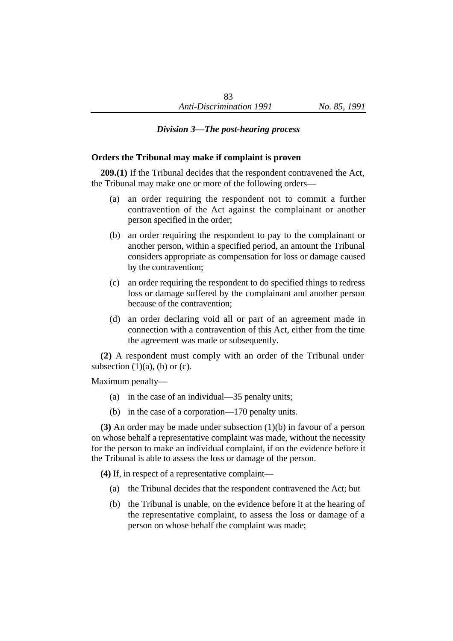### *Division 3—The post-hearing process*

#### **Orders the Tribunal may make if complaint is proven**

**209.(1)** If the Tribunal decides that the respondent contravened the Act, the Tribunal may make one or more of the following orders—

- (a) an order requiring the respondent not to commit a further contravention of the Act against the complainant or another person specified in the order;
- (b) an order requiring the respondent to pay to the complainant or another person, within a specified period, an amount the Tribunal considers appropriate as compensation for loss or damage caused by the contravention;
- (c) an order requiring the respondent to do specified things to redress loss or damage suffered by the complainant and another person because of the contravention;
- (d) an order declaring void all or part of an agreement made in connection with a contravention of this Act, either from the time the agreement was made or subsequently.

**(2)** A respondent must comply with an order of the Tribunal under subsection  $(1)(a)$ ,  $(b)$  or  $(c)$ .

Maximum penalty—

- (a) in the case of an individual—35 penalty units;
- (b) in the case of a corporation—170 penalty units.

**(3)** An order may be made under subsection (1)(b) in favour of a person on whose behalf a representative complaint was made, without the necessity for the person to make an individual complaint, if on the evidence before it the Tribunal is able to assess the loss or damage of the person.

**(4)** If, in respect of a representative complaint—

- (a) the Tribunal decides that the respondent contravened the Act; but
- (b) the Tribunal is unable, on the evidence before it at the hearing of the representative complaint, to assess the loss or damage of a person on whose behalf the complaint was made;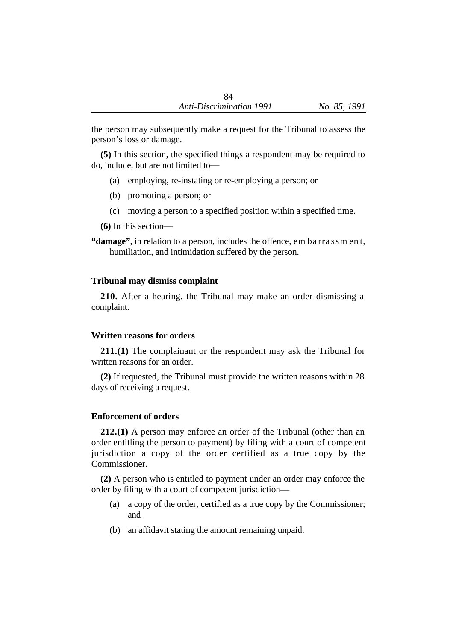the person may subsequently make a request for the Tribunal to assess the person's loss or damage.

**(5)** In this section, the specified things a respondent may be required to do, include, but are not limited to—

- (a) employing, re-instating or re-employing a person; or
- (b) promoting a person; or
- (c) moving a person to a specified position within a specified time.

**(6)** In this section—

**"damage"**, in relation to a person, includes the offence, em ba rra ssm en t, humiliation, and intimidation suffered by the person.

# **Tribunal may dismiss complaint**

**210.** After a hearing, the Tribunal may make an order dismissing a complaint.

# **Written reasons for orders**

**211.(1)** The complainant or the respondent may ask the Tribunal for written reasons for an order.

**(2)** If requested, the Tribunal must provide the written reasons within 28 days of receiving a request.

# **Enforcement of orders**

**212.(1)** A person may enforce an order of the Tribunal (other than an order entitling the person to payment) by filing with a court of competent jurisdiction a copy of the order certified as a true copy by the Commissioner.

**(2)** A person who is entitled to payment under an order may enforce the order by filing with a court of competent jurisdiction—

- (a) a copy of the order, certified as a true copy by the Commissioner; and
- (b) an affidavit stating the amount remaining unpaid.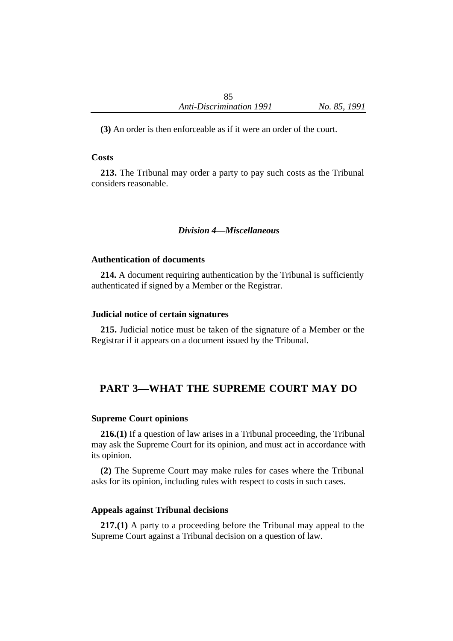**(3)** An order is then enforceable as if it were an order of the court.

#### **Costs**

**213.** The Tribunal may order a party to pay such costs as the Tribunal considers reasonable.

### *Division 4—Miscellaneous*

#### **Authentication of documents**

**214.** A document requiring authentication by the Tribunal is sufficiently authenticated if signed by a Member or the Registrar.

#### **Judicial notice of certain signatures**

**215.** Judicial notice must be taken of the signature of a Member or the Registrar if it appears on a document issued by the Tribunal.

# **PART 3—WHAT THE SUPREME COURT MAY DO**

#### **Supreme Court opinions**

**216.(1)** If a question of law arises in a Tribunal proceeding, the Tribunal may ask the Supreme Court for its opinion, and must act in accordance with its opinion.

**(2)** The Supreme Court may make rules for cases where the Tribunal asks for its opinion, including rules with respect to costs in such cases.

#### **Appeals against Tribunal decisions**

**217.(1)** A party to a proceeding before the Tribunal may appeal to the Supreme Court against a Tribunal decision on a question of law.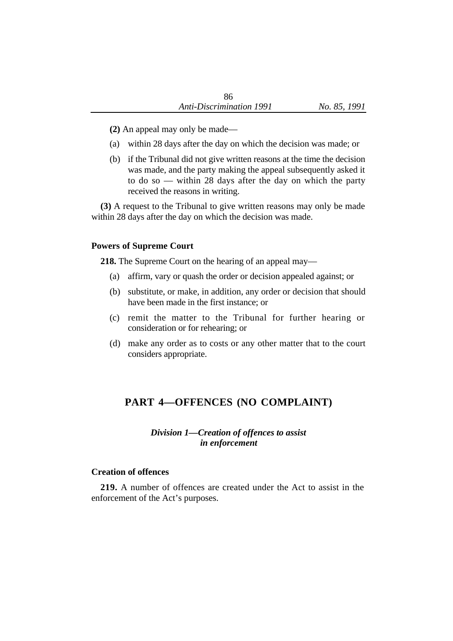- **(2)** An appeal may only be made—
- (a) within 28 days after the day on which the decision was made; or
- (b) if the Tribunal did not give written reasons at the time the decision was made, and the party making the appeal subsequently asked it to do so — within 28 days after the day on which the party received the reasons in writing.

**(3)** A request to the Tribunal to give written reasons may only be made within 28 days after the day on which the decision was made.

### **Powers of Supreme Court**

**218.** The Supreme Court on the hearing of an appeal may—

- (a) affirm, vary or quash the order or decision appealed against; or
- (b) substitute, or make, in addition, any order or decision that should have been made in the first instance; or
- (c) remit the matter to the Tribunal for further hearing or consideration or for rehearing; or
- (d) make any order as to costs or any other matter that to the court considers appropriate.

# **PART 4—OFFENCES (NO COMPLAINT)**

# *Division 1—Creation of offences to assist in enforcement*

### **Creation of offences**

**219.** A number of offences are created under the Act to assist in the enforcement of the Act's purposes.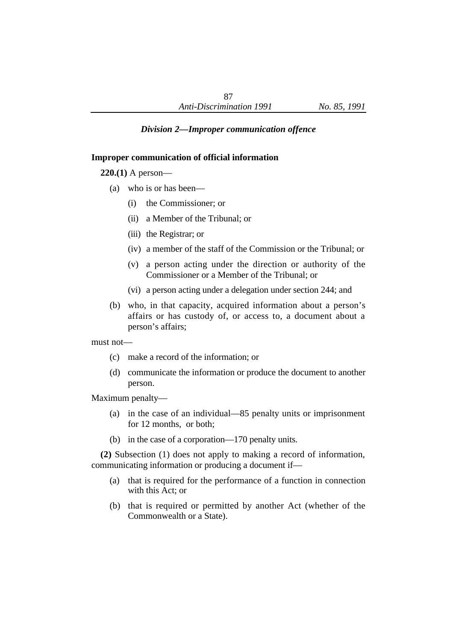# *Division 2—Improper communication offence*

### **Improper communication of official information**

**220.(1)** A person—

- (a) who is or has been—
	- (i) the Commissioner; or
	- (ii) a Member of the Tribunal; or
	- (iii) the Registrar; or
	- (iv) a member of the staff of the Commission or the Tribunal; or
	- (v) a person acting under the direction or authority of the Commissioner or a Member of the Tribunal; or
	- (vi) a person acting under a delegation under section 244; and
- (b) who, in that capacity, acquired information about a person's affairs or has custody of, or access to, a document about a person's affairs;

must not—

- (c) make a record of the information; or
- (d) communicate the information or produce the document to another person.

Maximum penalty—

- (a) in the case of an individual—85 penalty units or imprisonment for 12 months, or both;
- (b) in the case of a corporation—170 penalty units.

**(2)** Subsection (1) does not apply to making a record of information, communicating information or producing a document if—

- (a) that is required for the performance of a function in connection with this Act; or
- (b) that is required or permitted by another Act (whether of the Commonwealth or a State).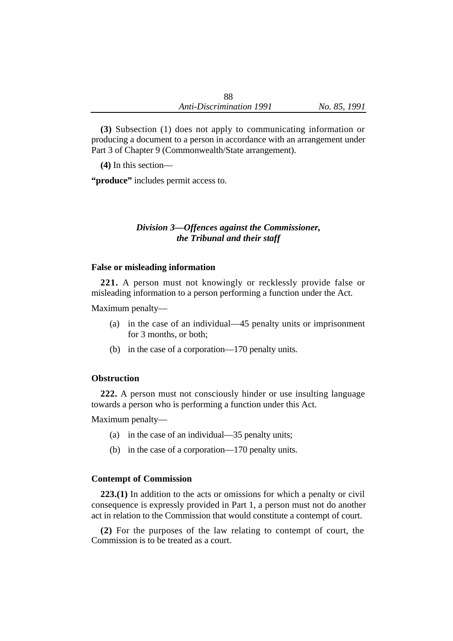**(3)** Subsection (1) does not apply to communicating information or producing a document to a person in accordance with an arrangement under Part 3 of Chapter 9 (Commonwealth/State arrangement).

**(4)** In this section—

**"produce"** includes permit access to.

# *Division 3—Offences against the Commissioner, the Tribunal and their staff*

### **False or misleading information**

**221.** A person must not knowingly or recklessly provide false or misleading information to a person performing a function under the Act.

Maximum penalty—

- (a) in the case of an individual—45 penalty units or imprisonment for 3 months, or both;
- (b) in the case of a corporation—170 penalty units.

### **Obstruction**

**222.** A person must not consciously hinder or use insulting language towards a person who is performing a function under this Act.

Maximum penalty—

- (a) in the case of an individual—35 penalty units;
- (b) in the case of a corporation—170 penalty units.

#### **Contempt of Commission**

**223.(1)** In addition to the acts or omissions for which a penalty or civil consequence is expressly provided in Part 1, a person must not do another act in relation to the Commission that would constitute a contempt of court.

**(2)** For the purposes of the law relating to contempt of court, the Commission is to be treated as a court.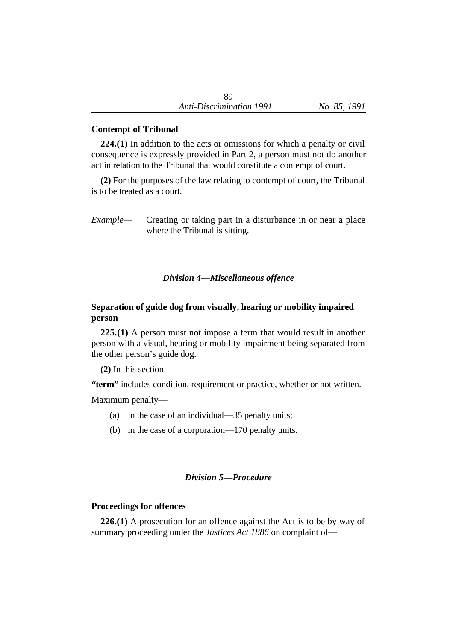### **Contempt of Tribunal**

**224.(1)** In addition to the acts or omissions for which a penalty or civil consequence is expressly provided in Part 2, a person must not do another act in relation to the Tribunal that would constitute a contempt of court.

**(2)** For the purposes of the law relating to contempt of court, the Tribunal is to be treated as a court.

*Example—* Creating or taking part in a disturbance in or near a place where the Tribunal is sitting.

### *Division 4—Miscellaneous offence*

# **Separation of guide dog from visually, hearing or mobility impaired person**

**225.(1)** A person must not impose a term that would result in another person with a visual, hearing or mobility impairment being separated from the other person's guide dog.

**(2)** In this section—

**"term"** includes condition, requirement or practice, whether or not written.

Maximum penalty—

- (a) in the case of an individual—35 penalty units;
- (b) in the case of a corporation—170 penalty units.

# *Division 5—Procedure*

### **Proceedings for offences**

**226.(1)** A prosecution for an offence against the Act is to be by way of summary proceeding under the *Justices Act 1886* on complaint of—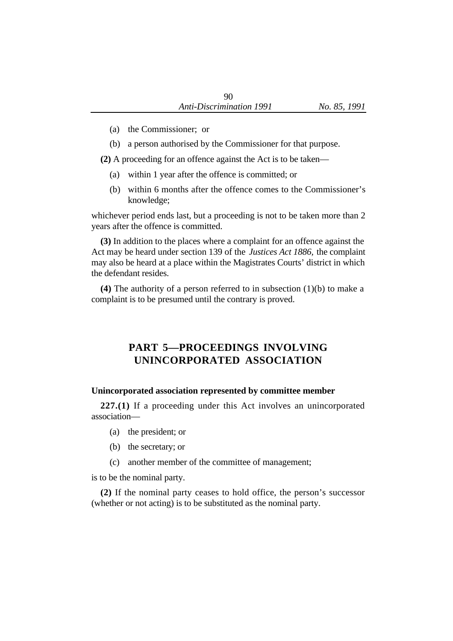- (a) the Commissioner; or
- (b) a person authorised by the Commissioner for that purpose.

**(2)** A proceeding for an offence against the Act is to be taken—

- (a) within 1 year after the offence is committed; or
- (b) within 6 months after the offence comes to the Commissioner's knowledge;

whichever period ends last, but a proceeding is not to be taken more than 2 years after the offence is committed.

**(3)** In addition to the places where a complaint for an offence against the Act may be heard under section 139 of the *Justices Act 1886,* the complaint may also be heard at a place within the Magistrates Courts' district in which the defendant resides.

**(4)** The authority of a person referred to in subsection (1)(b) to make a complaint is to be presumed until the contrary is proved.

# **PART 5—PROCEEDINGS INVOLVING UNINCORPORATED ASSOCIATION**

# **Unincorporated association represented by committee member**

**227.(1)** If a proceeding under this Act involves an unincorporated association—

- (a) the president; or
- (b) the secretary; or
- (c) another member of the committee of management;

is to be the nominal party.

**(2)** If the nominal party ceases to hold office, the person's successor (whether or not acting) is to be substituted as the nominal party.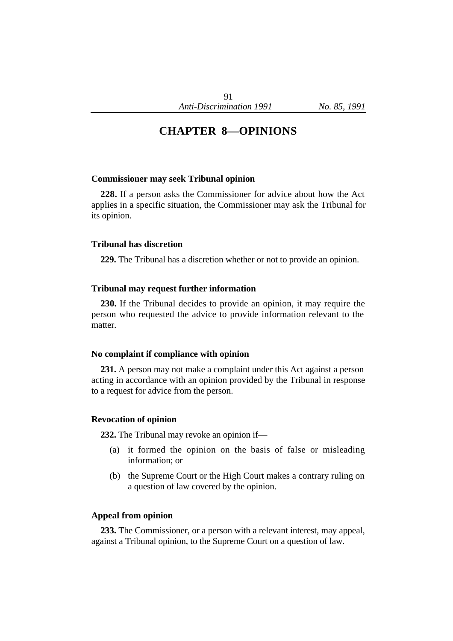# **CHAPTER 8—OPINIONS**

#### **Commissioner may seek Tribunal opinion**

**228.** If a person asks the Commissioner for advice about how the Act applies in a specific situation, the Commissioner may ask the Tribunal for its opinion.

#### **Tribunal has discretion**

**229.** The Tribunal has a discretion whether or not to provide an opinion.

#### **Tribunal may request further information**

**230.** If the Tribunal decides to provide an opinion, it may require the person who requested the advice to provide information relevant to the matter.

#### **No complaint if compliance with opinion**

**231.** A person may not make a complaint under this Act against a person acting in accordance with an opinion provided by the Tribunal in response to a request for advice from the person.

#### **Revocation of opinion**

**232.** The Tribunal may revoke an opinion if—

- (a) it formed the opinion on the basis of false or misleading information; or
- (b) the Supreme Court or the High Court makes a contrary ruling on a question of law covered by the opinion.

#### **Appeal from opinion**

**233.** The Commissioner, or a person with a relevant interest, may appeal, against a Tribunal opinion, to the Supreme Court on a question of law.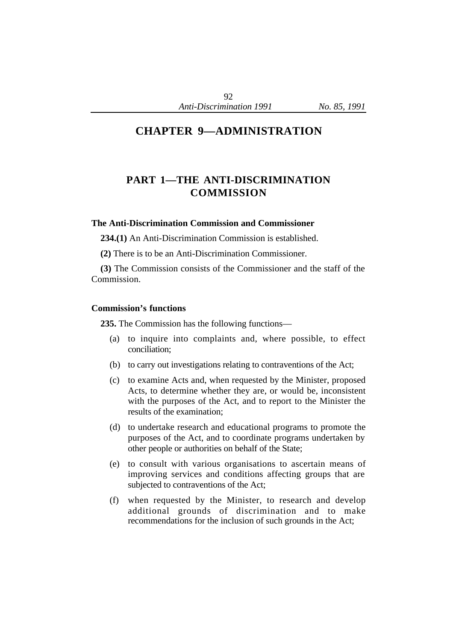# **CHAPTER 9—ADMINISTRATION**

# **PART 1—THE ANTI-DISCRIMINATION COMMISSION**

# **The Anti-Discrimination Commission and Commissioner**

**234.(1)** An Anti-Discrimination Commission is established.

**(2)** There is to be an Anti-Discrimination Commissioner.

**(3)** The Commission consists of the Commissioner and the staff of the Commission.

### **Commission's functions**

**235.** The Commission has the following functions—

- (a) to inquire into complaints and, where possible, to effect conciliation;
- (b) to carry out investigations relating to contraventions of the Act;
- (c) to examine Acts and, when requested by the Minister, proposed Acts, to determine whether they are, or would be, inconsistent with the purposes of the Act, and to report to the Minister the results of the examination;
- (d) to undertake research and educational programs to promote the purposes of the Act, and to coordinate programs undertaken by other people or authorities on behalf of the State;
- (e) to consult with various organisations to ascertain means of improving services and conditions affecting groups that are subjected to contraventions of the Act;
- (f) when requested by the Minister, to research and develop additional grounds of discrimination and to make recommendations for the inclusion of such grounds in the Act;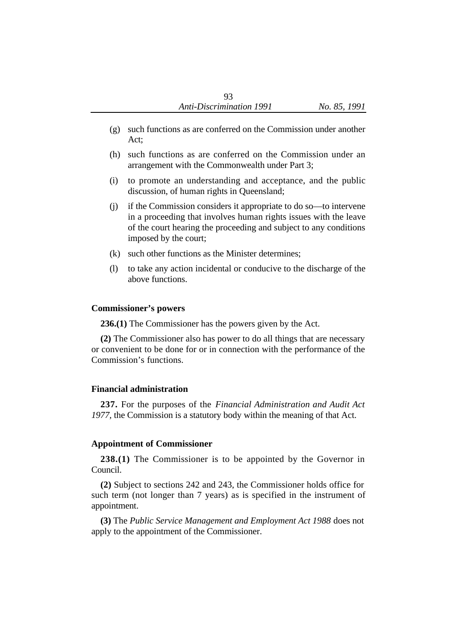- (g) such functions as are conferred on the Commission under another Act;
- (h) such functions as are conferred on the Commission under an arrangement with the Commonwealth under Part 3;
- (i) to promote an understanding and acceptance, and the public discussion, of human rights in Queensland;
- (j) if the Commission considers it appropriate to do so—to intervene in a proceeding that involves human rights issues with the leave of the court hearing the proceeding and subject to any conditions imposed by the court;
- (k) such other functions as the Minister determines;
- (l) to take any action incidental or conducive to the discharge of the above functions.

### **Commissioner's powers**

**236.(1)** The Commissioner has the powers given by the Act.

**(2)** The Commissioner also has power to do all things that are necessary or convenient to be done for or in connection with the performance of the Commission's functions.

### **Financial administration**

**237.** For the purposes of the *Financial Administration and Audit Act 1977,* the Commission is a statutory body within the meaning of that Act.

# **Appointment of Commissioner**

**238.(1)** The Commissioner is to be appointed by the Governor in Council.

**(2)** Subject to sections 242 and 243, the Commissioner holds office for such term (not longer than 7 years) as is specified in the instrument of appointment.

**(3)** The *Public Service Management and Employment Act 1988* does not apply to the appointment of the Commissioner.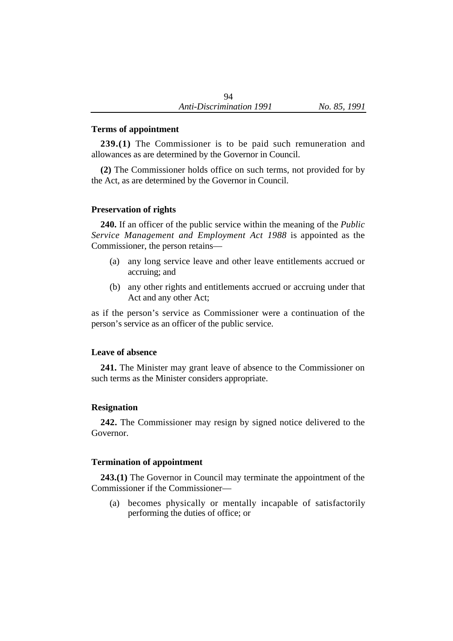### **Terms of appointment**

**239.(1)** The Commissioner is to be paid such remuneration and allowances as are determined by the Governor in Council.

**(2)** The Commissioner holds office on such terms, not provided for by the Act, as are determined by the Governor in Council.

### **Preservation of rights**

**240.** If an officer of the public service within the meaning of the *Public Service Management and Employment Act 1988* is appointed as the Commissioner, the person retains—

- (a) any long service leave and other leave entitlements accrued or accruing; and
- (b) any other rights and entitlements accrued or accruing under that Act and any other Act;

as if the person's service as Commissioner were a continuation of the person's service as an officer of the public service.

#### **Leave of absence**

**241.** The Minister may grant leave of absence to the Commissioner on such terms as the Minister considers appropriate.

#### **Resignation**

**242.** The Commissioner may resign by signed notice delivered to the Governor.

### **Termination of appointment**

**243.(1)** The Governor in Council may terminate the appointment of the Commissioner if the Commissioner—

(a) becomes physically or mentally incapable of satisfactorily performing the duties of office; or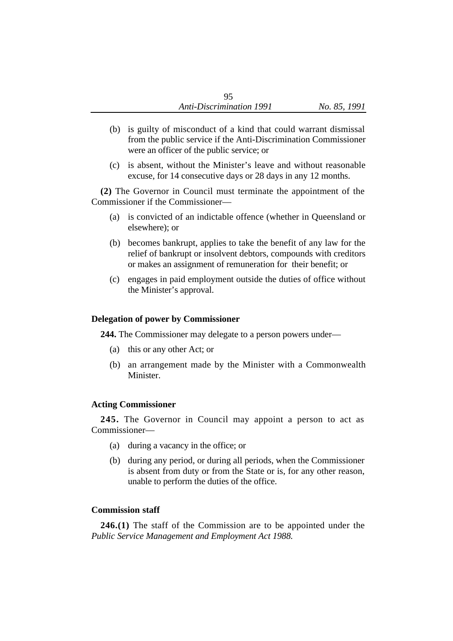- (b) is guilty of misconduct of a kind that could warrant dismissal from the public service if the Anti-Discrimination Commissioner were an officer of the public service; or
- (c) is absent, without the Minister's leave and without reasonable excuse, for 14 consecutive days or 28 days in any 12 months.

**(2)** The Governor in Council must terminate the appointment of the Commissioner if the Commissioner—

- (a) is convicted of an indictable offence (whether in Queensland or elsewhere); or
- (b) becomes bankrupt, applies to take the benefit of any law for the relief of bankrupt or insolvent debtors, compounds with creditors or makes an assignment of remuneration for their benefit; or
- (c) engages in paid employment outside the duties of office without the Minister's approval.

## **Delegation of power by Commissioner**

**244.** The Commissioner may delegate to a person powers under—

- (a) this or any other Act; or
- (b) an arrangement made by the Minister with a Commonwealth Minister.

## **Acting Commissioner**

**245.** The Governor in Council may appoint a person to act as Commissioner—

- (a) during a vacancy in the office; or
- (b) during any period, or during all periods, when the Commissioner is absent from duty or from the State or is, for any other reason, unable to perform the duties of the office.

## **Commission staff**

**246.(1)** The staff of the Commission are to be appointed under the *Public Service Management and Employment Act 1988.*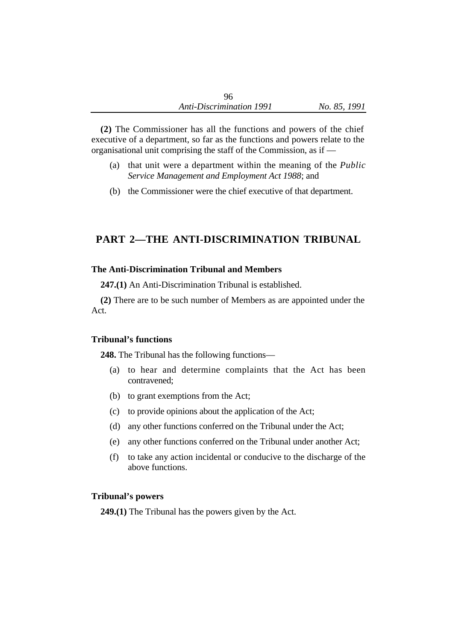**(2)** The Commissioner has all the functions and powers of the chief executive of a department, so far as the functions and powers relate to the organisational unit comprising the staff of the Commission, as if —

- (a) that unit were a department within the meaning of the *Public Service Management and Employment Act 1988*; and
- (b) the Commissioner were the chief executive of that department.

## **PART 2—THE ANTI-DISCRIMINATION TRIBUNAL**

## **The Anti-Discrimination Tribunal and Members**

**247.(1)** An Anti-Discrimination Tribunal is established.

**(2)** There are to be such number of Members as are appointed under the Act.

## **Tribunal's functions**

**248.** The Tribunal has the following functions—

- (a) to hear and determine complaints that the Act has been contravened;
- (b) to grant exemptions from the Act;
- (c) to provide opinions about the application of the Act;
- (d) any other functions conferred on the Tribunal under the Act;
- (e) any other functions conferred on the Tribunal under another Act;
- (f) to take any action incidental or conducive to the discharge of the above functions.

## **Tribunal's powers**

**249.(1)** The Tribunal has the powers given by the Act.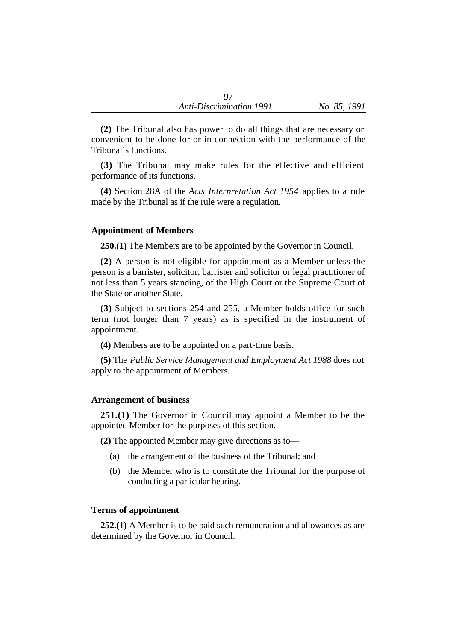**(2)** The Tribunal also has power to do all things that are necessary or convenient to be done for or in connection with the performance of the Tribunal's functions.

**(3)** The Tribunal may make rules for the effective and efficient performance of its functions.

**(4)** Section 28A of the *Acts Interpretation Act 1954* applies to a rule made by the Tribunal as if the rule were a regulation.

#### **Appointment of Members**

**250.(1)** The Members are to be appointed by the Governor in Council.

**(2)** A person is not eligible for appointment as a Member unless the person is a barrister, solicitor, barrister and solicitor or legal practitioner of not less than 5 years standing, of the High Court or the Supreme Court of the State or another State.

**(3)** Subject to sections 254 and 255, a Member holds office for such term (not longer than 7 years) as is specified in the instrument of appointment.

**(4)** Members are to be appointed on a part-time basis.

**(5)** The *Public Service Management and Employment Act 1988* does not apply to the appointment of Members.

#### **Arrangement of business**

**251.(1)** The Governor in Council may appoint a Member to be the appointed Member for the purposes of this section.

**(2)** The appointed Member may give directions as to—

- (a) the arrangement of the business of the Tribunal; and
- (b) the Member who is to constitute the Tribunal for the purpose of conducting a particular hearing.

#### **Terms of appointment**

**252.(1)** A Member is to be paid such remuneration and allowances as are determined by the Governor in Council.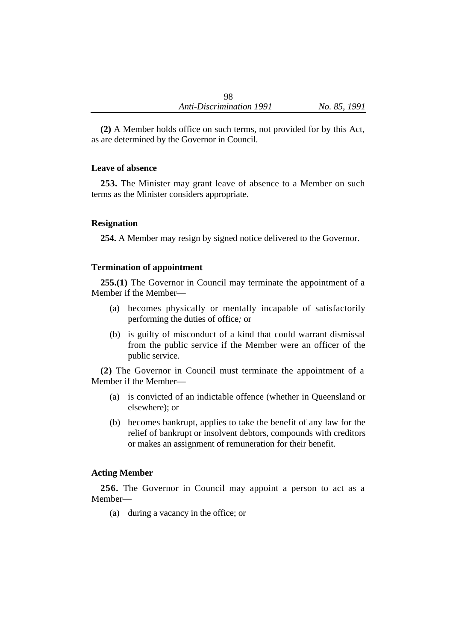**(2)** A Member holds office on such terms, not provided for by this Act, as are determined by the Governor in Council.

## **Leave of absence**

**253.** The Minister may grant leave of absence to a Member on such terms as the Minister considers appropriate.

## **Resignation**

**254.** A Member may resign by signed notice delivered to the Governor.

## **Termination of appointment**

**255.(1)** The Governor in Council may terminate the appointment of a Member if the Member—

- (a) becomes physically or mentally incapable of satisfactorily performing the duties of office*;* or
- (b) is guilty of misconduct of a kind that could warrant dismissal from the public service if the Member were an officer of the public service.

**(2)** The Governor in Council must terminate the appointment of a Member if the Member—

- (a) is convicted of an indictable offence (whether in Queensland or elsewhere); or
- (b) becomes bankrupt, applies to take the benefit of any law for the relief of bankrupt or insolvent debtors, compounds with creditors or makes an assignment of remuneration for their benefit.

## **Acting Member**

**256.** The Governor in Council may appoint a person to act as a Member—

(a) during a vacancy in the office; or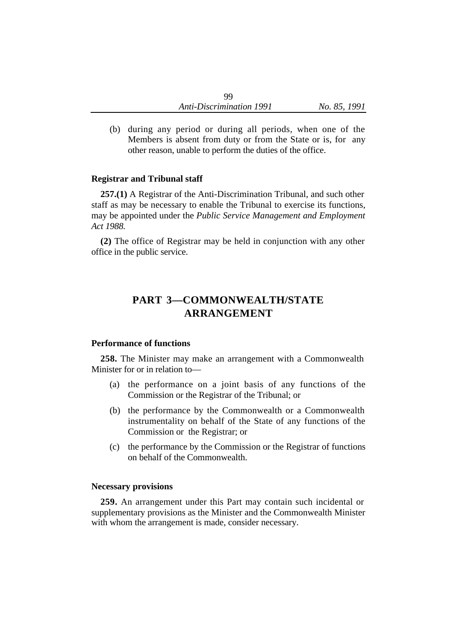(b) during any period or during all periods, when one of the Members is absent from duty or from the State or is, for any other reason, unable to perform the duties of the office.

## **Registrar and Tribunal staff**

**257.(1)** A Registrar of the Anti-Discrimination Tribunal, and such other staff as may be necessary to enable the Tribunal to exercise its functions, may be appointed under the *Public Service Management and Employment Act 1988.*

**(2)** The office of Registrar may be held in conjunction with any other office in the public service.

# **PART 3—COMMONWEALTH/STATE ARRANGEMENT**

## **Performance of functions**

**258.** The Minister may make an arrangement with a Commonwealth Minister for or in relation to—

- (a) the performance on a joint basis of any functions of the Commission or the Registrar of the Tribunal; or
- (b) the performance by the Commonwealth or a Commonwealth instrumentality on behalf of the State of any functions of the Commission or the Registrar; or
- (c) the performance by the Commission or the Registrar of functions on behalf of the Commonwealth.

#### **Necessary provisions**

**259.** An arrangement under this Part may contain such incidental or supplementary provisions as the Minister and the Commonwealth Minister with whom the arrangement is made, consider necessary.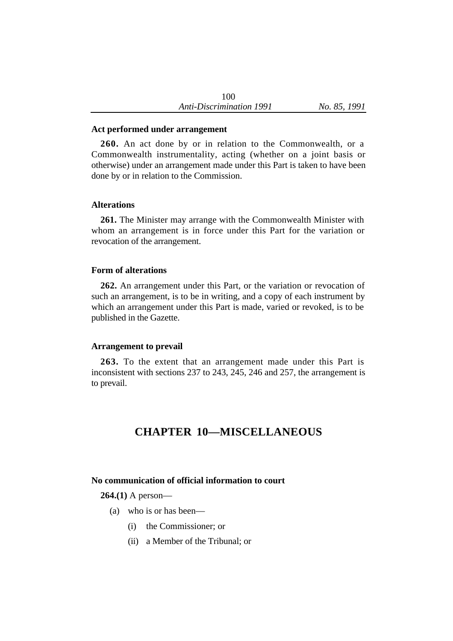#### **Act performed under arrangement**

**260.** An act done by or in relation to the Commonwealth, or a Commonwealth instrumentality, acting (whether on a joint basis or otherwise) under an arrangement made under this Part is taken to have been done by or in relation to the Commission.

#### **Alterations**

**261.** The Minister may arrange with the Commonwealth Minister with whom an arrangement is in force under this Part for the variation or revocation of the arrangement.

#### **Form of alterations**

**262.** An arrangement under this Part, or the variation or revocation of such an arrangement, is to be in writing, and a copy of each instrument by which an arrangement under this Part is made, varied or revoked, is to be published in the Gazette.

#### **Arrangement to prevail**

**263.** To the extent that an arrangement made under this Part is inconsistent with sections 237 to 243, 245, 246 and 257, the arrangement is to prevail.

## **CHAPTER 10—MISCELLANEOUS**

#### **No communication of official information to court**

**264.(1)** A person—

- (a) who is or has been—
	- (i) the Commissioner; or
	- (ii) a Member of the Tribunal; or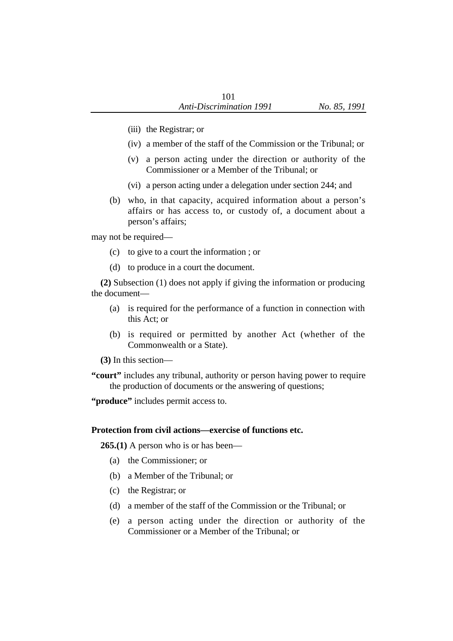- (iii) the Registrar; or
- (iv) a member of the staff of the Commission or the Tribunal; or
- (v) a person acting under the direction or authority of the Commissioner or a Member of the Tribunal; or
- (vi) a person acting under a delegation under section 244; and
- (b) who, in that capacity, acquired information about a person's affairs or has access to, or custody of, a document about a person's affairs;

may not be required—

- (c) to give to a court the information ; or
- (d) to produce in a court the document.

**(2)** Subsection (1) does not apply if giving the information or producing the document—

- (a) is required for the performance of a function in connection with this Act; or
- (b) is required or permitted by another Act (whether of the Commonwealth or a State).

**(3)** In this section—

**"court"** includes any tribunal, authority or person having power to require the production of documents or the answering of questions;

**"produce"** includes permit access to.

#### **Protection from civil actions—exercise of functions etc.**

**265.(1)** A person who is or has been—

- (a) the Commissioner; or
- (b) a Member of the Tribunal; or
- (c) the Registrar; or
- (d) a member of the staff of the Commission or the Tribunal; or
- (e) a person acting under the direction or authority of the Commissioner or a Member of the Tribunal; or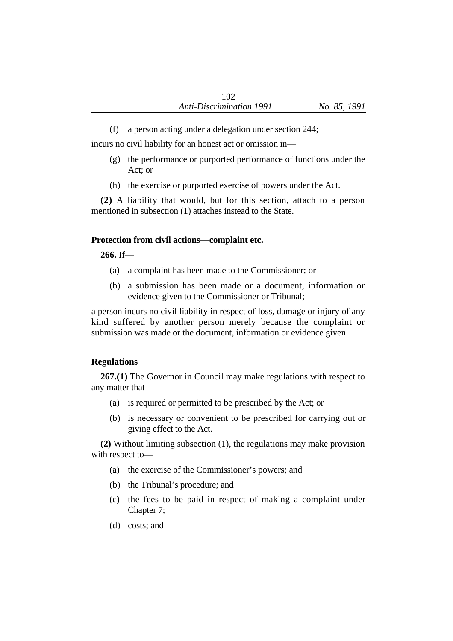(f) a person acting under a delegation under section 244;

incurs no civil liability for an honest act or omission in—

- (g) the performance or purported performance of functions under the Act; or
- (h) the exercise or purported exercise of powers under the Act.

**(2)** A liability that would, but for this section, attach to a person mentioned in subsection (1) attaches instead to the State.

## **Protection from civil actions—complaint etc.**

**266.** If—

- (a) a complaint has been made to the Commissioner; or
- (b) a submission has been made or a document, information or evidence given to the Commissioner or Tribunal;

a person incurs no civil liability in respect of loss, damage or injury of any kind suffered by another person merely because the complaint or submission was made or the document, information or evidence given.

## **Regulations**

**267.(1)** The Governor in Council may make regulations with respect to any matter that—

- (a) is required or permitted to be prescribed by the Act; or
- (b) is necessary or convenient to be prescribed for carrying out or giving effect to the Act.

**(2)** Without limiting subsection (1), the regulations may make provision with respect to—

- (a) the exercise of the Commissioner's powers; and
- (b) the Tribunal's procedure; and
- (c) the fees to be paid in respect of making a complaint under Chapter 7;
- (d) costs; and